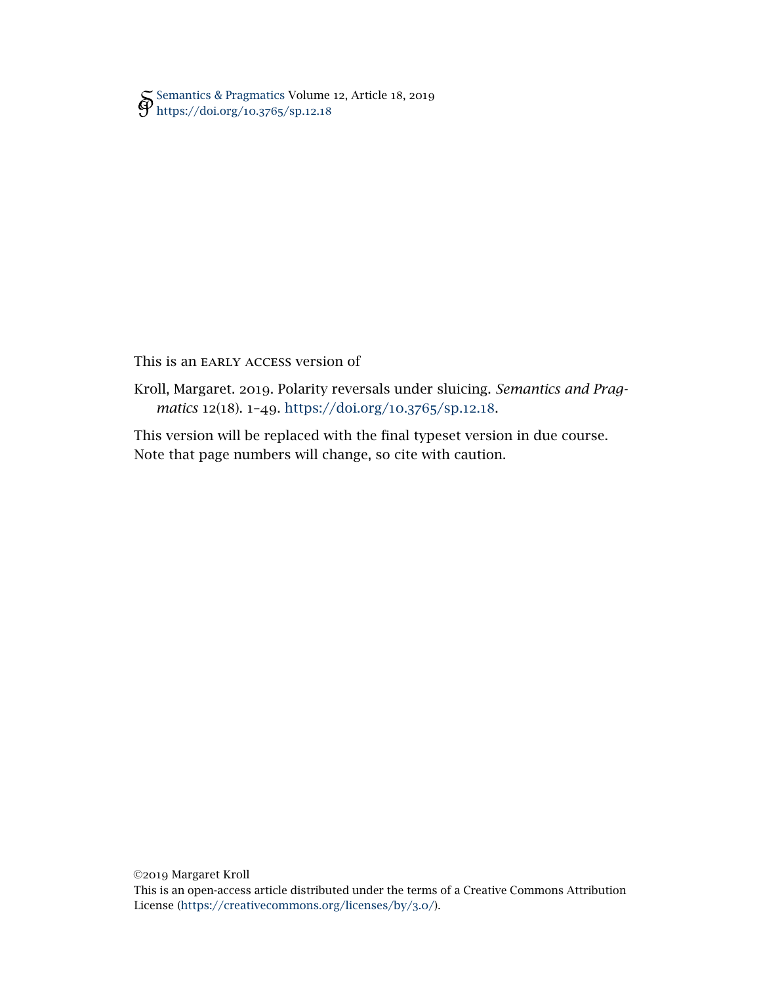[Semantics & Pragmatics](http://semprag.org/) Volume 12, Article 18, 2019 [https://doi.org/](https://doi.org/10.3765/sp.12.18)10.3765/sp.12.18

## This is an EARLY ACCESS version of

Kroll, Margaret. 2019. Polarity reversals under sluicing. *Semantics and Pragmatics* 12(18). 1–49. [https://doi.org/](https://doi.org/10.3765/sp.12.18)10.3765/sp.12.18.

This version will be replaced with the final typeset version in due course. Note that page numbers will change, so cite with caution.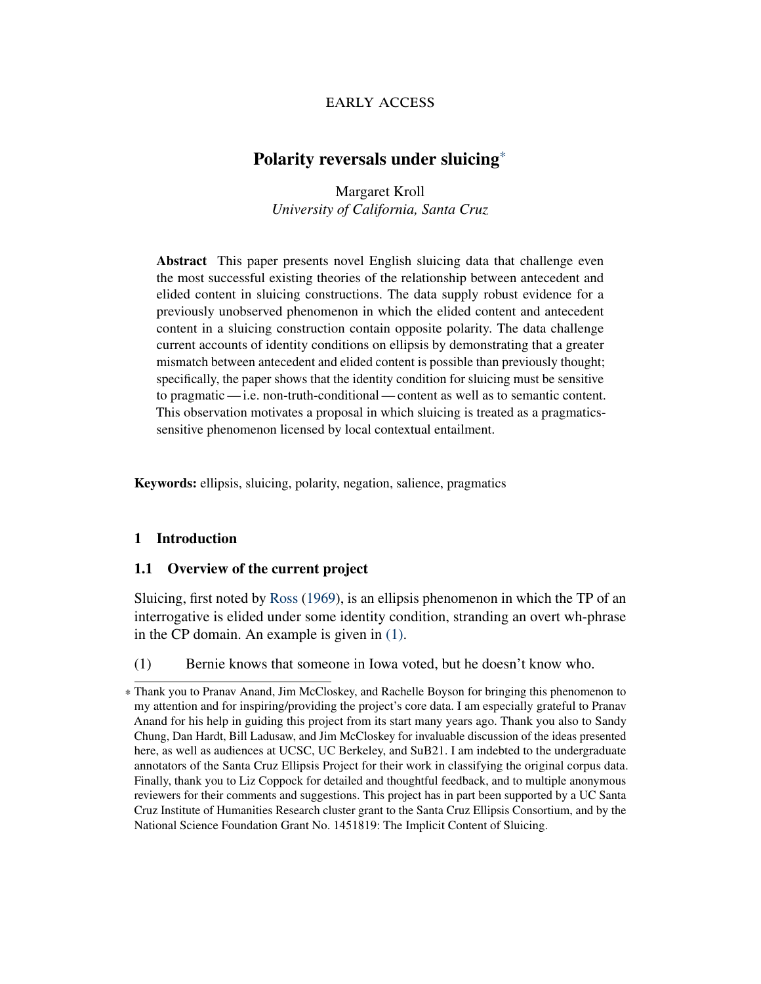## early access

# Polarity reversals under sluicing\*

Margaret Kroll *University of California, Santa Cruz*

Abstract This paper presents novel English sluicing data that challenge even the most successful existing theories of the relationship between antecedent and elided content in sluicing constructions. The data supply robust evidence for a previously unobserved phenomenon in which the elided content and antecedent content in a sluicing construction contain opposite polarity. The data challenge current accounts of identity conditions on ellipsis by demonstrating that a greater mismatch between antecedent and elided content is possible than previously thought; specifically, the paper shows that the identity condition for sluicing must be sensitive to pragmatic— i.e. non-truth-conditional— content as well as to semantic content. This observation motivates a proposal in which sluicing is treated as a pragmaticssensitive phenomenon licensed by local contextual entailment.

Keywords: ellipsis, sluicing, polarity, negation, salience, pragmatics

#### 1 Introduction

#### 1.1 Overview of the current project

Sluicing, first noted by [Ross](#page-48-0) [\(1969\)](#page-48-0), is an ellipsis phenomenon in which the TP of an interrogative is elided under some identity condition, stranding an overt wh-phrase in the CP domain. An example is given in [\(1\).](#page-1-0)

<span id="page-1-0"></span>(1) Bernie knows that someone in Iowa voted, but he doesn't know who.

<sup>\*</sup> Thank you to Pranav Anand, Jim McCloskey, and Rachelle Boyson for bringing this phenomenon to my attention and for inspiring/providing the project's core data. I am especially grateful to Pranav Anand for his help in guiding this project from its start many years ago. Thank you also to Sandy Chung, Dan Hardt, Bill Ladusaw, and Jim McCloskey for invaluable discussion of the ideas presented here, as well as audiences at UCSC, UC Berkeley, and SuB21. I am indebted to the undergraduate annotators of the Santa Cruz Ellipsis Project for their work in classifying the original corpus data. Finally, thank you to Liz Coppock for detailed and thoughtful feedback, and to multiple anonymous reviewers for their comments and suggestions. This project has in part been supported by a UC Santa Cruz Institute of Humanities Research cluster grant to the Santa Cruz Ellipsis Consortium, and by the National Science Foundation Grant No. 1451819: The Implicit Content of Sluicing.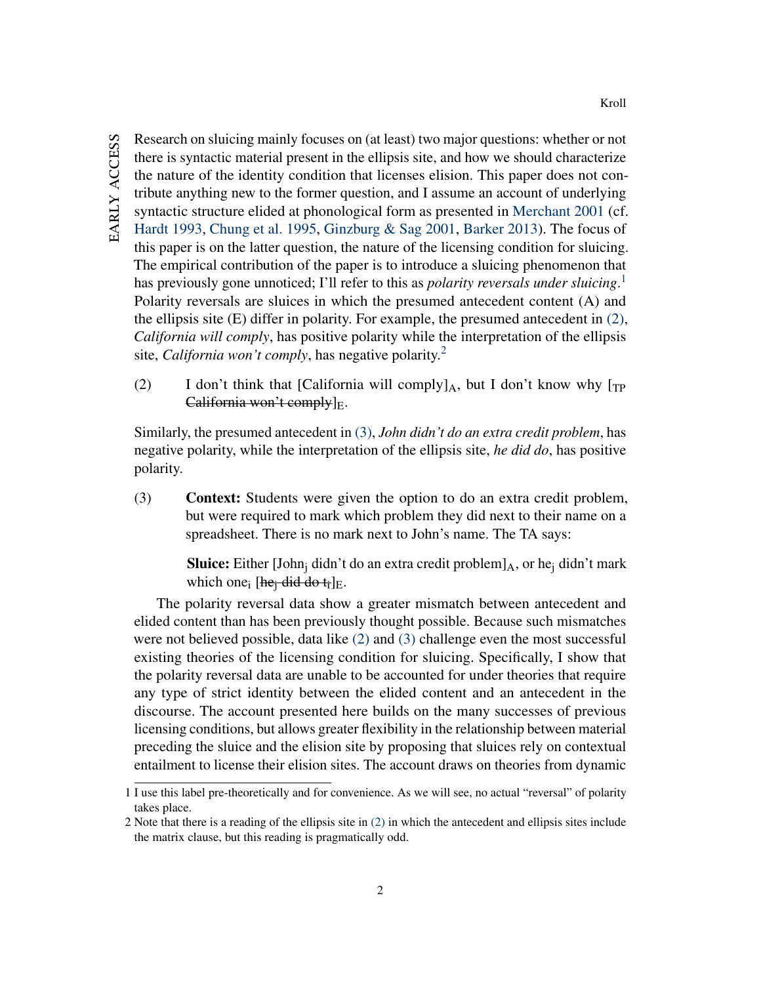Research on sluicing mainly focuses on (at least) two major questions: whether or not there is syntactic material present in the ellipsis site, and how we should characterize the nature of the identity condition that licenses elision. This paper does not contribute anything new to the former question, and I assume an account of underlying syntactic structure elided at phonological form as presented in [Merchant](#page-46-0) [2001](#page-46-0) (cf. [Hardt](#page-44-0) [1993,](#page-44-0) [Chung et al.](#page-42-0) [1995,](#page-42-0) [Ginzburg & Sag](#page-44-1) [2001,](#page-44-1) [Barker](#page-42-1) [2013\)](#page-42-1). The focus of this paper is on the latter question, the nature of the licensing condition for sluicing. The empirical contribution of the paper is to introduce a sluicing phenomenon that has previously gone unnoticed; I'll refer to this as *polarity reversals under sluicing*. [1](#page-2-0) Polarity reversals are sluices in which the presumed antecedent content (A) and the ellipsis site (E) differ in polarity. For example, the presumed antecedent in [\(2\),](#page-2-1) *California will comply*, has positive polarity while the interpretation of the ellipsis site, *California won't comply*, has negative polarity.<sup>[2](#page-2-2)</sup>

<span id="page-2-1"></span>(2) I don't think that [California will comply] $_A$ , but I don't know why [ $_{TP}$ ] California won't comply $]_E$ .

Similarly, the presumed antecedent in [\(3\),](#page-2-3) *John didn't do an extra credit problem*, has negative polarity, while the interpretation of the ellipsis site, *he did do*, has positive polarity.

<span id="page-2-3"></span>(3) Context: Students were given the option to do an extra credit problem, but were required to mark which problem they did next to their name on a spreadsheet. There is no mark next to John's name. The TA says:

> **Sluice:** Either [John<sub>i</sub> didn't do an extra credit problem] $_A$ , or he<sub>i</sub> didn't mark which one<sub>i</sub> [he<sub>i</sub> did do t<sub>i</sub>]<sub>E</sub>.

The polarity reversal data show a greater mismatch between antecedent and elided content than has been previously thought possible. Because such mismatches were not believed possible, data like [\(2\)](#page-2-1) and [\(3\)](#page-2-3) challenge even the most successful existing theories of the licensing condition for sluicing. Specifically, I show that the polarity reversal data are unable to be accounted for under theories that require any type of strict identity between the elided content and an antecedent in the discourse. The account presented here builds on the many successes of previous licensing conditions, but allows greater flexibility in the relationship between material preceding the sluice and the elision site by proposing that sluices rely on contextual entailment to license their elision sites. The account draws on theories from dynamic

<span id="page-2-0"></span><sup>1</sup> I use this label pre-theoretically and for convenience. As we will see, no actual "reversal" of polarity takes place.

<span id="page-2-2"></span><sup>2</sup> Note that there is a reading of the ellipsis site in [\(2\)](#page-2-1) in which the antecedent and ellipsis sites include the matrix clause, but this reading is pragmatically odd.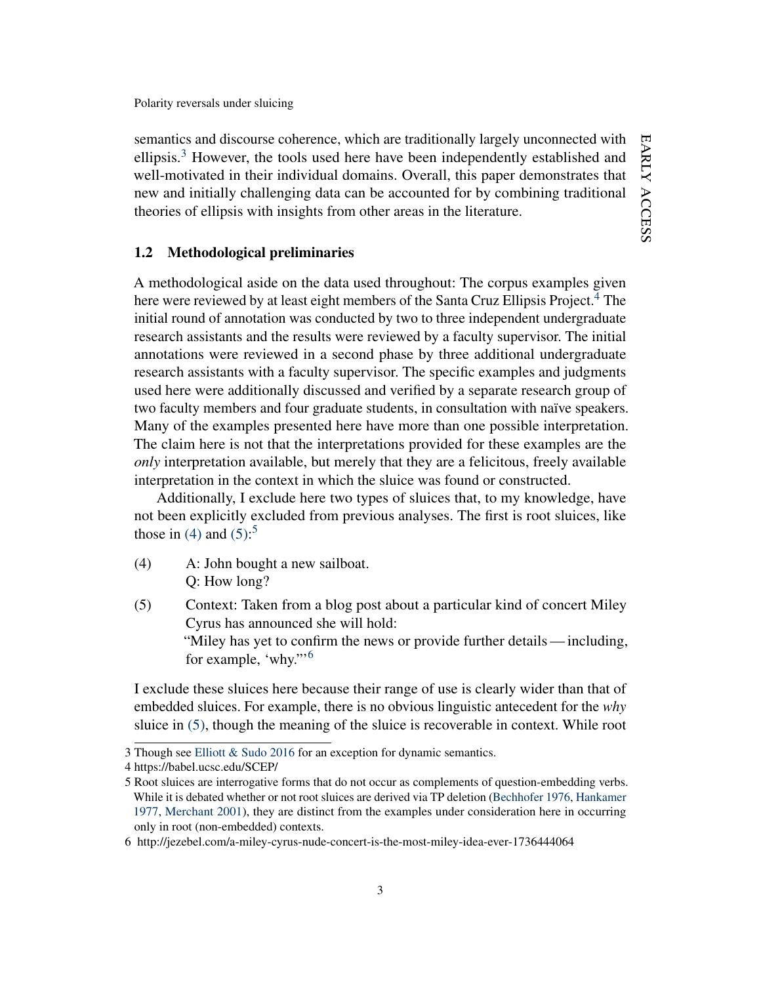semantics and discourse coherence, which are traditionally largely unconnected with ellipsis.[3](#page-3-0) However, the tools used here have been independently established and well-motivated in their individual domains. Overall, this paper demonstrates that new and initially challenging data can be accounted for by combining traditional theories of ellipsis with insights from other areas in the literature.

## 1.2 Methodological preliminaries

A methodological aside on the data used throughout: The corpus examples given here were reviewed by at least eight members of the Santa Cruz Ellipsis Project.<sup>[4](#page-3-1)</sup> The initial round of annotation was conducted by two to three independent undergraduate research assistants and the results were reviewed by a faculty supervisor. The initial annotations were reviewed in a second phase by three additional undergraduate research assistants with a faculty supervisor. The specific examples and judgments used here were additionally discussed and verified by a separate research group of two faculty members and four graduate students, in consultation with naïve speakers. Many of the examples presented here have more than one possible interpretation. The claim here is not that the interpretations provided for these examples are the *only* interpretation available, but merely that they are a felicitous, freely available interpretation in the context in which the sluice was found or constructed.

Additionally, I exclude here two types of sluices that, to my knowledge, have not been explicitly excluded from previous analyses. The first is root sluices, like those in [\(4\)](#page-3-2) and  $(5)$  $(5)$  $(5)$ :<sup>5</sup>

- <span id="page-3-2"></span>(4) A: John bought a new sailboat. Q: How long?
- <span id="page-3-3"></span>(5) Context: Taken from a blog post about a particular kind of concert Miley Cyrus has announced she will hold: "Miley has yet to confirm the news or provide further details— including, for example, 'why."'[6](#page-3-5)

I exclude these sluices here because their range of use is clearly wider than that of embedded sluices. For example, there is no obvious linguistic antecedent for the *why* sluice in [\(5\),](#page-3-3) though the meaning of the sluice is recoverable in context. While root

<span id="page-3-0"></span><sup>3</sup> Though see [Elliott & Sudo](#page-43-0) [2016](#page-43-0) for an exception for dynamic semantics.

<span id="page-3-1"></span><sup>4</sup> https://babel.ucsc.edu/SCEP/

<span id="page-3-4"></span><sup>5</sup> Root sluices are interrogative forms that do not occur as complements of question-embedding verbs. While it is debated whether or not root sluices are derived via TP deletion [\(Bechhofer](#page-42-2) [1976,](#page-42-2) [Hankamer](#page-44-2) [1977,](#page-44-2) [Merchant](#page-46-0) [2001\)](#page-46-0), they are distinct from the examples under consideration here in occurring only in root (non-embedded) contexts.

<span id="page-3-5"></span><sup>6</sup> http://jezebel.com/a-miley-cyrus-nude-concert-is-the-most-miley-idea-ever-1736444064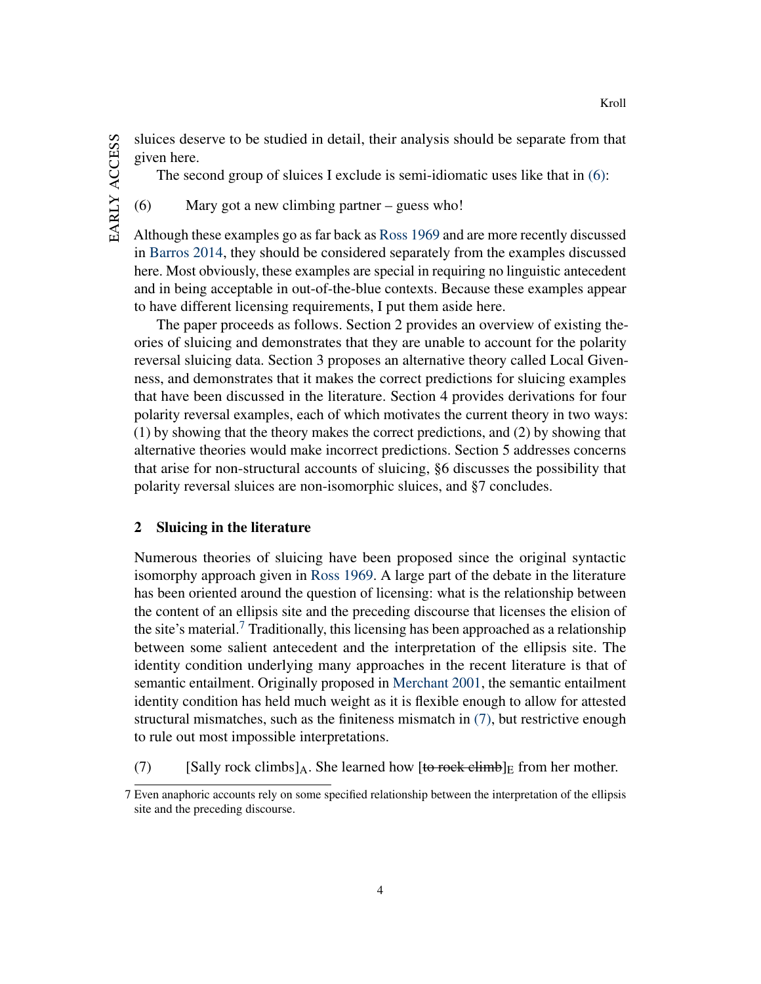EARLY ACCESS early access sluices deserve to be studied in detail, their analysis should be separate from that given here.

The second group of sluices I exclude is semi-idiomatic uses like that in [\(6\):](#page-4-0)

<span id="page-4-0"></span>(6) Mary got a new climbing partner – guess who!

Although these examples go as far back as [Ross](#page-48-0) [1969](#page-48-0) and are more recently discussed in [Barros](#page-42-3) [2014,](#page-42-3) they should be considered separately from the examples discussed here. Most obviously, these examples are special in requiring no linguistic antecedent and in being acceptable in out-of-the-blue contexts. Because these examples appear to have different licensing requirements, I put them aside here.

The paper proceeds as follows. Section 2 provides an overview of existing theories of sluicing and demonstrates that they are unable to account for the polarity reversal sluicing data. Section 3 proposes an alternative theory called Local Givenness, and demonstrates that it makes the correct predictions for sluicing examples that have been discussed in the literature. Section 4 provides derivations for four polarity reversal examples, each of which motivates the current theory in two ways: (1) by showing that the theory makes the correct predictions, and (2) by showing that alternative theories would make incorrect predictions. Section 5 addresses concerns that arise for non-structural accounts of sluicing, §6 discusses the possibility that polarity reversal sluices are non-isomorphic sluices, and §7 concludes.

## 2 Sluicing in the literature

Numerous theories of sluicing have been proposed since the original syntactic isomorphy approach given in [Ross](#page-48-0) [1969.](#page-48-0) A large part of the debate in the literature has been oriented around the question of licensing: what is the relationship between the content of an ellipsis site and the preceding discourse that licenses the elision of the site's material.<sup>[7](#page-4-1)</sup> Traditionally, this licensing has been approached as a relationship between some salient antecedent and the interpretation of the ellipsis site. The identity condition underlying many approaches in the recent literature is that of semantic entailment. Originally proposed in [Merchant](#page-46-0) [2001,](#page-46-0) the semantic entailment identity condition has held much weight as it is flexible enough to allow for attested structural mismatches, such as the finiteness mismatch in [\(7\),](#page-4-2) but restrictive enough to rule out most impossible interpretations.

<span id="page-4-2"></span>(7) [Sally rock climbs]<sub>A</sub>. She learned how [to rock climb]<sub>E</sub> from her mother.

Kroll

<span id="page-4-1"></span><sup>7</sup> Even anaphoric accounts rely on some specified relationship between the interpretation of the ellipsis site and the preceding discourse.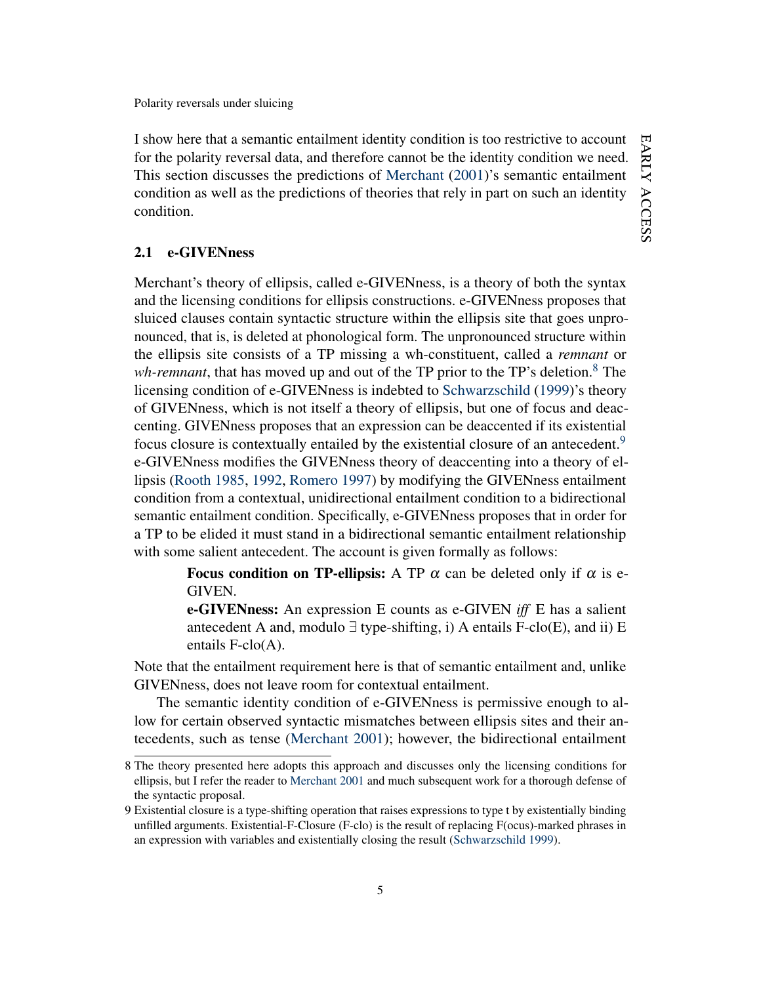I show here that a semantic entailment identity condition is too restrictive to account for the polarity reversal data, and therefore cannot be the identity condition we need. This section discusses the predictions of [Merchant](#page-46-0) [\(2001\)](#page-46-0)'s semantic entailment condition as well as the predictions of theories that rely in part on such an identity condition.

#### 2.1 e-GIVENness

Merchant's theory of ellipsis, called e-GIVENness, is a theory of both the syntax and the licensing conditions for ellipsis constructions. e-GIVENness proposes that sluiced clauses contain syntactic structure within the ellipsis site that goes unpronounced, that is, is deleted at phonological form. The unpronounced structure within the ellipsis site consists of a TP missing a wh-constituent, called a *remnant* or *wh-remnant*, that has moved up and out of the TP prior to the TP's deletion.<sup>[8](#page-5-0)</sup> The licensing condition of e-GIVENness is indebted to [Schwarzschild](#page-49-0) [\(1999\)](#page-49-0)'s theory of GIVENness, which is not itself a theory of ellipsis, but one of focus and deaccenting. GIVENness proposes that an expression can be deaccented if its existential focus closure is contextually entailed by the existential closure of an antecedent.<sup>[9](#page-5-1)</sup> e-GIVENness modifies the GIVENness theory of deaccenting into a theory of ellipsis [\(Rooth](#page-48-1) [1985,](#page-48-1) [1992,](#page-48-2) [Romero](#page-48-3) [1997\)](#page-48-3) by modifying the GIVENness entailment condition from a contextual, unidirectional entailment condition to a bidirectional semantic entailment condition. Specifically, e-GIVENness proposes that in order for a TP to be elided it must stand in a bidirectional semantic entailment relationship with some salient antecedent. The account is given formally as follows:

> **Focus condition on TP-ellipsis:** A TP  $\alpha$  can be deleted only if  $\alpha$  is e-GIVEN.

> e-GIVENness: An expression E counts as e-GIVEN *iff* E has a salient antecedent A and, modulo  $\exists$  type-shifting, i) A entails F-clo(E), and ii) E entails F-clo(A).

Note that the entailment requirement here is that of semantic entailment and, unlike GIVENness, does not leave room for contextual entailment.

The semantic identity condition of e-GIVENness is permissive enough to allow for certain observed syntactic mismatches between ellipsis sites and their antecedents, such as tense [\(Merchant](#page-46-0) [2001\)](#page-46-0); however, the bidirectional entailment

<span id="page-5-0"></span><sup>8</sup> The theory presented here adopts this approach and discusses only the licensing conditions for ellipsis, but I refer the reader to [Merchant](#page-46-0) [2001](#page-46-0) and much subsequent work for a thorough defense of the syntactic proposal.

<span id="page-5-1"></span><sup>9</sup> Existential closure is a type-shifting operation that raises expressions to type t by existentially binding unfilled arguments. Existential-F-Closure (F-clo) is the result of replacing F(ocus)-marked phrases in an expression with variables and existentially closing the result [\(Schwarzschild](#page-49-0) [1999\)](#page-49-0).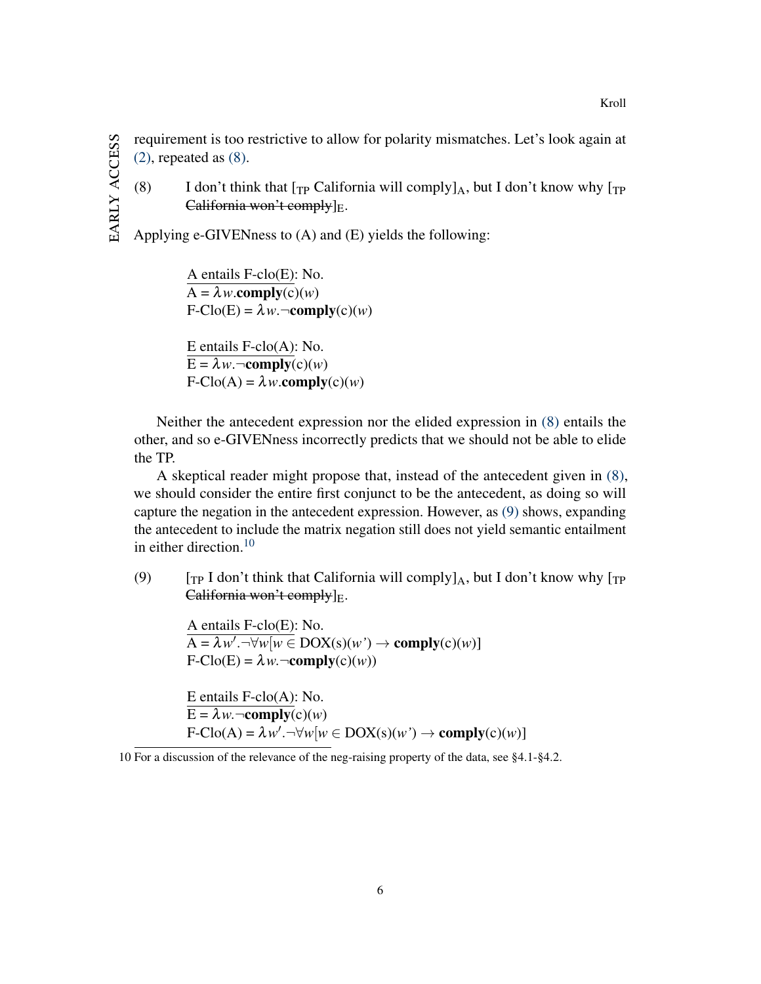EARLY ACCESS early access requirement is too restrictive to allow for polarity mismatches. Let's look again at  $(2)$ , repeated as  $(8)$ .

<span id="page-6-0"></span>(8) I don't think that  $[\text{TP} \text{ California will comply}]_A$ , but I don't know why  $[\text{TP} \text{}(A)]$ California won't comply $]_E$ .

Applying e-GIVENness to (A) and (E) yields the following:

A entails F-clo(E): No.  $A = \lambda w$ .comply(c)(*w*)  $F\text{-}C\text{lo}(E) = \lambda w \cdot \neg \text{comply}(c)(w)$ 

E entails F-clo(A): No.  $E = \lambda w$ .  $\neg \text{comply}(c)(w)$  $F\text{-}C\text{lo}(A) = \lambda w \text{.complex}(c)(w)$ 

Neither the antecedent expression nor the elided expression in [\(8\)](#page-6-0) entails the other, and so e-GIVENness incorrectly predicts that we should not be able to elide the TP.

A skeptical reader might propose that, instead of the antecedent given in [\(8\),](#page-6-0) we should consider the entire first conjunct to be the antecedent, as doing so will capture the negation in the antecedent expression. However, as [\(9\)](#page-6-1) shows, expanding the antecedent to include the matrix negation still does not yield semantic entailment in either direction. $10$ 

<span id="page-6-1"></span>(9)  $[T_P I don't think that California will comply]_A$ , but I don't know why  $[T_P I]$ California won't comply $\vert_{E}$ .

A entails F-clo(E): No.  $\overline{A} = \lambda w'.\overline{\forall w[w \in DOX(s)(w') \rightarrow \text{comply}(c)(w)]}$  $F\text{-}Clo(E) = \lambda w \cdot \neg \text{comply}(c)(w)$ E entails F-clo(A): No.  $E = \lambda w$ .  $\neg \text{comply}(c)(w)$  $F\text{-}C\text{lo}(A) = \lambda w'.\neg\forall w[w \in \text{DOX}(s)(w') \rightarrow \text{complex}(c)(w)]$ 

<span id="page-6-2"></span><sup>10</sup> For a discussion of the relevance of the neg-raising property of the data, see §4.1-§4.2.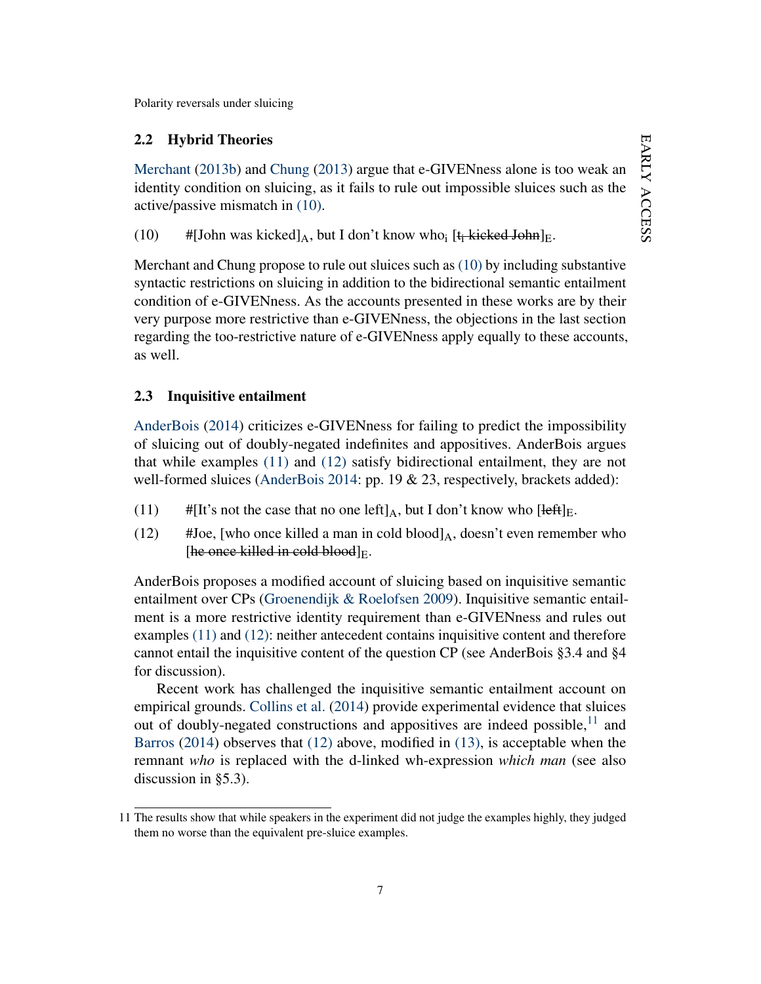## 2.2 Hybrid Theories

[Merchant](#page-47-0) [\(2013b\)](#page-47-0) and [Chung](#page-42-4) [\(2013\)](#page-42-4) argue that e-GIVENness alone is too weak an identity condition on sluicing, as it fails to rule out impossible sluices such as the active/passive mismatch in [\(10\).](#page-7-0)

<span id="page-7-0"></span>(10)  $\#[John was kicked]_A$ , but I don't know who<sub>i</sub> [t<sub>i</sub> kicked John]<sub>E</sub>.

Merchant and Chung propose to rule out sluices such as [\(10\)](#page-7-0) by including substantive syntactic restrictions on sluicing in addition to the bidirectional semantic entailment condition of e-GIVENness. As the accounts presented in these works are by their very purpose more restrictive than e-GIVENness, the objections in the last section regarding the too-restrictive nature of e-GIVENness apply equally to these accounts, as well.

## 2.3 Inquisitive entailment

[AnderBois](#page-41-0) [\(2014\)](#page-41-0) criticizes e-GIVENness for failing to predict the impossibility of sluicing out of doubly-negated indefinites and appositives. AnderBois argues that while examples [\(11\)](#page-7-1) and [\(12\)](#page-7-2) satisfy bidirectional entailment, they are not well-formed sluices [\(AnderBois](#page-41-0) [2014:](#page-41-0) pp. 19 & 23, respectively, brackets added):

- <span id="page-7-2"></span><span id="page-7-1"></span>(11) #[It's not the case that no one left]<sub>A</sub>, but I don't know who [left]<sub>E</sub>.
- (12) #Joe, [who once killed a man in cold blood] $_A$ , doesn't even remember who [he once killed in cold blood] $E$ .

AnderBois proposes a modified account of sluicing based on inquisitive semantic entailment over CPs [\(Groenendijk & Roelofsen](#page-44-3) [2009\)](#page-44-3). Inquisitive semantic entailment is a more restrictive identity requirement than e-GIVENness and rules out examples [\(11\)](#page-7-1) and [\(12\):](#page-7-2) neither antecedent contains inquisitive content and therefore cannot entail the inquisitive content of the question CP (see AnderBois §3.4 and §4 for discussion).

Recent work has challenged the inquisitive semantic entailment account on empirical grounds. [Collins et al.](#page-42-5) [\(2014\)](#page-42-5) provide experimental evidence that sluices out of doubly-negated constructions and appositives are indeed possible, $^{11}$  $^{11}$  $^{11}$  and [Barros](#page-42-3) [\(2014\)](#page-42-3) observes that [\(12\)](#page-7-2) above, modified in [\(13\),](#page-7-4) is acceptable when the remnant *who* is replaced with the d-linked wh-expression *which man* (see also discussion in §5.3).

<span id="page-7-4"></span><span id="page-7-3"></span><sup>11</sup> The results show that while speakers in the experiment did not judge the examples highly, they judged them no worse than the equivalent pre-sluice examples.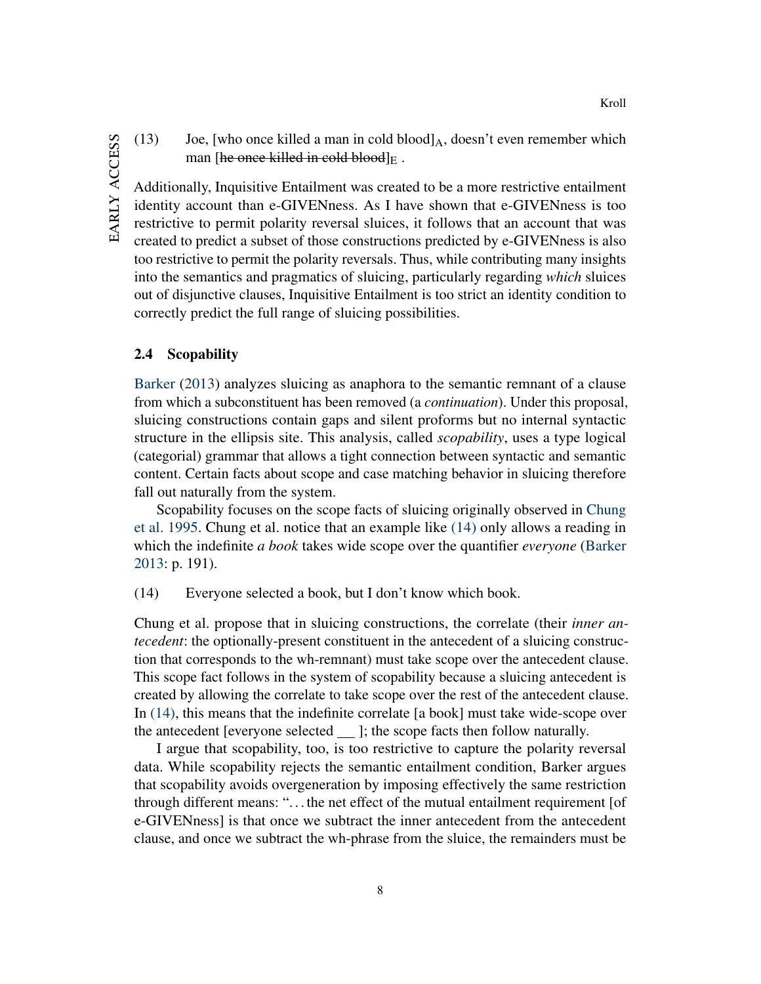(13) Joe, [who once killed a man in cold blood] $_A$ , doesn't even remember which man [he once killed in cold blood] $E$ .

Additionally, Inquisitive Entailment was created to be a more restrictive entailment identity account than e-GIVENness. As I have shown that e-GIVENness is too restrictive to permit polarity reversal sluices, it follows that an account that was created to predict a subset of those constructions predicted by e-GIVENness is also too restrictive to permit the polarity reversals. Thus, while contributing many insights into the semantics and pragmatics of sluicing, particularly regarding *which* sluices out of disjunctive clauses, Inquisitive Entailment is too strict an identity condition to correctly predict the full range of sluicing possibilities.

#### 2.4 Scopability

[Barker](#page-42-1) [\(2013\)](#page-42-1) analyzes sluicing as anaphora to the semantic remnant of a clause from which a subconstituent has been removed (a *continuation*). Under this proposal, sluicing constructions contain gaps and silent proforms but no internal syntactic structure in the ellipsis site. This analysis, called *scopability*, uses a type logical (categorial) grammar that allows a tight connection between syntactic and semantic content. Certain facts about scope and case matching behavior in sluicing therefore fall out naturally from the system.

Scopability focuses on the scope facts of sluicing originally observed in [Chung](#page-42-0) [et al.](#page-42-0) [1995.](#page-42-0) Chung et al. notice that an example like [\(14\)](#page-8-0) only allows a reading in which the indefinite *a book* takes wide scope over the quantifier *everyone* [\(Barker](#page-42-1) [2013:](#page-42-1) p. 191).

<span id="page-8-0"></span>(14) Everyone selected a book, but I don't know which book.

Chung et al. propose that in sluicing constructions, the correlate (their *inner antecedent*: the optionally-present constituent in the antecedent of a sluicing construction that corresponds to the wh-remnant) must take scope over the antecedent clause. This scope fact follows in the system of scopability because a sluicing antecedent is created by allowing the correlate to take scope over the rest of the antecedent clause. In [\(14\),](#page-8-0) this means that the indefinite correlate [a book] must take wide-scope over the antecedent [everyone selected  $\_\$ ]; the scope facts then follow naturally.

I argue that scopability, too, is too restrictive to capture the polarity reversal data. While scopability rejects the semantic entailment condition, Barker argues that scopability avoids overgeneration by imposing effectively the same restriction through different means: ". . . the net effect of the mutual entailment requirement [of e-GIVENness] is that once we subtract the inner antecedent from the antecedent clause, and once we subtract the wh-phrase from the sluice, the remainders must be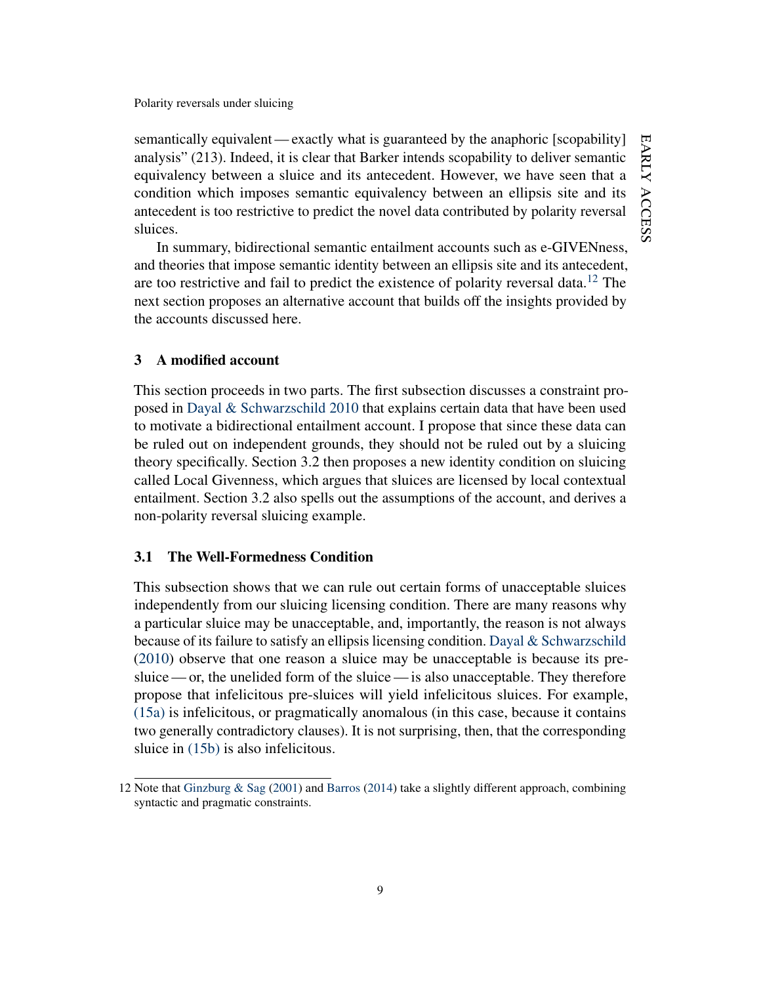semantically equivalent — exactly what is guaranteed by the anaphoric [scopability] analysis" (213). Indeed, it is clear that Barker intends scopability to deliver semantic equivalency between a sluice and its antecedent. However, we have seen that a condition which imposes semantic equivalency between an ellipsis site and its antecedent is too restrictive to predict the novel data contributed by polarity reversal sluices.

In summary, bidirectional semantic entailment accounts such as e-GIVENness, and theories that impose semantic identity between an ellipsis site and its antecedent, are too restrictive and fail to predict the existence of polarity reversal data.<sup>[12](#page-9-0)</sup> The next section proposes an alternative account that builds off the insights provided by the accounts discussed here.

#### 3 A modified account

This section proceeds in two parts. The first subsection discusses a constraint proposed in [Dayal & Schwarzschild](#page-42-6) [2010](#page-42-6) that explains certain data that have been used to motivate a bidirectional entailment account. I propose that since these data can be ruled out on independent grounds, they should not be ruled out by a sluicing theory specifically. Section 3.2 then proposes a new identity condition on sluicing called Local Givenness, which argues that sluices are licensed by local contextual entailment. Section 3.2 also spells out the assumptions of the account, and derives a non-polarity reversal sluicing example.

## 3.1 The Well-Formedness Condition

This subsection shows that we can rule out certain forms of unacceptable sluices independently from our sluicing licensing condition. There are many reasons why a particular sluice may be unacceptable, and, importantly, the reason is not always because of its failure to satisfy an ellipsis licensing condition. Dayal  $\&$  Schwarzschild [\(2010\)](#page-42-6) observe that one reason a sluice may be unacceptable is because its presluice— or, the unelided form of the sluice— is also unacceptable. They therefore propose that infelicitous pre-sluices will yield infelicitous sluices. For example, [\(15a\)](#page-9-1) is infelicitous, or pragmatically anomalous (in this case, because it contains two generally contradictory clauses). It is not surprising, then, that the corresponding sluice in [\(15b\)](#page-10-0) is also infelicitous.

<span id="page-9-1"></span><span id="page-9-0"></span><sup>12</sup> Note that [Ginzburg & Sag](#page-44-1) [\(2001\)](#page-44-1) and [Barros](#page-42-3) [\(2014\)](#page-42-3) take a slightly different approach, combining syntactic and pragmatic constraints.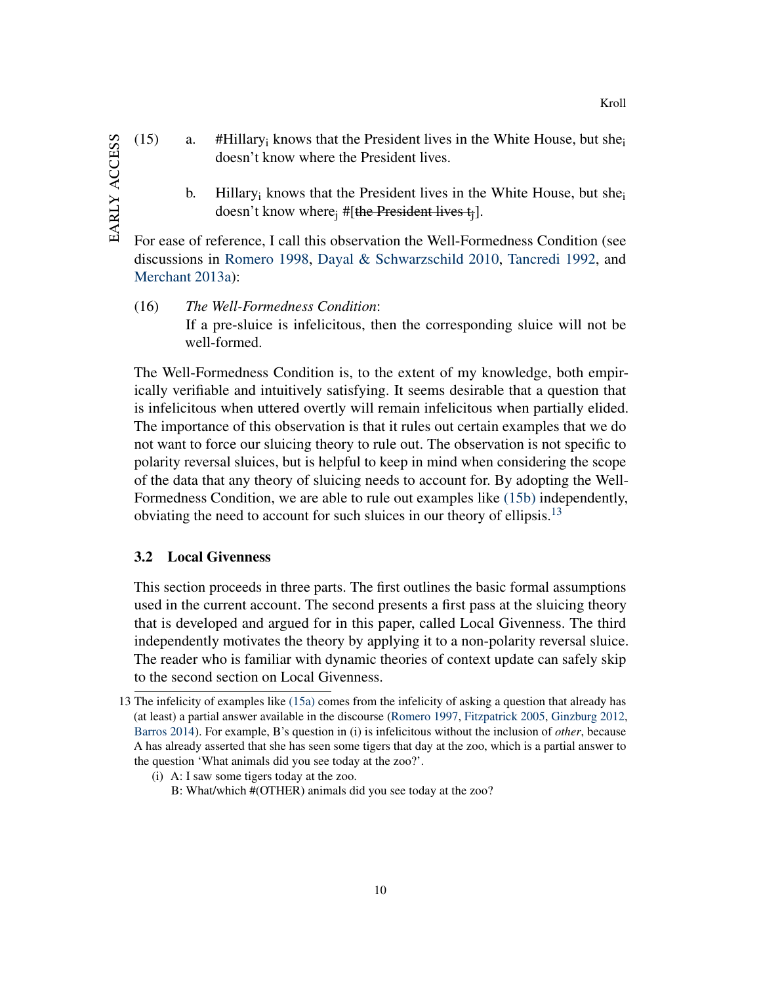- <span id="page-10-0"></span>(15) a. #Hillary<sub>i</sub> knows that the President lives in the White House, but she<sub>i</sub> doesn't know where the President lives.
	- b. Hillary<sub>i</sub> knows that the President lives in the White House, but she<sub>i</sub> doesn't know where  $\#$ [the President lives  $t_i$ ].

For ease of reference, I call this observation the Well-Formedness Condition (see discussions in [Romero](#page-48-4) [1998,](#page-48-4) [Dayal & Schwarzschild](#page-42-6) [2010,](#page-42-6) [Tancredi](#page-49-1) [1992,](#page-49-1) and [Merchant](#page-47-1) [2013a\)](#page-47-1):

(16) *The Well-Formedness Condition*: If a pre-sluice is infelicitous, then the corresponding sluice will not be well-formed.

The Well-Formedness Condition is, to the extent of my knowledge, both empirically verifiable and intuitively satisfying. It seems desirable that a question that is infelicitous when uttered overtly will remain infelicitous when partially elided. The importance of this observation is that it rules out certain examples that we do not want to force our sluicing theory to rule out. The observation is not specific to polarity reversal sluices, but is helpful to keep in mind when considering the scope of the data that any theory of sluicing needs to account for. By adopting the Well-Formedness Condition, we are able to rule out examples like [\(15b\)](#page-10-0) independently, obviating the need to account for such sluices in our theory of ellipsis.<sup>[13](#page-10-1)</sup>

## 3.2 Local Givenness

This section proceeds in three parts. The first outlines the basic formal assumptions used in the current account. The second presents a first pass at the sluicing theory that is developed and argued for in this paper, called Local Givenness. The third independently motivates the theory by applying it to a non-polarity reversal sluice. The reader who is familiar with dynamic theories of context update can safely skip to the second section on Local Givenness.

(i) A: I saw some tigers today at the zoo.

<span id="page-10-1"></span><sup>13</sup> The infelicity of examples like [\(15a\)](#page-9-1) comes from the infelicity of asking a question that already has (at least) a partial answer available in the discourse [\(Romero](#page-48-3) [1997,](#page-48-3) [Fitzpatrick](#page-43-1) [2005,](#page-43-1) [Ginzburg](#page-43-2) [2012,](#page-43-2) [Barros](#page-42-3) [2014\)](#page-42-3). For example, B's question in (i) is infelicitous without the inclusion of *other*, because A has already asserted that she has seen some tigers that day at the zoo, which is a partial answer to the question 'What animals did you see today at the zoo?'.

B: What/which #(OTHER) animals did you see today at the zoo?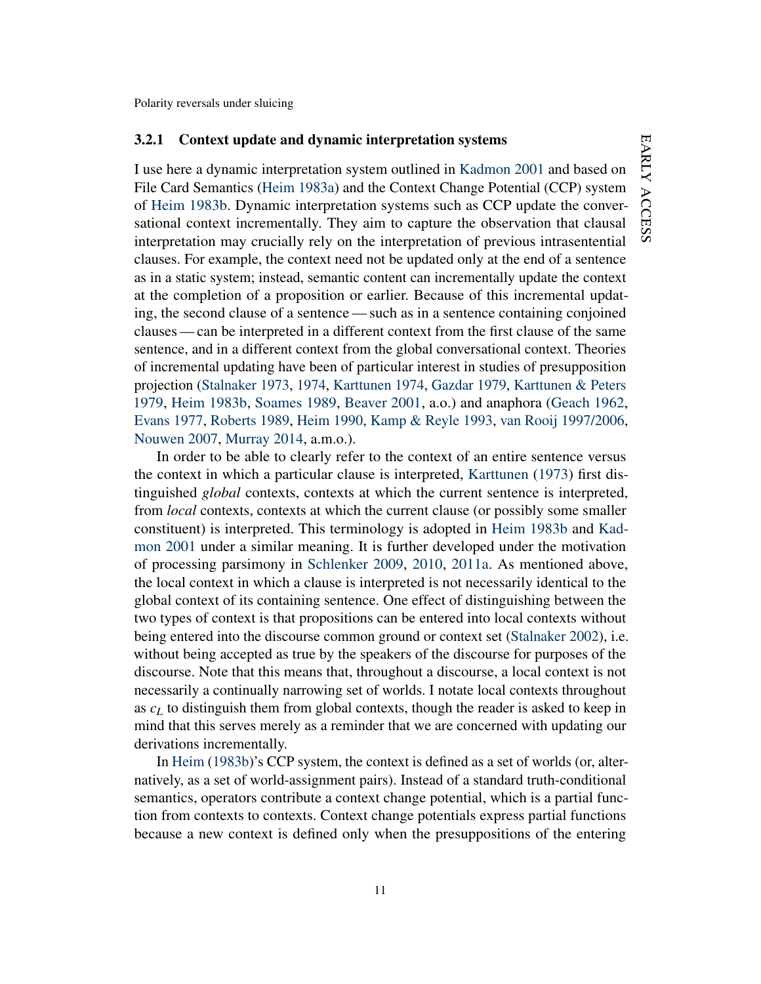#### 3.2.1 Context update and dynamic interpretation systems

I use here a dynamic interpretation system outlined in [Kadmon](#page-45-0) [2001](#page-45-0) and based on File Card Semantics [\(Heim](#page-44-4) [1983a\)](#page-44-4) and the Context Change Potential (CCP) system of [Heim](#page-45-1) [1983b.](#page-45-1) Dynamic interpretation systems such as CCP update the conversational context incrementally. They aim to capture the observation that clausal interpretation may crucially rely on the interpretation of previous intrasentential clauses. For example, the context need not be updated only at the end of a sentence as in a static system; instead, semantic content can incrementally update the context at the completion of a proposition or earlier. Because of this incremental updating, the second clause of a sentence— such as in a sentence containing conjoined clauses— can be interpreted in a different context from the first clause of the same sentence, and in a different context from the global conversational context. Theories of incremental updating have been of particular interest in studies of presupposition projection [\(Stalnaker](#page-49-2) [1973,](#page-49-2) [1974,](#page-49-3) [Karttunen](#page-45-2) [1974,](#page-45-2) [Gazdar](#page-43-3) [1979,](#page-43-3) [Karttunen & Peters](#page-45-3) [1979,](#page-45-3) [Heim](#page-45-1) [1983b,](#page-45-1) [Soames](#page-49-4) [1989,](#page-49-4) [Beaver](#page-42-7) [2001,](#page-42-7) a.o.) and anaphora [\(Geach](#page-43-4) [1962,](#page-43-4) [Evans](#page-43-5) [1977,](#page-43-5) [Roberts](#page-47-2) [1989,](#page-47-2) [Heim](#page-45-4) [1990,](#page-45-4) [Kamp & Reyle](#page-45-5) [1993,](#page-45-5) [van Rooij](#page-48-5) [1997/2006,](#page-48-5) [Nouwen](#page-47-3) [2007,](#page-47-3) [Murray](#page-47-4) [2014,](#page-47-4) a.m.o.).

In order to be able to clearly refer to the context of an entire sentence versus the context in which a particular clause is interpreted, [Karttunen](#page-45-6) [\(1973\)](#page-45-6) first distinguished *global* contexts, contexts at which the current sentence is interpreted, from *local* contexts, contexts at which the current clause (or possibly some smaller constituent) is interpreted. This terminology is adopted in [Heim](#page-45-1) [1983b](#page-45-1) and [Kad](#page-45-0)[mon](#page-45-0) [2001](#page-45-0) under a similar meaning. It is further developed under the motivation of processing parsimony in [Schlenker](#page-48-6) [2009,](#page-48-6) [2010,](#page-48-7) [2011a.](#page-48-8) As mentioned above, the local context in which a clause is interpreted is not necessarily identical to the global context of its containing sentence. One effect of distinguishing between the two types of context is that propositions can be entered into local contexts without being entered into the discourse common ground or context set [\(Stalnaker](#page-49-5) [2002\)](#page-49-5), i.e. without being accepted as true by the speakers of the discourse for purposes of the discourse. Note that this means that, throughout a discourse, a local context is not necessarily a continually narrowing set of worlds. I notate local contexts throughout as *c<sup>L</sup>* to distinguish them from global contexts, though the reader is asked to keep in mind that this serves merely as a reminder that we are concerned with updating our derivations incrementally.

In [Heim](#page-45-1) [\(1983b\)](#page-45-1)'s CCP system, the context is defined as a set of worlds (or, alternatively, as a set of world-assignment pairs). Instead of a standard truth-conditional semantics, operators contribute a context change potential, which is a partial function from contexts to contexts. Context change potentials express partial functions because a new context is defined only when the presuppositions of the entering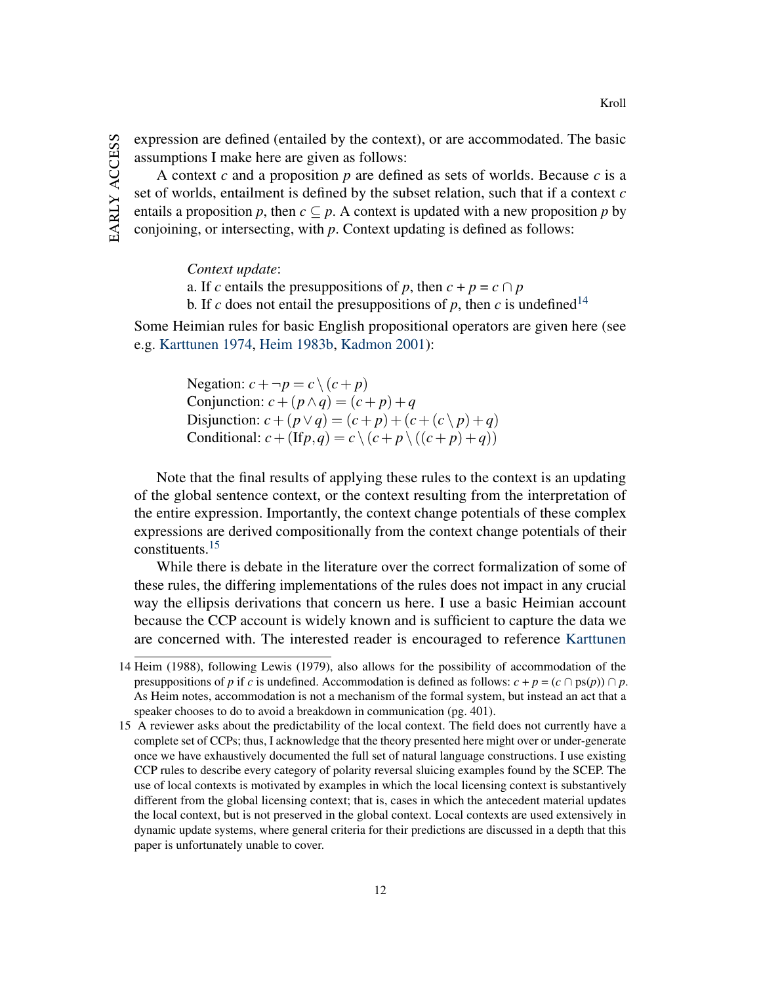expression are defined (entailed by the context), or are accommodated. The basic assumptions I make here are given as follows:

A context *c* and a proposition *p* are defined as sets of worlds. Because *c* is a set of worlds, entailment is defined by the subset relation, such that if a context *c* entails a proposition *p*, then  $c \subseteq p$ . A context is updated with a new proposition *p* by conjoining, or intersecting, with *p*. Context updating is defined as follows:

*Context update*:

a. If *c* entails the presuppositions of *p*, then  $c + p = c \cap p$ 

b. If *c* does not entail the presuppositions of *p*, then *c* is undefined<sup>[14](#page-12-0)</sup>

Some Heimian rules for basic English propositional operators are given here (see e.g. [Karttunen](#page-45-2) [1974,](#page-45-2) [Heim](#page-45-1) [1983b,](#page-45-1) [Kadmon](#page-45-0) [2001\)](#page-45-0):

> Negation:  $c + \neg p = c \setminus (c + p)$ Conjunction:  $c + (p \wedge q) = (c + p) + q$ Disjunction:  $c + (p \lor q) = (c + p) + (c + (c \lor p) + q)$ Conditional:  $c + (\text{If } p, q) = c \setminus (c + p) \setminus ((c + p) + q)$

Note that the final results of applying these rules to the context is an updating of the global sentence context, or the context resulting from the interpretation of the entire expression. Importantly, the context change potentials of these complex expressions are derived compositionally from the context change potentials of their constituents.[15](#page-12-1)

While there is debate in the literature over the correct formalization of some of these rules, the differing implementations of the rules does not impact in any crucial way the ellipsis derivations that concern us here. I use a basic Heimian account because the CCP account is widely known and is sufficient to capture the data we are concerned with. The interested reader is encouraged to reference [Karttunen](#page-45-2)

12

<span id="page-12-0"></span><sup>14</sup> Heim (1988), following Lewis (1979), also allows for the possibility of accommodation of the presuppositions of *p* if *c* is undefined. Accommodation is defined as follows:  $c + p = (c \cap ps(p)) \cap p$ . As Heim notes, accommodation is not a mechanism of the formal system, but instead an act that a speaker chooses to do to avoid a breakdown in communication (pg. 401).

<span id="page-12-1"></span><sup>15</sup> A reviewer asks about the predictability of the local context. The field does not currently have a complete set of CCPs; thus, I acknowledge that the theory presented here might over or under-generate once we have exhaustively documented the full set of natural language constructions. I use existing CCP rules to describe every category of polarity reversal sluicing examples found by the SCEP. The use of local contexts is motivated by examples in which the local licensing context is substantively different from the global licensing context; that is, cases in which the antecedent material updates the local context, but is not preserved in the global context. Local contexts are used extensively in dynamic update systems, where general criteria for their predictions are discussed in a depth that this paper is unfortunately unable to cover.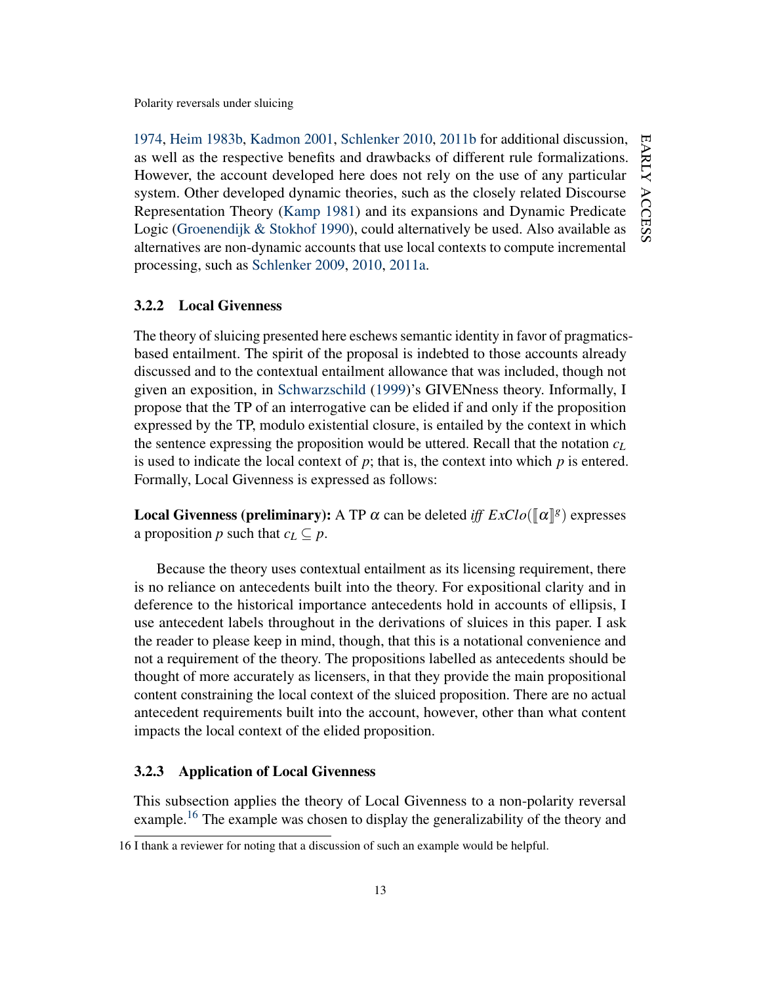[1974,](#page-45-2) [Heim](#page-45-1) [1983b,](#page-45-1) [Kadmon](#page-45-0) [2001,](#page-45-0) [Schlenker](#page-48-7) [2010,](#page-48-7) [2011b](#page-48-9) for additional discussion, EARLY ACCESS early as well as the respective benefits and drawbacks of different rule formalizations. However, the account developed here does not rely on the use of any particular system. Other developed dynamic theories, such as the closely related Discourse access Representation Theory [\(Kamp](#page-45-7) [1981\)](#page-45-7) and its expansions and Dynamic Predicate Logic [\(Groenendijk & Stokhof](#page-44-5) [1990\)](#page-44-5), could alternatively be used. Also available as alternatives are non-dynamic accounts that use local contexts to compute incremental processing, such as [Schlenker](#page-48-6) [2009,](#page-48-6) [2010,](#page-48-7) [2011a.](#page-48-8)

#### 3.2.2 Local Givenness

The theory of sluicing presented here eschews semantic identity in favor of pragmaticsbased entailment. The spirit of the proposal is indebted to those accounts already discussed and to the contextual entailment allowance that was included, though not given an exposition, in [Schwarzschild](#page-49-0) [\(1999\)](#page-49-0)'s GIVENness theory. Informally, I propose that the TP of an interrogative can be elided if and only if the proposition expressed by the TP, modulo existential closure, is entailed by the context in which the sentence expressing the proposition would be uttered. Recall that the notation *c<sup>L</sup>* is used to indicate the local context of  $p$ ; that is, the context into which  $p$  is entered. Formally, Local Givenness is expressed as follows:

**Local Givenness (preliminary):** A TP  $\alpha$  can be deleted *iff*  $ExClo(\llbracket \alpha \rrbracket^g)$  expresses a proposition *p* such that  $c_L \subset p$ .

Because the theory uses contextual entailment as its licensing requirement, there is no reliance on antecedents built into the theory. For expositional clarity and in deference to the historical importance antecedents hold in accounts of ellipsis, I use antecedent labels throughout in the derivations of sluices in this paper. I ask the reader to please keep in mind, though, that this is a notational convenience and not a requirement of the theory. The propositions labelled as antecedents should be thought of more accurately as licensers, in that they provide the main propositional content constraining the local context of the sluiced proposition. There are no actual antecedent requirements built into the account, however, other than what content impacts the local context of the elided proposition.

## 3.2.3 Application of Local Givenness

This subsection applies the theory of Local Givenness to a non-polarity reversal example.<sup>[16](#page-13-0)</sup> The example was chosen to display the generalizability of the theory and

<span id="page-13-0"></span><sup>16</sup> I thank a reviewer for noting that a discussion of such an example would be helpful.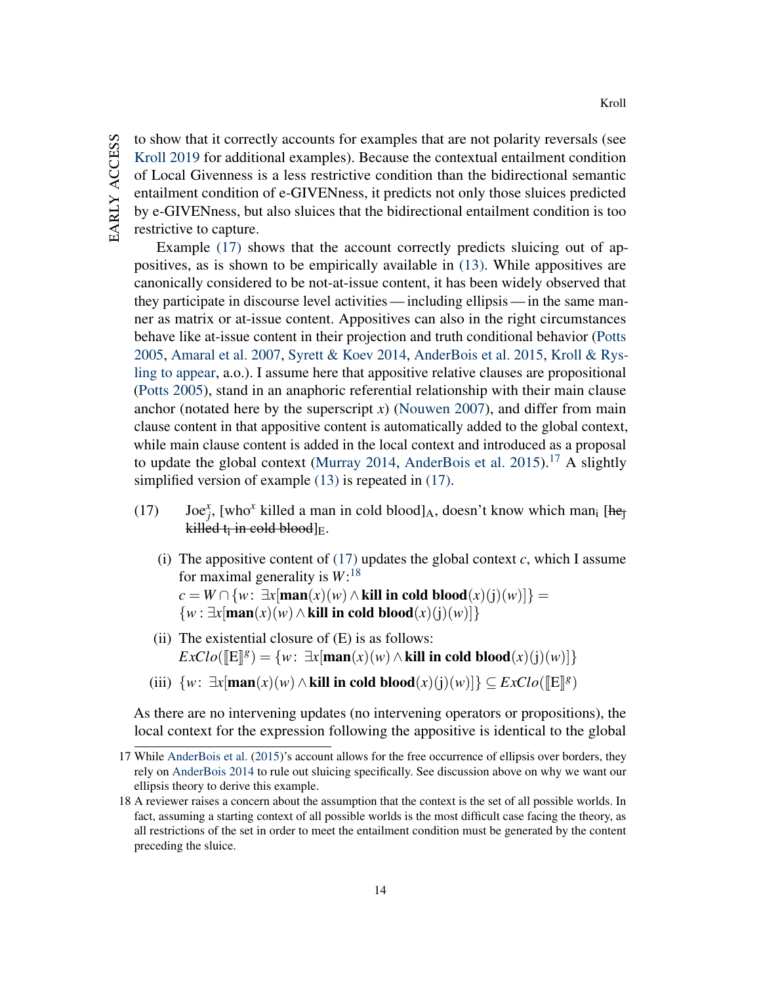to show that it correctly accounts for examples that are not polarity reversals (see [Kroll](#page-46-1) [2019](#page-46-1) for additional examples). Because the contextual entailment condition of Local Givenness is a less restrictive condition than the bidirectional semantic entailment condition of e-GIVENness, it predicts not only those sluices predicted by e-GIVENness, but also sluices that the bidirectional entailment condition is too restrictive to capture.

Example [\(17\)](#page-14-0) shows that the account correctly predicts sluicing out of appositives, as is shown to be empirically available in [\(13\).](#page-7-4) While appositives are canonically considered to be not-at-issue content, it has been widely observed that they participate in discourse level activities — including ellipsis — in the same manner as matrix or at-issue content. Appositives can also in the right circumstances behave like at-issue content in their projection and truth conditional behavior [\(Potts](#page-47-5) [2005,](#page-47-5) [Amaral et al.](#page-41-1) [2007,](#page-41-1) [Syrett & Koev](#page-49-6) [2014,](#page-49-6) [AnderBois et al.](#page-41-2) [2015,](#page-41-2) [Kroll & Rys](#page-46-2)[ling](#page-46-2) [to appear,](#page-46-2) a.o.). I assume here that appositive relative clauses are propositional [\(Potts](#page-47-5) [2005\)](#page-47-5), stand in an anaphoric referential relationship with their main clause anchor (notated here by the superscript *x*) [\(Nouwen](#page-47-3) [2007\)](#page-47-3), and differ from main clause content in that appositive content is automatically added to the global context, while main clause content is added in the local context and introduced as a proposal to update the global context [\(Murray](#page-47-4) [2014,](#page-47-4) [AnderBois et al.](#page-41-2) [2015\)](#page-41-2).<sup>[17](#page-14-1)</sup> A slightly simplified version of example [\(13\)](#page-7-4) is repeated in [\(17\).](#page-14-0)

- <span id="page-14-0"></span>(17) Joe<sup>x</sup><sub>j</sub>, [who<sup>x</sup> killed a man in cold blood]<sub>A</sub>, doesn't know which man<sub>i</sub> [he<sub>j</sub> kill<mark>ed t<sub>i</sub> in cold blood</mark>]<sub>E</sub>.
	- (i) The appositive content of  $(17)$  updates the global context *c*, which I assume for maximal generality is *W*: [18](#page-14-2) *c* = *W* ∩ {*w*:  $\exists$ *x*[**man**(*x*)(*w*) ∧ **kill in cold blood**(*x*)(j)(*w*)]} =  $\{w : \exists x[\text{man}(x)(w) \land \textbf{kill in cold blood}(x)(j)(w)]\}$
	- (ii) The existential closure of  $(E)$  is as follows:  $\text{ExCl}o(\llbracket \text{E} \rrbracket^g) = \{w: \exists x[\text{man}(x)(w) \land \text{kill in cold blood}(x)(j)(w)]\}$
	- (iii)  $\{w: \exists x[\text{man}(x)(w) \land \textbf{kill in cold blood}(x)(j)(w)]\} \subseteq ExClo(\llbracket \textbf{E} \rrbracket^g)$

As there are no intervening updates (no intervening operators or propositions), the local context for the expression following the appositive is identical to the global

<span id="page-14-1"></span><sup>17</sup> While [AnderBois et al.](#page-41-2) [\(2015\)](#page-41-2)'s account allows for the free occurrence of ellipsis over borders, they rely on [AnderBois](#page-41-0) [2014](#page-41-0) to rule out sluicing specifically. See discussion above on why we want our ellipsis theory to derive this example.

<span id="page-14-2"></span><sup>18</sup> A reviewer raises a concern about the assumption that the context is the set of all possible worlds. In fact, assuming a starting context of all possible worlds is the most difficult case facing the theory, as all restrictions of the set in order to meet the entailment condition must be generated by the content preceding the sluice.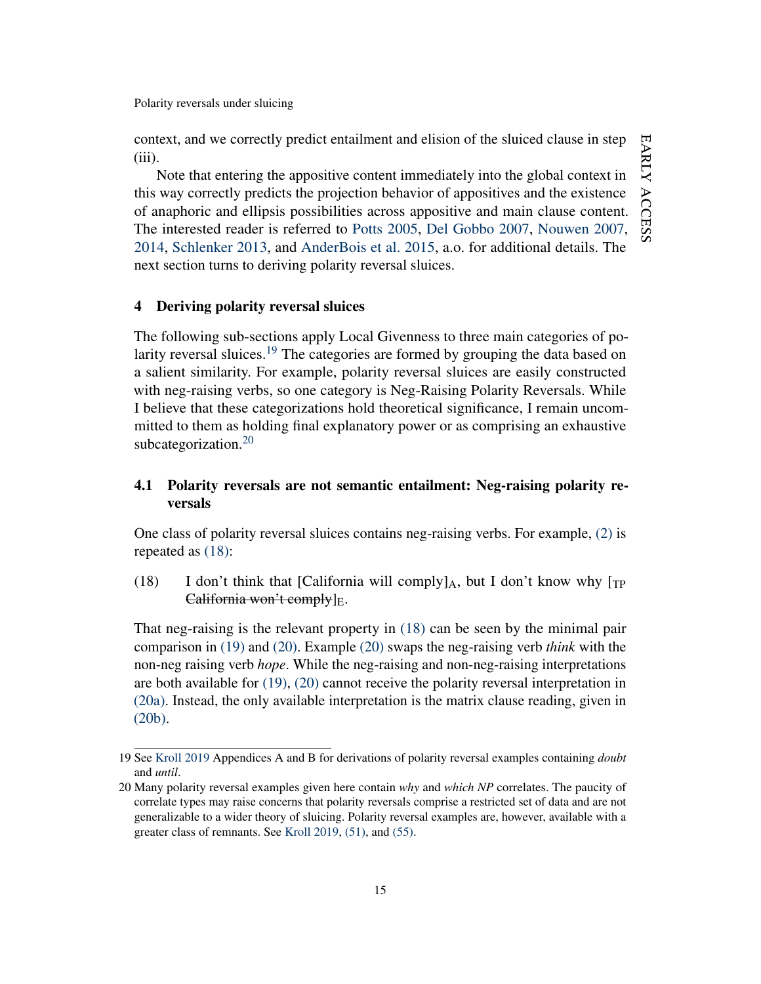context, and we correctly predict entailment and elision of the sluiced clause in step (iii).

Note that entering the appositive content immediately into the global context in this way correctly predicts the projection behavior of appositives and the existence of anaphoric and ellipsis possibilities across appositive and main clause content. The interested reader is referred to [Potts](#page-47-5) [2005,](#page-47-5) [Del Gobbo](#page-43-6) [2007,](#page-43-6) [Nouwen](#page-47-3) [2007,](#page-47-3) [2014,](#page-47-6) [Schlenker](#page-49-7) [2013,](#page-49-7) and [AnderBois et al.](#page-41-2) [2015,](#page-41-2) a.o. for additional details. The next section turns to deriving polarity reversal sluices.

## 4 Deriving polarity reversal sluices

The following sub-sections apply Local Givenness to three main categories of po-larity reversal sluices.<sup>[19](#page-15-0)</sup> The categories are formed by grouping the data based on a salient similarity. For example, polarity reversal sluices are easily constructed with neg-raising verbs, so one category is Neg-Raising Polarity Reversals. While I believe that these categorizations hold theoretical significance, I remain uncommitted to them as holding final explanatory power or as comprising an exhaustive subcategorization.<sup>[20](#page-15-1)</sup>

# 4.1 Polarity reversals are not semantic entailment: Neg-raising polarity reversals

One class of polarity reversal sluices contains neg-raising verbs. For example, [\(2\)](#page-2-1) is repeated as [\(18\):](#page-15-2)

<span id="page-15-2"></span>(18) I don't think that [California will comply] $_A$ , but I don't know why [TP] California won't comply $]E$ .

That neg-raising is the relevant property in [\(18\)](#page-15-2) can be seen by the minimal pair comparison in [\(19\)](#page-15-3) and [\(20\).](#page-16-0) Example [\(20\)](#page-16-0) swaps the neg-raising verb *think* with the non-neg raising verb *hope*. While the neg-raising and non-neg-raising interpretations are both available for [\(19\),](#page-15-3) [\(20\)](#page-16-0) cannot receive the polarity reversal interpretation in [\(20a\).](#page-16-1) Instead, the only available interpretation is the matrix clause reading, given in [\(20b\).](#page-16-2)

<span id="page-15-3"></span><span id="page-15-0"></span><sup>19</sup> See [Kroll](#page-46-1) [2019](#page-46-1) Appendices A and B for derivations of polarity reversal examples containing *doubt* and *until*.

<span id="page-15-1"></span><sup>20</sup> Many polarity reversal examples given here contain *why* and *which NP* correlates. The paucity of correlate types may raise concerns that polarity reversals comprise a restricted set of data and are not generalizable to a wider theory of sluicing. Polarity reversal examples are, however, available with a greater class of remnants. See [Kroll](#page-46-1) [2019,](#page-46-1) [\(51\),](#page-38-0) and [\(55\).](#page-39-0)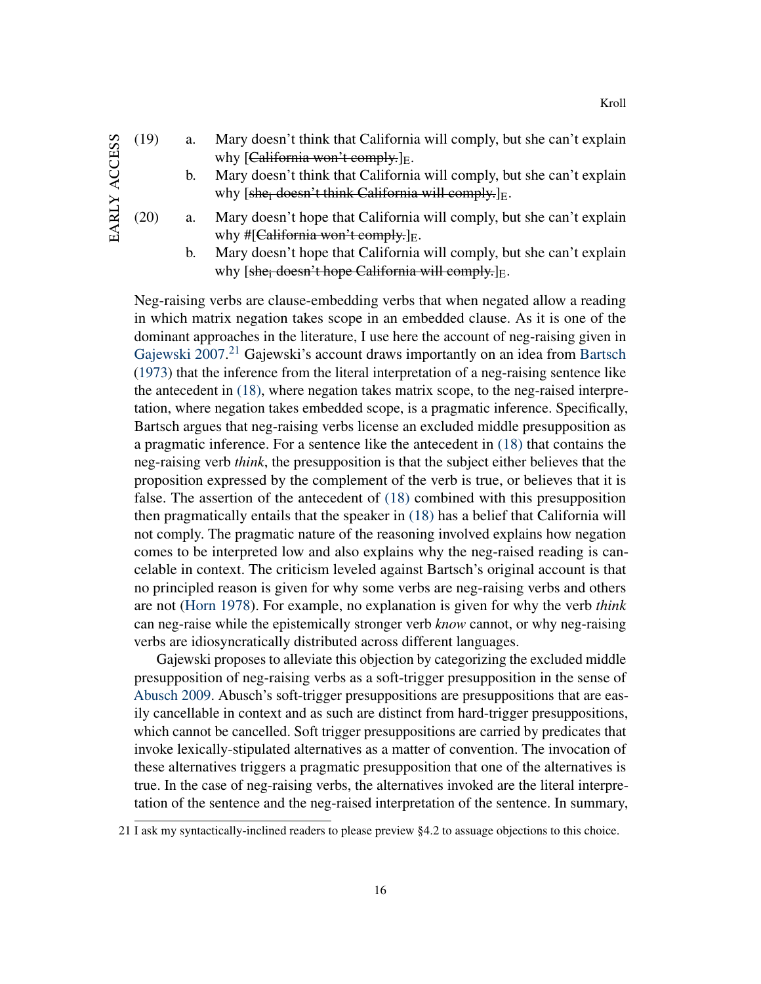- (19) a. Mary doesn't think that California will comply, but she can't explain why  $[California$  won't comply. $]_E$ .
	- b. Mary doesn't think that California will comply, but she can't explain why  $[she<sub>i</sub> doesn't think California will comply.]<sub>E</sub>.$
- <span id="page-16-2"></span><span id="page-16-1"></span><span id="page-16-0"></span>(20) a. Mary doesn't hope that California will comply, but she can't explain why #[California won't comply.] $E$ .
	- b. Mary doesn't hope that California will comply, but she can't explain why  $[she_i$  doesn't hope California will comply.  $]_E$ .

Neg-raising verbs are clause-embedding verbs that when negated allow a reading in which matrix negation takes scope in an embedded clause. As it is one of the dominant approaches in the literature, I use here the account of neg-raising given in [Gajewski](#page-43-7) [2007.](#page-43-7)<sup>[21](#page-16-3)</sup> Gajewski's account draws importantly on an idea from [Bartsch](#page-42-8) [\(1973\)](#page-42-8) that the inference from the literal interpretation of a neg-raising sentence like the antecedent in [\(18\),](#page-15-2) where negation takes matrix scope, to the neg-raised interpretation, where negation takes embedded scope, is a pragmatic inference. Specifically, Bartsch argues that neg-raising verbs license an excluded middle presupposition as a pragmatic inference. For a sentence like the antecedent in [\(18\)](#page-15-2) that contains the neg-raising verb *think*, the presupposition is that the subject either believes that the proposition expressed by the complement of the verb is true, or believes that it is false. The assertion of the antecedent of [\(18\)](#page-15-2) combined with this presupposition then pragmatically entails that the speaker in [\(18\)](#page-15-2) has a belief that California will not comply. The pragmatic nature of the reasoning involved explains how negation comes to be interpreted low and also explains why the neg-raised reading is cancelable in context. The criticism leveled against Bartsch's original account is that no principled reason is given for why some verbs are neg-raising verbs and others are not [\(Horn](#page-45-8) [1978\)](#page-45-8). For example, no explanation is given for why the verb *think* can neg-raise while the epistemically stronger verb *know* cannot, or why neg-raising verbs are idiosyncratically distributed across different languages.

Gajewski proposes to alleviate this objection by categorizing the excluded middle presupposition of neg-raising verbs as a soft-trigger presupposition in the sense of [Abusch](#page-41-3) [2009.](#page-41-3) Abusch's soft-trigger presuppositions are presuppositions that are easily cancellable in context and as such are distinct from hard-trigger presuppositions, which cannot be cancelled. Soft trigger presuppositions are carried by predicates that invoke lexically-stipulated alternatives as a matter of convention. The invocation of these alternatives triggers a pragmatic presupposition that one of the alternatives is true. In the case of neg-raising verbs, the alternatives invoked are the literal interpretation of the sentence and the neg-raised interpretation of the sentence. In summary,

<span id="page-16-3"></span><sup>21</sup> I ask my syntactically-inclined readers to please preview §4.2 to assuage objections to this choice.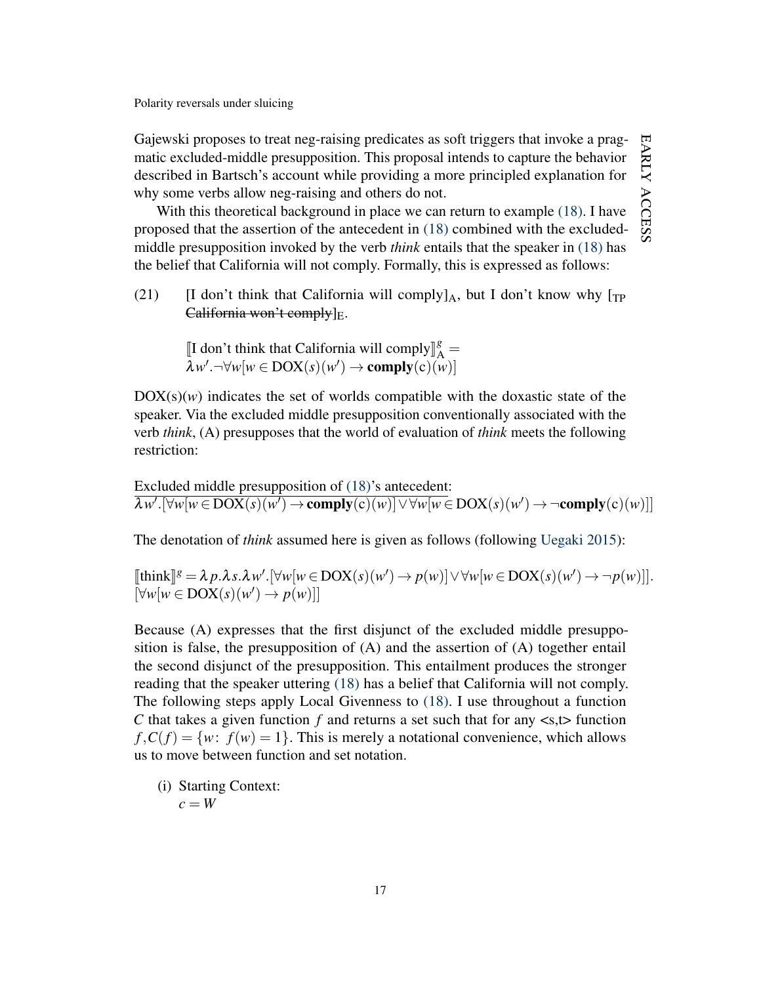Gajewski proposes to treat neg-raising predicates as soft triggers that invoke a pragmatic excluded-middle presupposition. This proposal intends to capture the behavior described in Bartsch's account while providing a more principled explanation for why some verbs allow neg-raising and others do not.

With this theoretical background in place we can return to example [\(18\).](#page-15-2) I have proposed that the assertion of the antecedent in [\(18\)](#page-15-2) combined with the excludedmiddle presupposition invoked by the verb *think* entails that the speaker in [\(18\)](#page-15-2) has the belief that California will not comply. Formally, this is expressed as follows:

(21) [I don't think that California will comply] $_A$ , but I don't know why [ $_{TP}$ ] California won't comply $]E$ .

> [I don't think that California will comply $\begin{bmatrix} \mathbb{S} \\ A \end{bmatrix} = \begin{bmatrix} \frac{1}{2}w' - \forall w[w \in \text{DOY}(s)(w')] \\ \end{bmatrix}$  $\overline{\lambda}w'$ .  $\neg\forall w[w \in \text{DOX}(s)(w') \rightarrow \text{complex}(c)(w)]$

 $DOX(s)(w)$  indicates the set of worlds compatible with the doxastic state of the speaker. Via the excluded middle presupposition conventionally associated with the verb *think*, (A) presupposes that the world of evaluation of *think* meets the following restriction:

Excluded middle presupposition of [\(18\)'](#page-15-2)s antecedent:  $\lambda w'.[\forall w[w \in \text{DOX}(s)(w') \rightarrow \text{complex}(c)(w)] \vee \forall w[w \in \text{DOX}(s)(w') \rightarrow \neg \text{complex}(c)(w)]$ 

The denotation of *think* assumed here is given as follows (following [Uegaki](#page-49-8) [2015\)](#page-49-8):

 $[\![\text{think}]\!]^g = \lambda p.\lambda s.\lambda w'.[\forall w[w \in \text{DOX}(s)(w') \rightarrow p(w)] \vee \forall w[w \in \text{DOX}(s)(w') \rightarrow \neg p(w)]].$  $[\forall w[w \in \text{DOX}(s)(w') \rightarrow p(w)]]$ 

Because (A) expresses that the first disjunct of the excluded middle presupposition is false, the presupposition of (A) and the assertion of (A) together entail the second disjunct of the presupposition. This entailment produces the stronger reading that the speaker uttering [\(18\)](#page-15-2) has a belief that California will not comply. The following steps apply Local Givenness to [\(18\).](#page-15-2) I use throughout a function *C* that takes a given function  $f$  and returns a set such that for any  $\langle s, t \rangle$  function  $f, C(f) = \{w: f(w) = 1\}$ . This is merely a notational convenience, which allows us to move between function and set notation.

(i) Starting Context:  $c = W$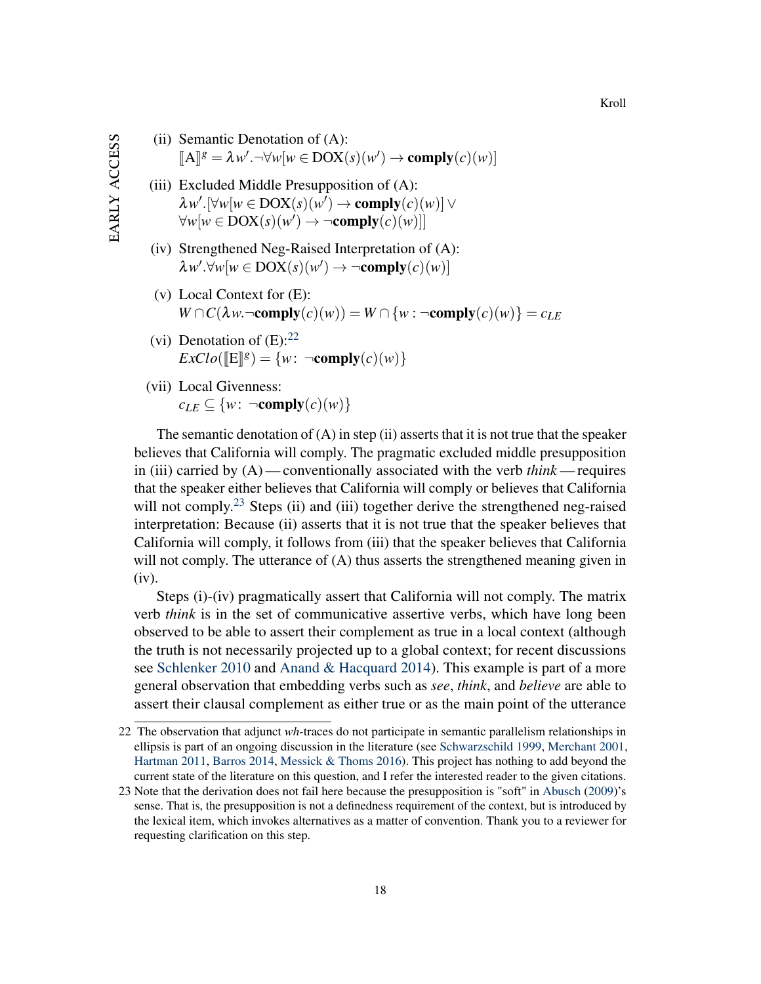- (ii) Semantic Denotation of (A):  $[\mathbb{A}]$ <sup>*g*</sup> =  $\lambda w'$ .  $\neg \forall w [w \in \text{DOX}(s)(w') \rightarrow \text{comply}(c)(w)]$
- (iii) Excluded Middle Presupposition of (A):  $\lambda w'.[\forall w[w \in \text{DOX}(s)(w') \rightarrow \text{complex}(c)(w)] \vee$  $\forall w[w \in \text{DOX}(s)(w') \rightarrow \neg \text{comply}(c)(w)]$
- (iv) Strengthened Neg-Raised Interpretation of (A):  $\lambda w'.\forall w[w \in \text{DOX}(s)(w') \rightarrow \neg \text{comply}(c)(w)]$
- (v) Local Context for (E):  $W \cap C(\lambda w \cap \text{comply}(c)(w)) = W \cap \{w : \neg \text{comply}(c)(w)\} = c_{LE}$
- (vi) Denotation of  $(E)$ :  $22$  $\text{ExClo}(\llbracket \mathbf{E} \rrbracket^g) = \{w \colon \neg \text{comply}(c)(w)\}$
- (vii) Local Givenness:  $c_{LE} \subseteq \{w: \neg \text{comply}(c)(w)\}\$

The semantic denotation of  $(A)$  in step (ii) asserts that it is not true that the speaker believes that California will comply. The pragmatic excluded middle presupposition in (iii) carried by (A)— conventionally associated with the verb *think* — requires that the speaker either believes that California will comply or believes that California will not comply.<sup>[23](#page-18-1)</sup> Steps (ii) and (iii) together derive the strengthened neg-raised interpretation: Because (ii) asserts that it is not true that the speaker believes that California will comply, it follows from (iii) that the speaker believes that California will not comply. The utterance of (A) thus asserts the strengthened meaning given in (iv).

Steps (i)-(iv) pragmatically assert that California will not comply. The matrix verb *think* is in the set of communicative assertive verbs, which have long been observed to be able to assert their complement as true in a local context (although the truth is not necessarily projected up to a global context; for recent discussions see [Schlenker](#page-48-7) [2010](#page-48-7) and [Anand & Hacquard](#page-41-4) [2014\)](#page-41-4). This example is part of a more general observation that embedding verbs such as *see*, *think*, and *believe* are able to assert their clausal complement as either true or as the main point of the utterance

<span id="page-18-0"></span><sup>22</sup> The observation that adjunct *wh*-traces do not participate in semantic parallelism relationships in ellipsis is part of an ongoing discussion in the literature (see [Schwarzschild](#page-49-0) [1999,](#page-49-0) [Merchant](#page-46-0) [2001,](#page-46-0) [Hartman](#page-44-6) [2011,](#page-44-6) [Barros](#page-42-3) [2014,](#page-42-3) [Messick & Thoms](#page-47-7) [2016\)](#page-47-7). This project has nothing to add beyond the current state of the literature on this question, and I refer the interested reader to the given citations.

<span id="page-18-1"></span><sup>23</sup> Note that the derivation does not fail here because the presupposition is "soft" in [Abusch](#page-41-3) [\(2009\)](#page-41-3)'s sense. That is, the presupposition is not a definedness requirement of the context, but is introduced by the lexical item, which invokes alternatives as a matter of convention. Thank you to a reviewer for requesting clarification on this step.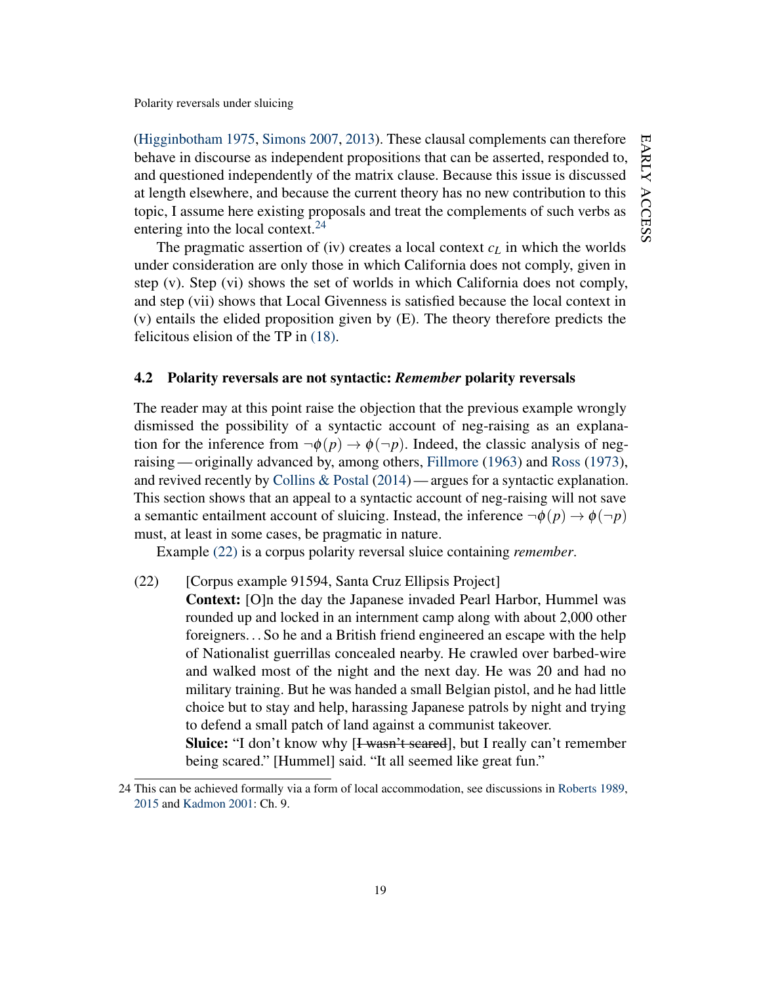[\(Higginbotham](#page-45-9) [1975,](#page-45-9) [Simons](#page-49-9) [2007,](#page-49-9) [2013\)](#page-49-10). These clausal complements can therefore behave in discourse as independent propositions that can be asserted, responded to, and questioned independently of the matrix clause. Because this issue is discussed at length elsewhere, and because the current theory has no new contribution to this topic, I assume here existing proposals and treat the complements of such verbs as entering into the local context. $24$ 

The pragmatic assertion of (iv) creates a local context  $c_L$  in which the worlds under consideration are only those in which California does not comply, given in step (v). Step (vi) shows the set of worlds in which California does not comply, and step (vii) shows that Local Givenness is satisfied because the local context in (v) entails the elided proposition given by (E). The theory therefore predicts the felicitous elision of the TP in [\(18\).](#page-15-2)

## 4.2 Polarity reversals are not syntactic: *Remember* polarity reversals

The reader may at this point raise the objection that the previous example wrongly dismissed the possibility of a syntactic account of neg-raising as an explanation for the inference from  $\neg \phi(p) \rightarrow \phi(\neg p)$ . Indeed, the classic analysis of negraising— originally advanced by, among others, [Fillmore](#page-43-8) [\(1963\)](#page-43-8) and [Ross](#page-48-10) [\(1973\)](#page-48-10), and revived recently by [Collins & Postal](#page-42-9) [\(2014\)](#page-42-9) — argues for a syntactic explanation. This section shows that an appeal to a syntactic account of neg-raising will not save a semantic entailment account of sluicing. Instead, the inference  $\neg \phi(p) \rightarrow \phi(\neg p)$ must, at least in some cases, be pragmatic in nature.

Example [\(22\)](#page-19-1) is a corpus polarity reversal sluice containing *remember*.

- <span id="page-19-1"></span>(22) [Corpus example 91594, Santa Cruz Ellipsis Project]
	- Context: [O]n the day the Japanese invaded Pearl Harbor, Hummel was rounded up and locked in an internment camp along with about 2,000 other foreigners. . . So he and a British friend engineered an escape with the help of Nationalist guerrillas concealed nearby. He crawled over barbed-wire and walked most of the night and the next day. He was 20 and had no military training. But he was handed a small Belgian pistol, and he had little choice but to stay and help, harassing Japanese patrols by night and trying to defend a small patch of land against a communist takeover. Sluice: "I don't know why [I wasn't seared], but I really can't remember being scared." [Hummel] said. "It all seemed like great fun."

<span id="page-19-0"></span><sup>24</sup> This can be achieved formally via a form of local accommodation, see discussions in [Roberts](#page-47-2) [1989,](#page-47-2) [2015](#page-48-11) and [Kadmon](#page-45-0) [2001:](#page-45-0) Ch. 9.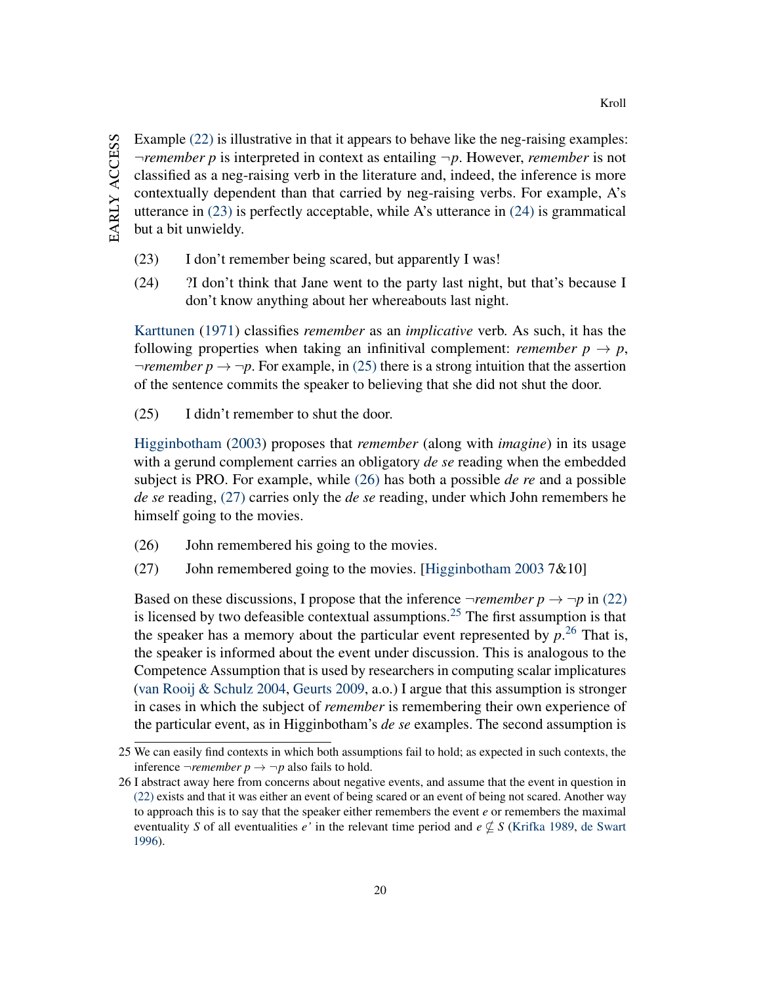Example [\(22\)](#page-19-1) is illustrative in that it appears to behave like the neg-raising examples: ¬*remember p* is interpreted in context as entailing ¬*p*. However, *remember* is not classified as a neg-raising verb in the literature and, indeed, the inference is more contextually dependent than that carried by neg-raising verbs. For example, A's utterance in [\(23\)](#page-20-0) is perfectly acceptable, while A's utterance in [\(24\)](#page-20-1) is grammatical but a bit unwieldy.

- <span id="page-20-1"></span><span id="page-20-0"></span>(23) I don't remember being scared, but apparently I was!
- (24) ?I don't think that Jane went to the party last night, but that's because I don't know anything about her whereabouts last night.

[Karttunen](#page-45-10) [\(1971\)](#page-45-10) classifies *remember* as an *implicative* verb. As such, it has the following properties when taking an infinitival complement: *remember*  $p \rightarrow p$ ,  $\neg$ *remember p*  $\rightarrow \neg p$ . For example, in [\(25\)](#page-20-2) there is a strong intuition that the assertion of the sentence commits the speaker to believing that she did not shut the door.

<span id="page-20-2"></span>(25) I didn't remember to shut the door.

[Higginbotham](#page-45-11) [\(2003\)](#page-45-11) proposes that *remember* (along with *imagine*) in its usage with a gerund complement carries an obligatory *de se* reading when the embedded subject is PRO. For example, while [\(26\)](#page-20-3) has both a possible *de re* and a possible *de se* reading, [\(27\)](#page-20-4) carries only the *de se* reading, under which John remembers he himself going to the movies.

- <span id="page-20-4"></span><span id="page-20-3"></span>(26) John remembered his going to the movies.
- (27) John remembered going to the movies. [\[Higginbotham](#page-45-11) [2003](#page-45-11) 7 $&0$ 10]

Based on these discussions, I propose that the inference  $\neg$ *remember*  $p \rightarrow \neg p$  in [\(22\)](#page-19-1) is licensed by two defeasible contextual assumptions.[25](#page-20-5) The first assumption is that the speaker has a memory about the particular event represented by  $p^{26}$  $p^{26}$  $p^{26}$  That is, the speaker is informed about the event under discussion. This is analogous to the Competence Assumption that is used by researchers in computing scalar implicatures [\(van Rooij & Schulz](#page-48-12) [2004,](#page-48-12) [Geurts](#page-43-9) [2009,](#page-43-9) a.o.) I argue that this assumption is stronger in cases in which the subject of *remember* is remembering their own experience of the particular event, as in Higginbotham's *de se* examples. The second assumption is

<span id="page-20-5"></span><sup>25</sup> We can easily find contexts in which both assumptions fail to hold; as expected in such contexts, the inference  $\neg$ *remember*  $p \rightarrow \neg p$  also fails to hold.

<span id="page-20-6"></span><sup>26</sup> I abstract away here from concerns about negative events, and assume that the event in question in [\(22\)](#page-19-1) exists and that it was either an event of being scared or an event of being not scared. Another way to approach this is to say that the speaker either remembers the event *e* or remembers the maximal eventuality *S* of all eventualities *e'* in the relevant time period and  $e \nsubseteq S$  [\(Krifka](#page-46-3) [1989,](#page-46-3) [de Swart](#page-49-11) [1996\)](#page-49-11).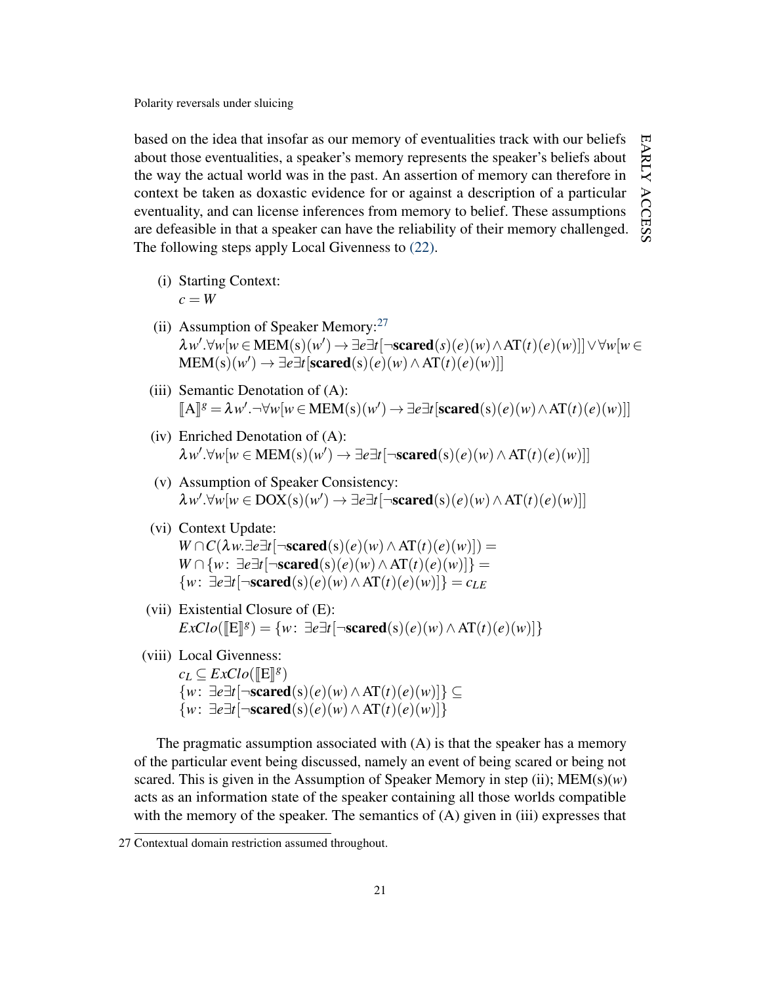based on the idea that insofar as our memory of eventualities track with our beliefs EARLY ACCESS early about those eventualities, a speaker's memory represents the speaker's beliefs about the way the actual world was in the past. An assertion of memory can therefore in context be taken as doxastic evidence for or against a description of a particular access eventuality, and can license inferences from memory to belief. These assumptions are defeasible in that a speaker can have the reliability of their memory challenged. The following steps apply Local Givenness to [\(22\).](#page-19-1)

- (i) Starting Context:  $c = W$
- (ii) Assumption of Speaker Memory: $27$  $\lambda w'.\forall w[w \in MEM(s)(w') \rightarrow \exists e \exists t[\neg \textbf{scared}(s)(e)(w) \land AT(t)(e)(w)]]$  $\lor \forall w[w \in$  $\text{MEM}(s)(w') \rightarrow \exists e \exists t [\text{scared}(s)(e)(w) \land \text{AT}(t)(e)(w)]$
- (iii) Semantic Denotation of (A):  $\llbracket A \rrbracket g = \lambda w'. \neg \forall w[w \in MEM(s)(w') \rightarrow \exists e \exists t [\text{scared}(s)(e)(w) \land AT(t)(e)(w)]$
- (iv) Enriched Denotation of (A):  $\lambda w'.\forall w[w \in \mathbf{MEM}(s)(w') \rightarrow \exists e \exists t [\neg \mathbf{scared}(s)(e)(w) \wedge \mathbf{AT}(t)(e)(w)]$
- (v) Assumption of Speaker Consistency:  $\lambda w'.\forall w[w \in \text{DOX}(s)(w') \rightarrow \exists e \exists t [\neg \textbf{scared}(s)(e)(w) \land \text{AT}(t)(e)(w)]$
- (vi) Context Update: *W* ∩ *C*( $\lambda w.\exists e \exists t$ [¬scared(s)(*e*)(*w*)∧AT(*t*)(*e*)(*w*)]) = *W* ∩ {*w*: ∃*e*∃*t*[¬scared(s)(*e*)(*w*)∧AT(*t*)(*e*)(*w*)]} = {*w*: ∃*e*∃*t*[¬scared(s)(*e*)(*w*)∧AT(*t*)(*e*)(*w*)]} = *cLE*
- (vii) Existential Closure of (E):  $\text{ExClo}([\mathbb{E}]^g) = \{w : \exists e \exists t [\neg \textbf{scared}(s)(e)(w) \land AT(t)(e)(w)]\}$
- (viii) Local Givenness:

 $c_L \subseteq ExClo(\llbracket E \rrbracket^g)$ {*w*: ∃*e*∃*t*[¬scared(s)(*e*)(*w*)∧AT(*t*)(*e*)(*w*)]} ⊆  $\{w: \exists e \exists t$ [¬scared(s)(*e*)(*w*)∧AT(*t*)(*e*)(*w*)]}

The pragmatic assumption associated with  $(A)$  is that the speaker has a memory of the particular event being discussed, namely an event of being scared or being not scared. This is given in the Assumption of Speaker Memory in step (ii);  $MEM(s)(w)$ acts as an information state of the speaker containing all those worlds compatible with the memory of the speaker. The semantics of  $(A)$  given in (iii) expresses that

<span id="page-21-0"></span><sup>27</sup> Contextual domain restriction assumed throughout.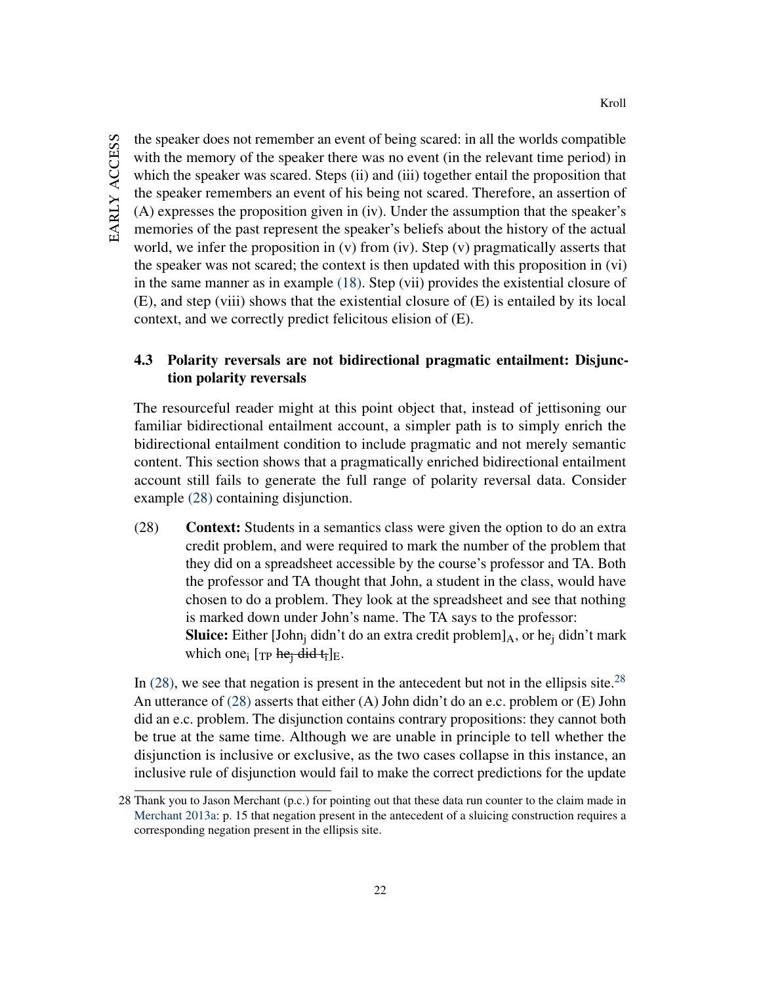the speaker does not remember an event of being scared: in all the worlds compatible with the memory of the speaker there was no event (in the relevant time period) in which the speaker was scared. Steps (ii) and (iii) together entail the proposition that the speaker remembers an event of his being not scared. Therefore, an assertion of (A) expresses the proposition given in (iv). Under the assumption that the speaker's memories of the past represent the speaker's beliefs about the history of the actual world, we infer the proposition in (v) from (iv). Step (v) pragmatically asserts that the speaker was not scared; the context is then updated with this proposition in (vi) in the same manner as in example [\(18\).](#page-15-2) Step (vii) provides the existential closure of (E), and step (viii) shows that the existential closure of (E) is entailed by its local context, and we correctly predict felicitous elision of (E).

# 4.3 Polarity reversals are not bidirectional pragmatic entailment: Disjunction polarity reversals

The resourceful reader might at this point object that, instead of jettisoning our familiar bidirectional entailment account, a simpler path is to simply enrich the bidirectional entailment condition to include pragmatic and not merely semantic content. This section shows that a pragmatically enriched bidirectional entailment account still fails to generate the full range of polarity reversal data. Consider example [\(28\)](#page-22-0) containing disjunction.

<span id="page-22-0"></span>(28) Context: Students in a semantics class were given the option to do an extra credit problem, and were required to mark the number of the problem that they did on a spreadsheet accessible by the course's professor and TA. Both the professor and TA thought that John, a student in the class, would have chosen to do a problem. They look at the spreadsheet and see that nothing is marked down under John's name. The TA says to the professor: **Sluice:** Either [John<sub>i</sub> didn't do an extra credit problem] $_A$ , or he<sub>i</sub> didn't mark which one<sub>i</sub> [TP he<sub>i</sub> did t<sub>i</sub>]<sub>E</sub>.

In [\(28\),](#page-22-0) we see that negation is present in the antecedent but not in the ellipsis site.<sup>[28](#page-22-1)</sup> An utterance of  $(28)$  asserts that either  $(A)$  John didn't do an e.c. problem or  $(E)$  John did an e.c. problem. The disjunction contains contrary propositions: they cannot both be true at the same time. Although we are unable in principle to tell whether the disjunction is inclusive or exclusive, as the two cases collapse in this instance, an inclusive rule of disjunction would fail to make the correct predictions for the update

<span id="page-22-1"></span><sup>28</sup> Thank you to Jason Merchant (p.c.) for pointing out that these data run counter to the claim made in [Merchant](#page-47-1) [2013a:](#page-47-1) p. 15 that negation present in the antecedent of a sluicing construction requires a corresponding negation present in the ellipsis site.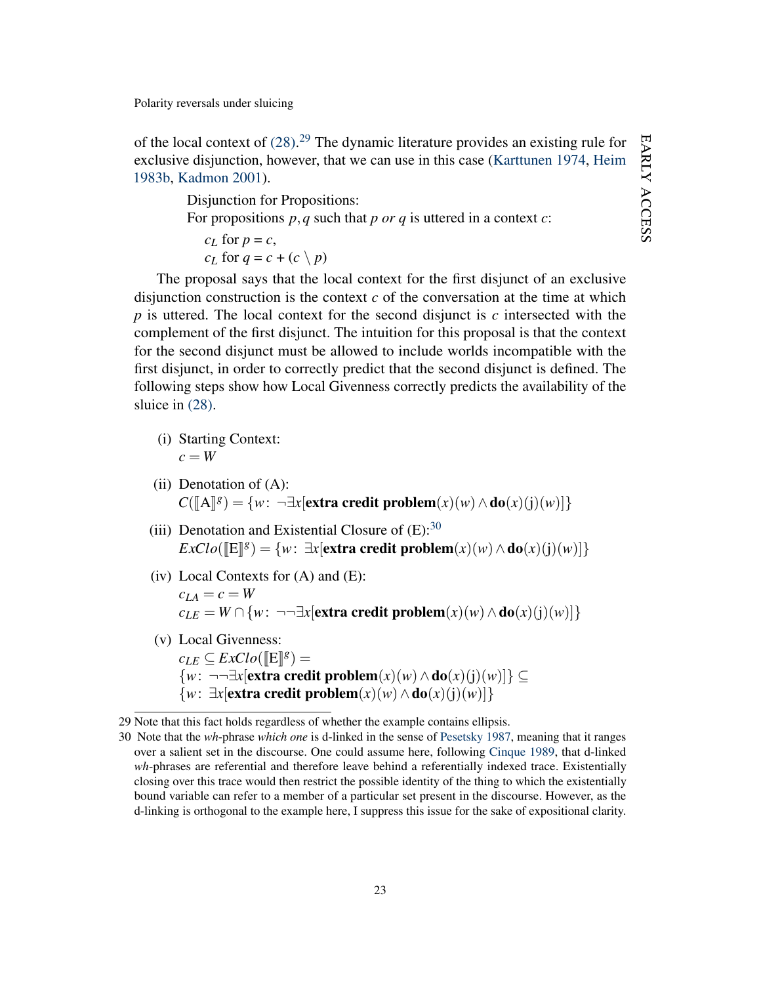of the local context of  $(28)$ .<sup>[29](#page-23-0)</sup> The dynamic literature provides an existing rule for exclusive disjunction, however, that we can use in this case [\(Karttunen](#page-45-2) [1974,](#page-45-2) [Heim](#page-45-1) [1983b,](#page-45-1) [Kadmon](#page-45-0) [2001\)](#page-45-0).

> Disjunction for Propositions: For propositions *p*,*q* such that *p or q* is uttered in a context *c*:  $c_L$  for  $p = c$ , *c<sub>L</sub>* for  $q = c + (c \setminus p)$

The proposal says that the local context for the first disjunct of an exclusive disjunction construction is the context  $c$  of the conversation at the time at which *p* is uttered. The local context for the second disjunct is *c* intersected with the complement of the first disjunct. The intuition for this proposal is that the context for the second disjunct must be allowed to include worlds incompatible with the first disjunct, in order to correctly predict that the second disjunct is defined. The following steps show how Local Givenness correctly predicts the availability of the sluice in [\(28\).](#page-22-0)

- (i) Starting Context:  $c = W$
- (ii) Denotation of  $(A)$ :  $C([A]^g) = \{w: \neg \exists x[\textbf{extra credit problem}(x)(w) \land \textbf{do}(x)(j)(w)]\}$
- (iii) Denotation and Existential Closure of  $(E)$ :<sup>[30](#page-23-1)</sup>  $\text{ExCl}o([\mathbb{E}]\mathbb{S}) = \{w: \exists x[\text{extra credit problem}(x)(w) \land \text{do}(x)(j)(w)]\}$
- (iv) Local Contexts for  $(A)$  and  $(E)$ :  $c_{LA} = c = W$ *c*<sub>LE</sub> = *W* ∩ {*w*: ¬¬∃*x*[extra credit problem(*x*)(*w*) ∧do(*x*)(j)(*w*)]}
- (v) Local Givenness:  $c_{LE} \subseteq ExClo(\llbracket \text{E} \rrbracket g) =$ {*w*: ¬¬∃*x*[extra credit problem(*x*)(*w*)∧do(*x*)(j)(*w*)]} ⊆  ${w: \exists x$ [extra credit problem(*x*)(*w*)∧do(*x*)(j)(*w*)]}

<span id="page-23-0"></span><sup>29</sup> Note that this fact holds regardless of whether the example contains ellipsis.

<span id="page-23-1"></span><sup>30</sup> Note that the *wh*-phrase *which one* is d-linked in the sense of [Pesetsky](#page-47-8) [1987,](#page-47-8) meaning that it ranges over a salient set in the discourse. One could assume here, following [Cinque](#page-42-10) [1989,](#page-42-10) that d-linked *wh*-phrases are referential and therefore leave behind a referentially indexed trace. Existentially closing over this trace would then restrict the possible identity of the thing to which the existentially bound variable can refer to a member of a particular set present in the discourse. However, as the d-linking is orthogonal to the example here, I suppress this issue for the sake of expositional clarity.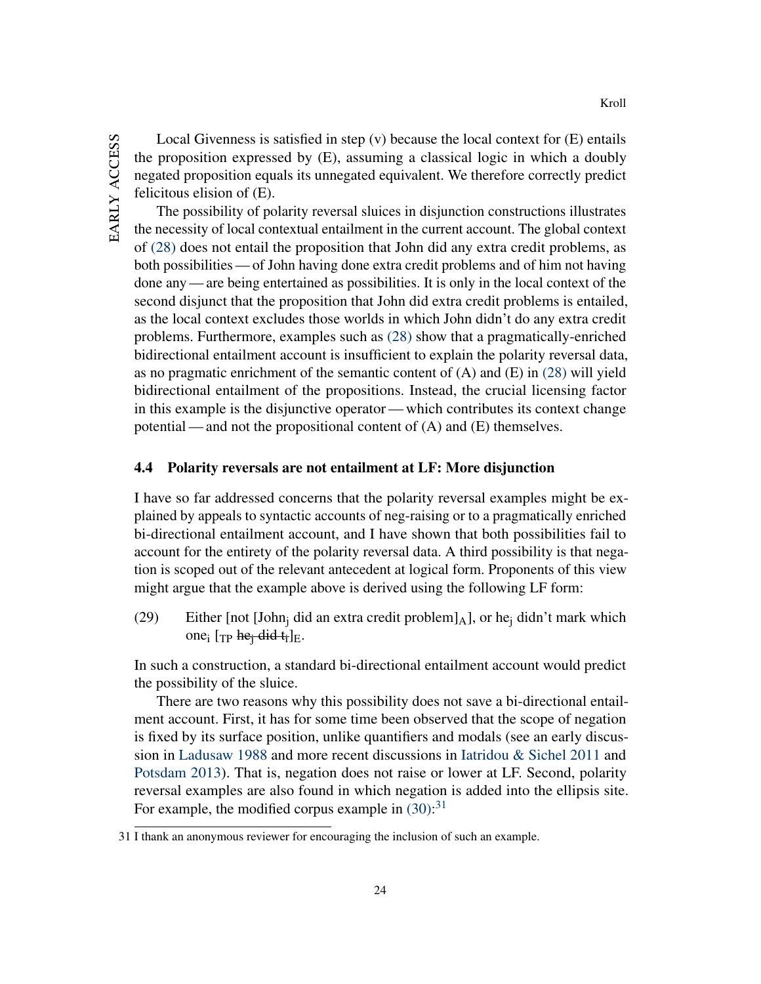Local Givenness is satisfied in step  $(v)$  because the local context for  $(E)$  entails the proposition expressed by (E), assuming a classical logic in which a doubly negated proposition equals its unnegated equivalent. We therefore correctly predict felicitous elision of (E).

Kroll

The possibility of polarity reversal sluices in disjunction constructions illustrates the necessity of local contextual entailment in the current account. The global context of [\(28\)](#page-22-0) does not entail the proposition that John did any extra credit problems, as both possibilities — of John having done extra credit problems and of him not having done any — are being entertained as possibilities. It is only in the local context of the second disjunct that the proposition that John did extra credit problems is entailed, as the local context excludes those worlds in which John didn't do any extra credit problems. Furthermore, examples such as [\(28\)](#page-22-0) show that a pragmatically-enriched bidirectional entailment account is insufficient to explain the polarity reversal data, as no pragmatic enrichment of the semantic content of (A) and (E) in [\(28\)](#page-22-0) will yield bidirectional entailment of the propositions. Instead, the crucial licensing factor in this example is the disjunctive operator— which contributes its context change potential — and not the propositional content of (A) and (E) themselves.

#### 4.4 Polarity reversals are not entailment at LF: More disjunction

I have so far addressed concerns that the polarity reversal examples might be explained by appeals to syntactic accounts of neg-raising or to a pragmatically enriched bi-directional entailment account, and I have shown that both possibilities fail to account for the entirety of the polarity reversal data. A third possibility is that negation is scoped out of the relevant antecedent at logical form. Proponents of this view might argue that the example above is derived using the following LF form:

(29) Either [not [John<sub>i</sub> did an extra credit problem]<sub>A</sub>], or he<sub>i</sub> didn't mark which one<sub>i</sub> [Tp he<sub>j</sub> did  $t_i$ ]<sub>E</sub>.

In such a construction, a standard bi-directional entailment account would predict the possibility of the sluice.

There are two reasons why this possibility does not save a bi-directional entailment account. First, it has for some time been observed that the scope of negation is fixed by its surface position, unlike quantifiers and modals (see an early discussion in [Ladusaw](#page-46-4) [1988](#page-46-4) and more recent discussions in [Iatridou & Sichel](#page-45-12) [2011](#page-45-12) and [Potsdam](#page-47-9) [2013\)](#page-47-9). That is, negation does not raise or lower at LF. Second, polarity reversal examples are also found in which negation is added into the ellipsis site. For example, the modified corpus example in  $(30)$ :<sup>[31](#page-24-1)</sup>

<span id="page-24-1"></span><span id="page-24-0"></span><sup>31</sup> I thank an anonymous reviewer for encouraging the inclusion of such an example.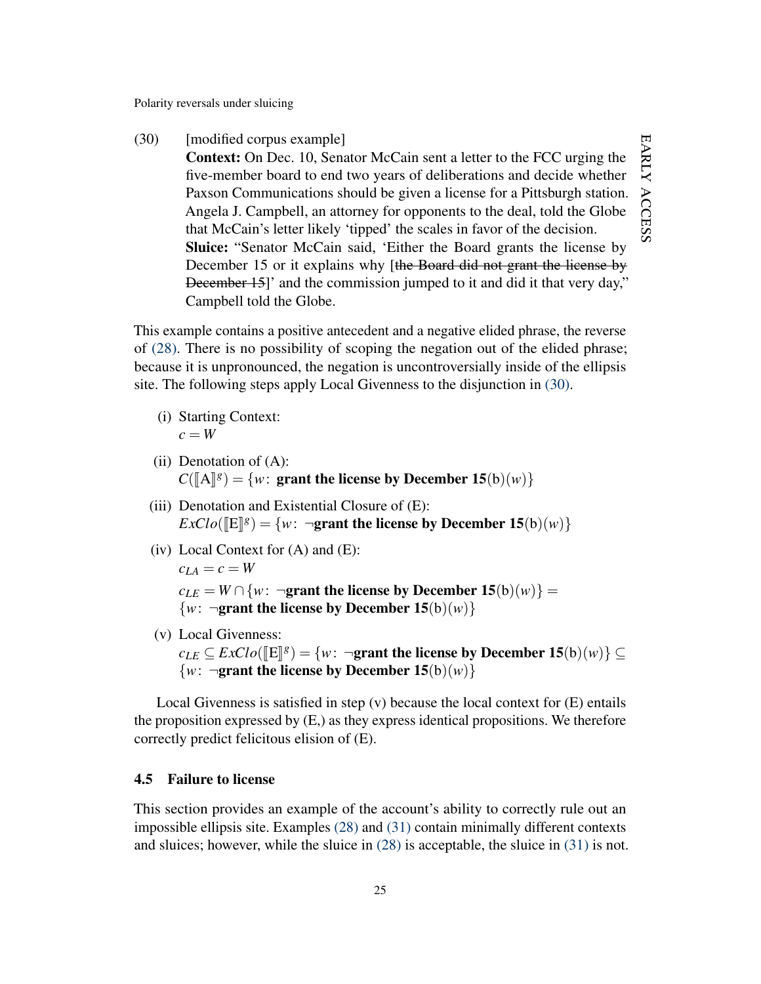(30) [modified corpus example] Context: On Dec. 10, Senator McCain sent a letter to the FCC urging the five-member board to end two years of deliberations and decide whether Paxson Communications should be given a license for a Pittsburgh station. Angela J. Campbell, an attorney for opponents to the deal, told the Globe that McCain's letter likely 'tipped' the scales in favor of the decision. Sluice: "Senator McCain said, 'Either the Board grants the license by December 15 or it explains why [the Board did not grant the license by December 15]' and the commission jumped to it and did it that very day," Campbell told the Globe.

This example contains a positive antecedent and a negative elided phrase, the reverse of [\(28\).](#page-22-0) There is no possibility of scoping the negation out of the elided phrase; because it is unpronounced, the negation is uncontroversially inside of the ellipsis site. The following steps apply Local Givenness to the disjunction in [\(30\).](#page-24-0)

- (i) Starting Context:  $c = W$
- (ii) Denotation of  $(A)$ :  $C([A]^g) = \{w: \text{ grant the license by December 15(b)(w)}\}$
- (iii) Denotation and Existential Closure of (E):  $\text{ExCl}o(\llbracket \mathbf{E} \rrbracket^g) = \{w: \neg \textbf{grant the license by December 15(b)(w)}\}$
- (iv) Local Context for  $(A)$  and  $(E)$ :

 $c_{LA} = c = W$ 

 $c_{LE} = W \cap \{w: \neg \textbf{grant the license by December 15(b)(w)}\}$  $\{w: \neg \textbf{grant the license by December 15(b)(w)}\}$ 

(v) Local Givenness:

 $c_{LE} \subseteq ExClo(\llbracket E \rrbracket^g) = \{w: \neg \textbf{grant the license by December 15(b)(w)}\} \subseteq$  $\{w: \neg \textbf{grant the license by December 15(b)(w)}\}$ 

Local Givenness is satisfied in step (v) because the local context for (E) entails the proposition expressed by (E,) as they express identical propositions. We therefore correctly predict felicitous elision of (E).

## 4.5 Failure to license

<span id="page-25-0"></span>This section provides an example of the account's ability to correctly rule out an impossible ellipsis site. Examples [\(28\)](#page-22-0) and [\(31\)](#page-25-0) contain minimally different contexts and sluices; however, while the sluice in [\(28\)](#page-22-0) is acceptable, the sluice in [\(31\)](#page-25-0) is not.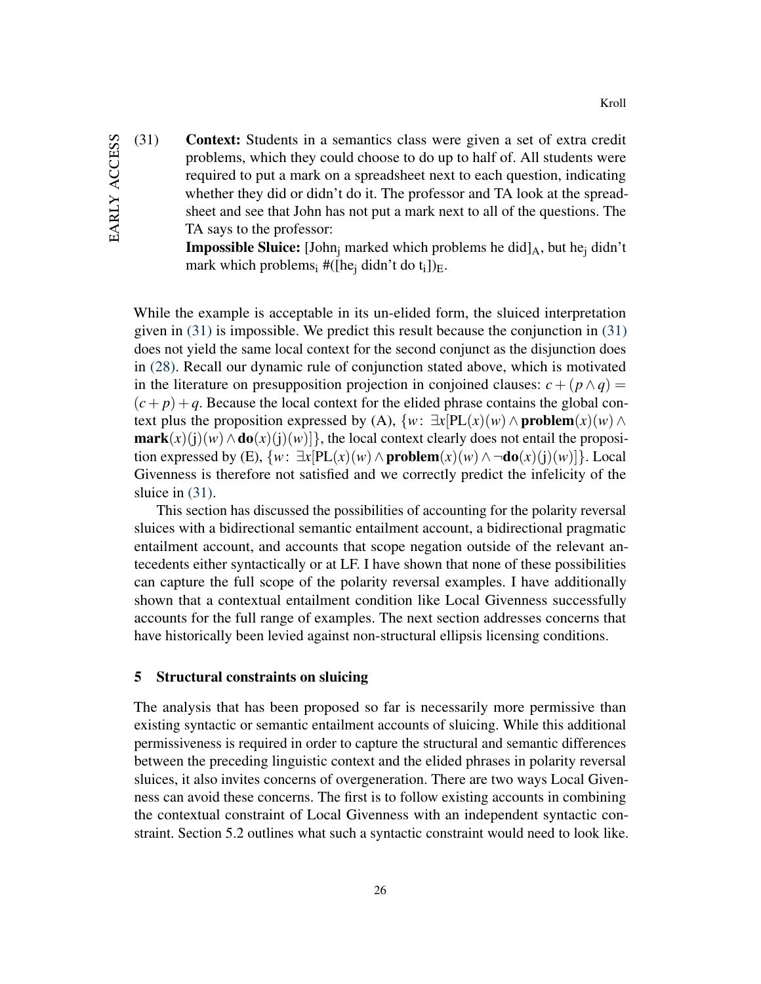(31) Context: Students in a semantics class were given a set of extra credit problems, which they could choose to do up to half of. All students were required to put a mark on a spreadsheet next to each question, indicating whether they did or didn't do it. The professor and TA look at the spreadsheet and see that John has not put a mark next to all of the questions. The TA says to the professor:

**Impossible Sluice:** [John<sub>i</sub> marked which problems he did] $_A$ , but he<sub>i</sub> didn't mark which problems<sub>i</sub> #([he<sub>i</sub> didn't do t<sub>i</sub>])<sub>E</sub>.

While the example is acceptable in its un-elided form, the sluiced interpretation given in [\(31\)](#page-25-0) is impossible. We predict this result because the conjunction in [\(31\)](#page-25-0) does not yield the same local context for the second conjunct as the disjunction does in [\(28\).](#page-22-0) Recall our dynamic rule of conjunction stated above, which is motivated in the literature on presupposition projection in conjoined clauses:  $c + (p \wedge q) =$  $(c+p)+q$ . Because the local context for the elided phrase contains the global context plus the proposition expressed by (A),  $\{w: \exists x[PL(x)(w) \land \text{problem}(x)(w) \land \}$  $\textbf{mark}(x)(i)(w) \wedge \textbf{do}(x)(i)(w)]$ , the local context clearly does not entail the proposition expressed by (E),  $\{w: \exists x[PL(x)(w) \land \textbf{problem}(x)(w) \land \neg \textbf{do}(x)(i)(w)\}$ . Local Givenness is therefore not satisfied and we correctly predict the infelicity of the sluice in [\(31\).](#page-25-0)

This section has discussed the possibilities of accounting for the polarity reversal sluices with a bidirectional semantic entailment account, a bidirectional pragmatic entailment account, and accounts that scope negation outside of the relevant antecedents either syntactically or at LF. I have shown that none of these possibilities can capture the full scope of the polarity reversal examples. I have additionally shown that a contextual entailment condition like Local Givenness successfully accounts for the full range of examples. The next section addresses concerns that have historically been levied against non-structural ellipsis licensing conditions.

#### 5 Structural constraints on sluicing

The analysis that has been proposed so far is necessarily more permissive than existing syntactic or semantic entailment accounts of sluicing. While this additional permissiveness is required in order to capture the structural and semantic differences between the preceding linguistic context and the elided phrases in polarity reversal sluices, it also invites concerns of overgeneration. There are two ways Local Givenness can avoid these concerns. The first is to follow existing accounts in combining the contextual constraint of Local Givenness with an independent syntactic constraint. Section 5.2 outlines what such a syntactic constraint would need to look like.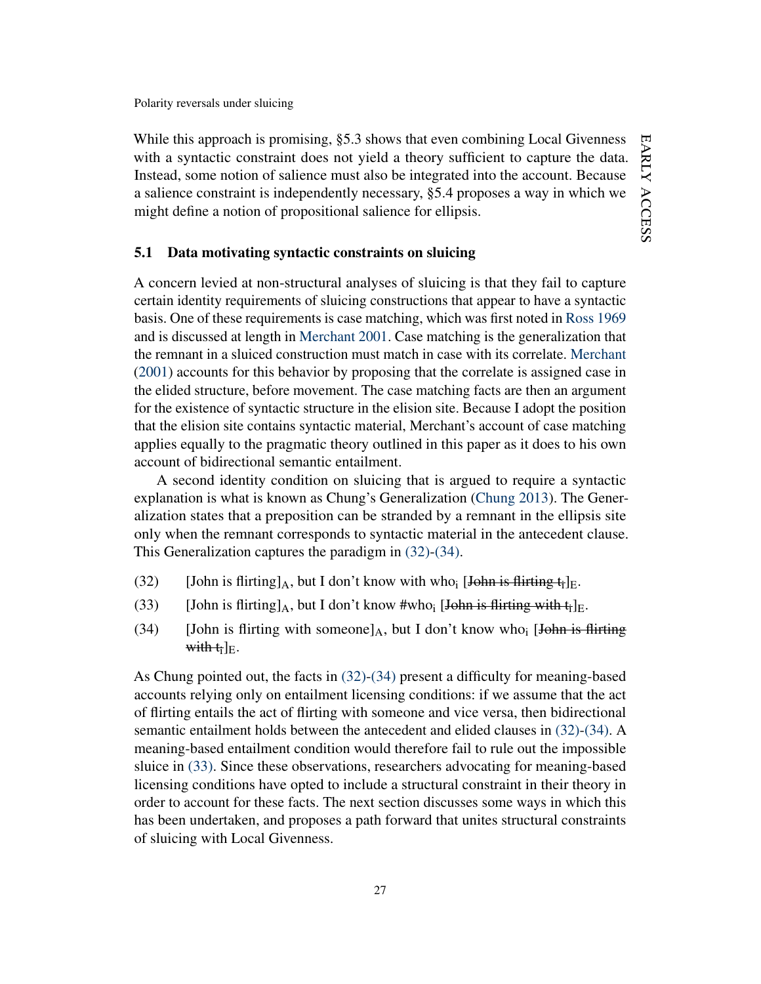While this approach is promising, \$5.3 shows that even combining Local Givenness with a syntactic constraint does not yield a theory sufficient to capture the data. Instead, some notion of salience must also be integrated into the account. Because a salience constraint is independently necessary, §5.4 proposes a way in which we might define a notion of propositional salience for ellipsis.

#### 5.1 Data motivating syntactic constraints on sluicing

A concern levied at non-structural analyses of sluicing is that they fail to capture certain identity requirements of sluicing constructions that appear to have a syntactic basis. One of these requirements is case matching, which was first noted in [Ross](#page-48-0) [1969](#page-48-0) and is discussed at length in [Merchant](#page-46-0) [2001.](#page-46-0) Case matching is the generalization that the remnant in a sluiced construction must match in case with its correlate. [Merchant](#page-46-0) [\(2001\)](#page-46-0) accounts for this behavior by proposing that the correlate is assigned case in the elided structure, before movement. The case matching facts are then an argument for the existence of syntactic structure in the elision site. Because I adopt the position that the elision site contains syntactic material, Merchant's account of case matching applies equally to the pragmatic theory outlined in this paper as it does to his own account of bidirectional semantic entailment.

A second identity condition on sluicing that is argued to require a syntactic explanation is what is known as Chung's Generalization [\(Chung](#page-42-4) [2013\)](#page-42-4). The Generalization states that a preposition can be stranded by a remnant in the ellipsis site only when the remnant corresponds to syntactic material in the antecedent clause. This Generalization captures the paradigm in [\(32\)](#page-27-0)[-\(34\).](#page-27-1)

- <span id="page-27-2"></span><span id="page-27-0"></span>(32) [John is flirting  $\vert_A$ , but I don't know with who<sub>i</sub> [John is flirting t<sub>i</sub>]<sub>E</sub>.
- <span id="page-27-1"></span>(33) [John is flirting]<sub>A</sub>, but I don't know #who<sub>i</sub> [John is flirting with  $t_i$ ]<sub>E</sub>.
- (34) [John is flirting with someone] $_A$ , but I don't know who<sub>i</sub> [John is flirting with  $t_i|_E$ .

As Chung pointed out, the facts in [\(32\)-](#page-27-0)[\(34\)](#page-27-1) present a difficulty for meaning-based accounts relying only on entailment licensing conditions: if we assume that the act of flirting entails the act of flirting with someone and vice versa, then bidirectional semantic entailment holds between the antecedent and elided clauses in [\(32\)](#page-27-0)[-\(34\).](#page-27-1) A meaning-based entailment condition would therefore fail to rule out the impossible sluice in [\(33\).](#page-27-2) Since these observations, researchers advocating for meaning-based licensing conditions have opted to include a structural constraint in their theory in order to account for these facts. The next section discusses some ways in which this has been undertaken, and proposes a path forward that unites structural constraints of sluicing with Local Givenness.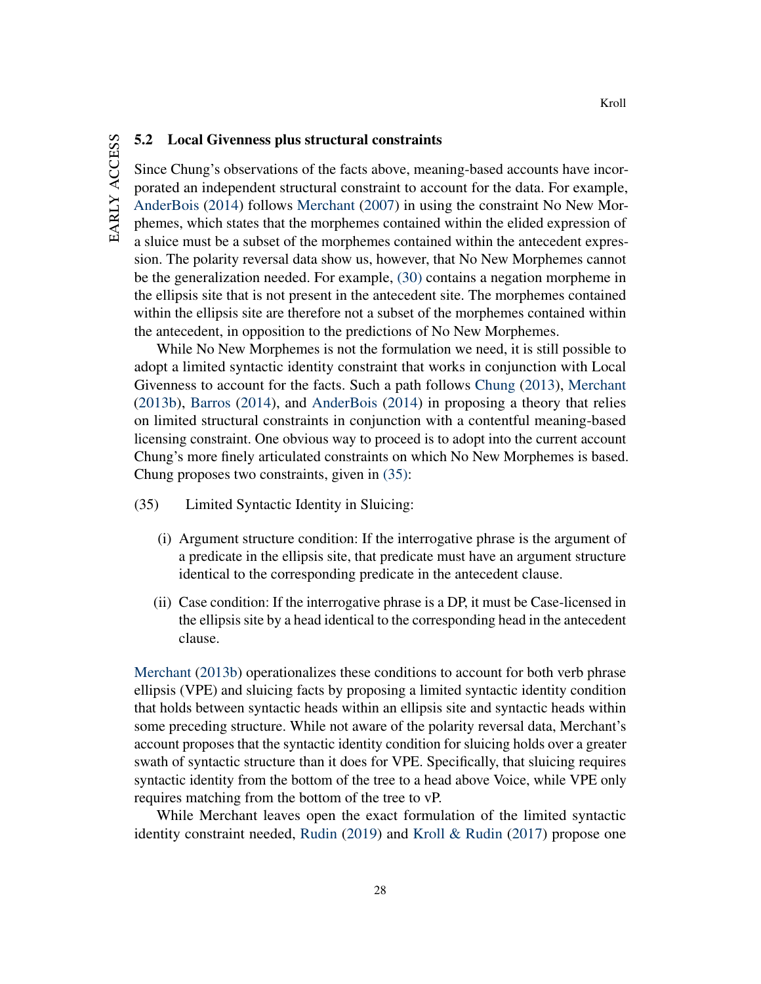# 5.2 Local Givenness plus structural constraints

Since Chung's observations of the facts above, meaning-based accounts have incorporated an independent structural constraint to account for the data. For example, [AnderBois](#page-41-0) [\(2014\)](#page-41-0) follows [Merchant](#page-46-5) [\(2007\)](#page-46-5) in using the constraint No New Morphemes, which states that the morphemes contained within the elided expression of a sluice must be a subset of the morphemes contained within the antecedent expression. The polarity reversal data show us, however, that No New Morphemes cannot be the generalization needed. For example, [\(30\)](#page-24-0) contains a negation morpheme in the ellipsis site that is not present in the antecedent site. The morphemes contained within the ellipsis site are therefore not a subset of the morphemes contained within the antecedent, in opposition to the predictions of No New Morphemes.

While No New Morphemes is not the formulation we need, it is still possible to adopt a limited syntactic identity constraint that works in conjunction with Local Givenness to account for the facts. Such a path follows [Chung](#page-42-4) [\(2013\)](#page-42-4), [Merchant](#page-47-0) [\(2013b\)](#page-47-0), [Barros](#page-42-3) [\(2014\)](#page-42-3), and [AnderBois](#page-41-0) [\(2014\)](#page-41-0) in proposing a theory that relies on limited structural constraints in conjunction with a contentful meaning-based licensing constraint. One obvious way to proceed is to adopt into the current account Chung's more finely articulated constraints on which No New Morphemes is based. Chung proposes two constraints, given in [\(35\):](#page-28-0)

- <span id="page-28-0"></span>(35) Limited Syntactic Identity in Sluicing:
	- (i) Argument structure condition: If the interrogative phrase is the argument of a predicate in the ellipsis site, that predicate must have an argument structure identical to the corresponding predicate in the antecedent clause.
	- (ii) Case condition: If the interrogative phrase is a DP, it must be Case-licensed in the ellipsis site by a head identical to the corresponding head in the antecedent clause.

[Merchant](#page-47-0) [\(2013b\)](#page-47-0) operationalizes these conditions to account for both verb phrase ellipsis (VPE) and sluicing facts by proposing a limited syntactic identity condition that holds between syntactic heads within an ellipsis site and syntactic heads within some preceding structure. While not aware of the polarity reversal data, Merchant's account proposes that the syntactic identity condition for sluicing holds over a greater swath of syntactic structure than it does for VPE. Specifically, that sluicing requires syntactic identity from the bottom of the tree to a head above Voice, while VPE only requires matching from the bottom of the tree to vP.

While Merchant leaves open the exact formulation of the limited syntactic identity constraint needed, [Rudin](#page-48-13) [\(2019\)](#page-48-13) and [Kroll & Rudin](#page-46-6) [\(2017\)](#page-46-6) propose one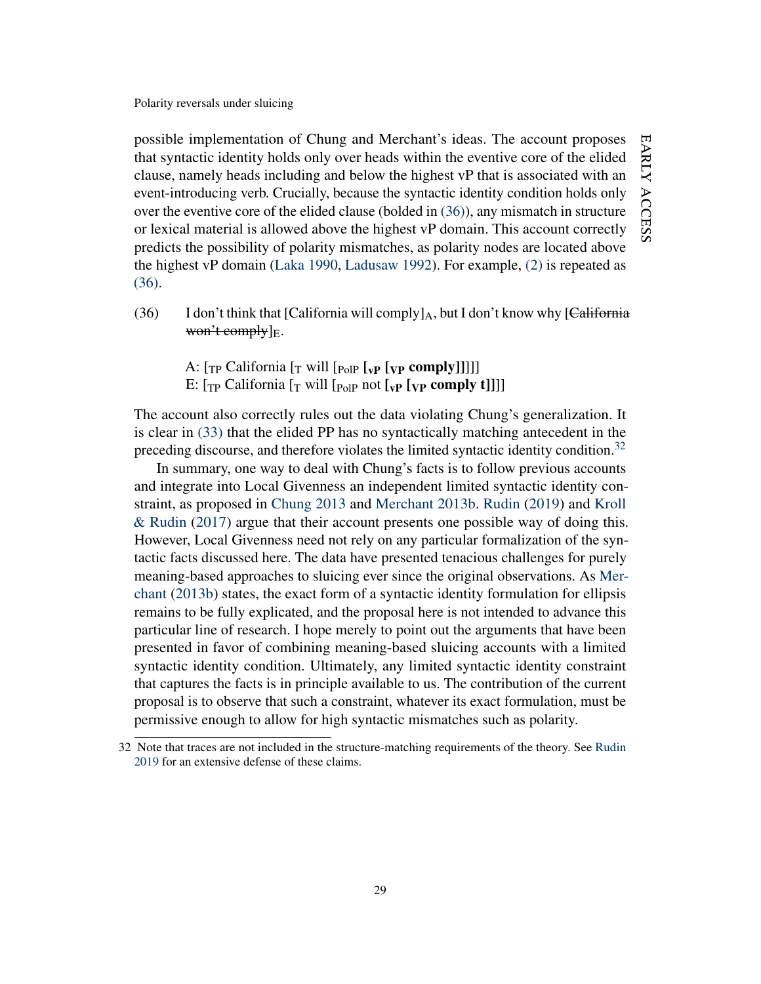possible implementation of Chung and Merchant's ideas. The account proposes that syntactic identity holds only over heads within the eventive core of the elided clause, namely heads including and below the highest vP that is associated with an event-introducing verb. Crucially, because the syntactic identity condition holds only over the eventive core of the elided clause (bolded in [\(36\)\)](#page-29-0), any mismatch in structure or lexical material is allowed above the highest vP domain. This account correctly predicts the possibility of polarity mismatches, as polarity nodes are located above the highest vP domain [\(Laka](#page-46-7) [1990,](#page-46-7) [Ladusaw](#page-46-8) [1992\)](#page-46-8). For example, [\(2\)](#page-2-1) is repeated as [\(36\).](#page-29-0)

- <span id="page-29-0"></span>(36) I don't think that [California will comply]<sub>A</sub>, but I don't know why [California  $w$ on't comply $]_F$ .
	- A:  $[\text{TP} \text{ California} [\text{TN} \text{full} \text{[P} \text{OPT} \text{[VP} \text{Comp} \text{[V} \text{]]}]]]$
	- E:  $[\text{TP}$  California  $[\text{T}$  will  $[\text{P}$ <sub>0l</sub> not  $[\text{VP}$   $[\text{VP}$  comply t]]]]

The account also correctly rules out the data violating Chung's generalization. It is clear in [\(33\)](#page-27-2) that the elided PP has no syntactically matching antecedent in the preceding discourse, and therefore violates the limited syntactic identity condition.<sup>[32](#page-29-1)</sup>

In summary, one way to deal with Chung's facts is to follow previous accounts and integrate into Local Givenness an independent limited syntactic identity constraint, as proposed in [Chung](#page-42-4) [2013](#page-42-4) and [Merchant](#page-47-0) [2013b.](#page-47-0) [Rudin](#page-48-13) [\(2019\)](#page-48-13) and [Kroll](#page-46-6) [& Rudin](#page-46-6) [\(2017\)](#page-46-6) argue that their account presents one possible way of doing this. However, Local Givenness need not rely on any particular formalization of the syntactic facts discussed here. The data have presented tenacious challenges for purely meaning-based approaches to sluicing ever since the original observations. As [Mer](#page-47-0)[chant](#page-47-0) [\(2013b\)](#page-47-0) states, the exact form of a syntactic identity formulation for ellipsis remains to be fully explicated, and the proposal here is not intended to advance this particular line of research. I hope merely to point out the arguments that have been presented in favor of combining meaning-based sluicing accounts with a limited syntactic identity condition. Ultimately, any limited syntactic identity constraint that captures the facts is in principle available to us. The contribution of the current proposal is to observe that such a constraint, whatever its exact formulation, must be permissive enough to allow for high syntactic mismatches such as polarity.

<span id="page-29-1"></span><sup>32</sup> Note that traces are not included in the structure-matching requirements of the theory. See [Rudin](#page-48-13) [2019](#page-48-13) for an extensive defense of these claims.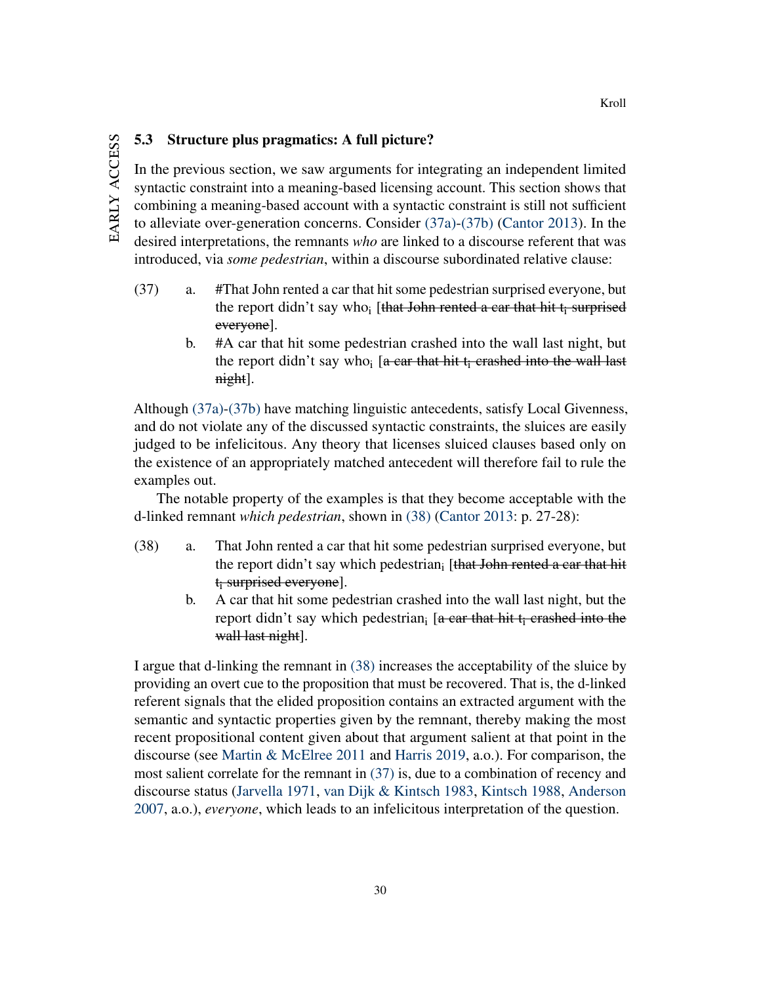## 5.3 Structure plus pragmatics: A full picture?

In the previous section, we saw arguments for integrating an independent limited syntactic constraint into a meaning-based licensing account. This section shows that combining a meaning-based account with a syntactic constraint is still not sufficient to alleviate over-generation concerns. Consider [\(37a\)](#page-30-0)[-\(37b\)](#page-30-1) [\(Cantor](#page-42-11) [2013\)](#page-42-11). In the desired interpretations, the remnants *who* are linked to a discourse referent that was introduced, via *some pedestrian*, within a discourse subordinated relative clause:

- <span id="page-30-3"></span><span id="page-30-1"></span><span id="page-30-0"></span>(37) a. #That John rented a car that hit some pedestrian surprised everyone, but the report didn't say who; [that John rented a car that hit  $t_i$  surprised everyone].
	- b. #A car that hit some pedestrian crashed into the wall last night, but the report didn't say who<sub>i</sub> [a car that hit t<sub>i</sub> crashed into the wall last night].

Although [\(37a\)-](#page-30-0)[\(37b\)](#page-30-1) have matching linguistic antecedents, satisfy Local Givenness, and do not violate any of the discussed syntactic constraints, the sluices are easily judged to be infelicitous. Any theory that licenses sluiced clauses based only on the existence of an appropriately matched antecedent will therefore fail to rule the examples out.

The notable property of the examples is that they become acceptable with the d-linked remnant *which pedestrian*, shown in [\(38\)](#page-30-2) [\(Cantor](#page-42-11) [2013:](#page-42-11) p. 27-28):

- <span id="page-30-2"></span>(38) a. That John rented a car that hit some pedestrian surprised everyone, but the report didn't say which pedestrian<sub>i</sub> [that John rented a car that hit  $t_i$  surprised everyone].
	- b. A car that hit some pedestrian crashed into the wall last night, but the report didn't say which pedestrian<sub>i</sub> [a car that hit  $t_i$  crashed into the wall last night].

I argue that d-linking the remnant in [\(38\)](#page-30-2) increases the acceptability of the sluice by providing an overt cue to the proposition that must be recovered. That is, the d-linked referent signals that the elided proposition contains an extracted argument with the semantic and syntactic properties given by the remnant, thereby making the most recent propositional content given about that argument salient at that point in the discourse (see [Martin & McElree](#page-46-9) [2011](#page-46-9) and [Harris](#page-44-7) [2019,](#page-44-7) a.o.). For comparison, the most salient correlate for the remnant in [\(37\)](#page-30-3) is, due to a combination of recency and discourse status [\(Jarvella](#page-45-13) [1971,](#page-45-13) [van Dijk & Kintsch](#page-43-10) [1983,](#page-43-10) [Kintsch](#page-46-10) [1988,](#page-46-10) [Anderson](#page-41-5) [2007,](#page-41-5) a.o.), *everyone*, which leads to an infelicitous interpretation of the question.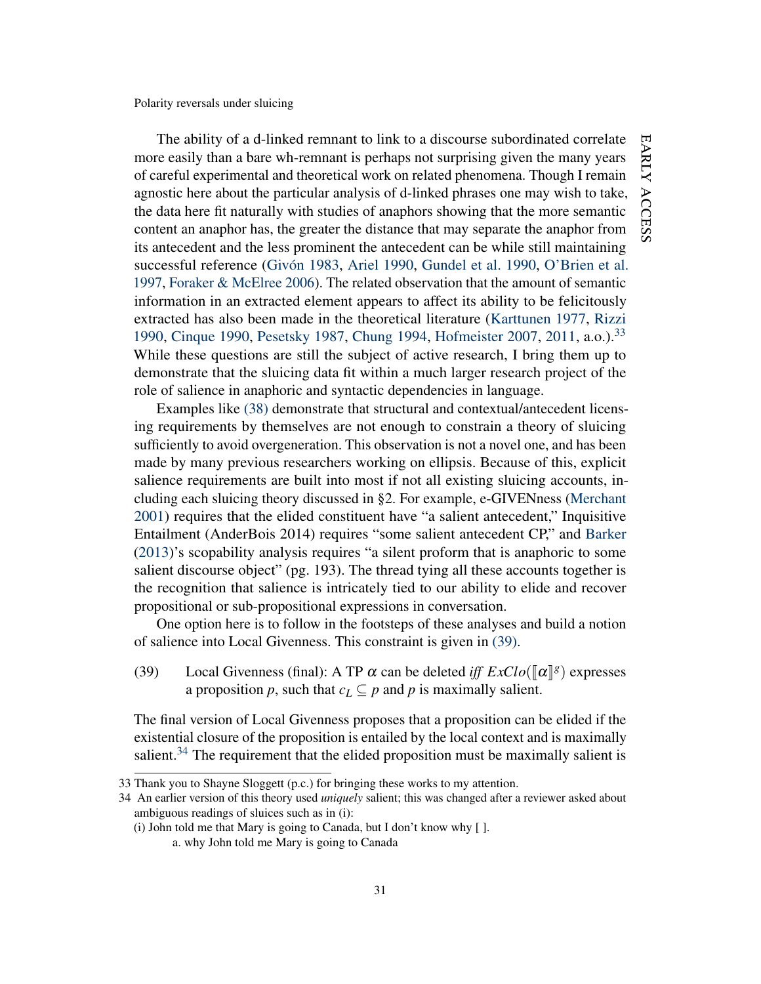The ability of a d-linked remnant to link to a discourse subordinated correlate more easily than a bare wh-remnant is perhaps not surprising given the many years of careful experimental and theoretical work on related phenomena. Though I remain agnostic here about the particular analysis of d-linked phrases one may wish to take, the data here fit naturally with studies of anaphors showing that the more semantic content an anaphor has, the greater the distance that may separate the anaphor from its antecedent and the less prominent the antecedent can be while still maintaining successful reference [\(Givón](#page-44-8) [1983,](#page-44-8) [Ariel](#page-41-6) [1990,](#page-41-6) [Gundel et al.](#page-44-9) [1990,](#page-44-9) [O'Brien et al.](#page-47-10) [1997,](#page-47-10) [Foraker & McElree](#page-43-11) [2006\)](#page-43-11). The related observation that the amount of semantic information in an extracted element appears to affect its ability to be felicitously extracted has also been made in the theoretical literature [\(Karttunen](#page-45-14) [1977,](#page-45-14) [Rizzi](#page-47-11) [1990,](#page-42-12) [Cinque](#page-42-12) 1990, [Pesetsky](#page-47-8) [1987,](#page-47-8) [Chung](#page-42-13) [1994,](#page-42-13) [Hofmeister](#page-45-15) [2007,](#page-45-15) [2011,](#page-45-16) a.o.).<sup>[33](#page-31-0)</sup> While these questions are still the subject of active research, I bring them up to demonstrate that the sluicing data fit within a much larger research project of the role of salience in anaphoric and syntactic dependencies in language.

Examples like [\(38\)](#page-30-2) demonstrate that structural and contextual/antecedent licensing requirements by themselves are not enough to constrain a theory of sluicing sufficiently to avoid overgeneration. This observation is not a novel one, and has been made by many previous researchers working on ellipsis. Because of this, explicit salience requirements are built into most if not all existing sluicing accounts, including each sluicing theory discussed in §2. For example, e-GIVENness [\(Merchant](#page-46-0) [2001\)](#page-46-0) requires that the elided constituent have "a salient antecedent," Inquisitive Entailment (AnderBois 2014) requires "some salient antecedent CP," and [Barker](#page-42-1) [\(2013\)](#page-42-1)'s scopability analysis requires "a silent proform that is anaphoric to some salient discourse object" (pg. 193). The thread tying all these accounts together is the recognition that salience is intricately tied to our ability to elide and recover propositional or sub-propositional expressions in conversation.

One option here is to follow in the footsteps of these analyses and build a notion of salience into Local Givenness. This constraint is given in [\(39\).](#page-31-1)

<span id="page-31-1"></span>(39) Local Givenness (final): A TP  $\alpha$  can be deleted *iff*  $ExClo(\llbracket \alpha \rrbracket^g)$  expresses a proposition *p*, such that  $c_L \subseteq p$  and *p* is maximally salient.

The final version of Local Givenness proposes that a proposition can be elided if the existential closure of the proposition is entailed by the local context and is maximally salient. $34$  The requirement that the elided proposition must be maximally salient is

(i) John told me that Mary is going to Canada, but I don't know why  $[ ]$ .

<span id="page-31-0"></span><sup>33</sup> Thank you to Shayne Sloggett (p.c.) for bringing these works to my attention.

<span id="page-31-2"></span><sup>34</sup> An earlier version of this theory used *uniquely* salient; this was changed after a reviewer asked about ambiguous readings of sluices such as in (i):

a. why John told me Mary is going to Canada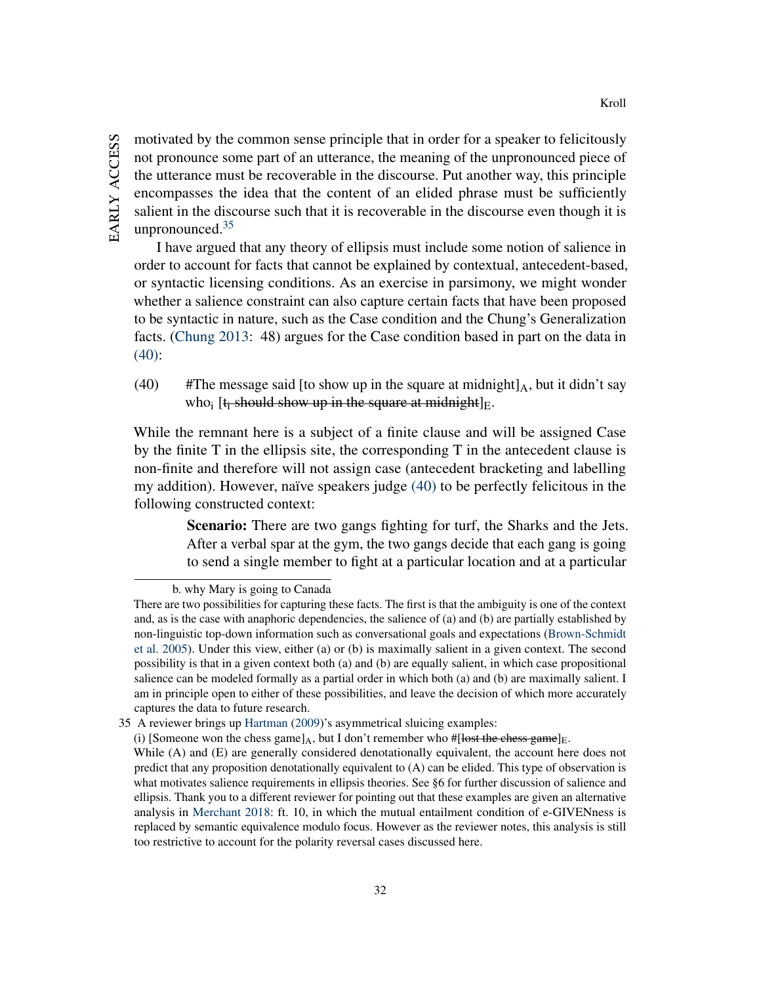motivated by the common sense principle that in order for a speaker to felicitously not pronounce some part of an utterance, the meaning of the unpronounced piece of the utterance must be recoverable in the discourse. Put another way, this principle encompasses the idea that the content of an elided phrase must be sufficiently salient in the discourse such that it is recoverable in the discourse even though it is unpronounced. $35$ 

I have argued that any theory of ellipsis must include some notion of salience in order to account for facts that cannot be explained by contextual, antecedent-based, or syntactic licensing conditions. As an exercise in parsimony, we might wonder whether a salience constraint can also capture certain facts that have been proposed to be syntactic in nature, such as the Case condition and the Chung's Generalization facts. [\(Chung](#page-42-4) [2013:](#page-42-4) 48) argues for the Case condition based in part on the data in [\(40\):](#page-32-1)

<span id="page-32-1"></span>(40) #The message said [to show up in the square at midnight] $_A$ , but it didn't say who<sub>i</sub> [t<sub>i</sub> should show up in the square at midnight]<sub>E</sub>.

While the remnant here is a subject of a finite clause and will be assigned Case by the finite T in the ellipsis site, the corresponding T in the antecedent clause is non-finite and therefore will not assign case (antecedent bracketing and labelling my addition). However, naïve speakers judge [\(40\)](#page-32-1) to be perfectly felicitous in the following constructed context:

> Scenario: There are two gangs fighting for turf, the Sharks and the Jets. After a verbal spar at the gym, the two gangs decide that each gang is going to send a single member to fight at a particular location and at a particular

b. why Mary is going to Canada

There are two possibilities for capturing these facts. The first is that the ambiguity is one of the context and, as is the case with anaphoric dependencies, the salience of (a) and (b) are partially established by non-linguistic top-down information such as conversational goals and expectations [\(Brown-Schmidt](#page-42-14) [et al.](#page-42-14) [2005\)](#page-42-14). Under this view, either (a) or (b) is maximally salient in a given context. The second possibility is that in a given context both (a) and (b) are equally salient, in which case propositional salience can be modeled formally as a partial order in which both (a) and (b) are maximally salient. I am in principle open to either of these possibilities, and leave the decision of which more accurately captures the data to future research.

<span id="page-32-0"></span><sup>35</sup> A reviewer brings up [Hartman](#page-44-10) [\(2009\)](#page-44-10)'s asymmetrical sluicing examples:

<sup>(</sup>i) [Someone won the chess game]<sub>A</sub>, but I don't remember who #[lost the chess game]<sub>E</sub>.

While (A) and (E) are generally considered denotationally equivalent, the account here does not predict that any proposition denotationally equivalent to (A) can be elided. This type of observation is what motivates salience requirements in ellipsis theories. See §6 for further discussion of salience and ellipsis. Thank you to a different reviewer for pointing out that these examples are given an alternative analysis in [Merchant](#page-47-12) [2018:](#page-47-12) ft. 10, in which the mutual entailment condition of e-GIVENness is replaced by semantic equivalence modulo focus. However as the reviewer notes, this analysis is still too restrictive to account for the polarity reversal cases discussed here.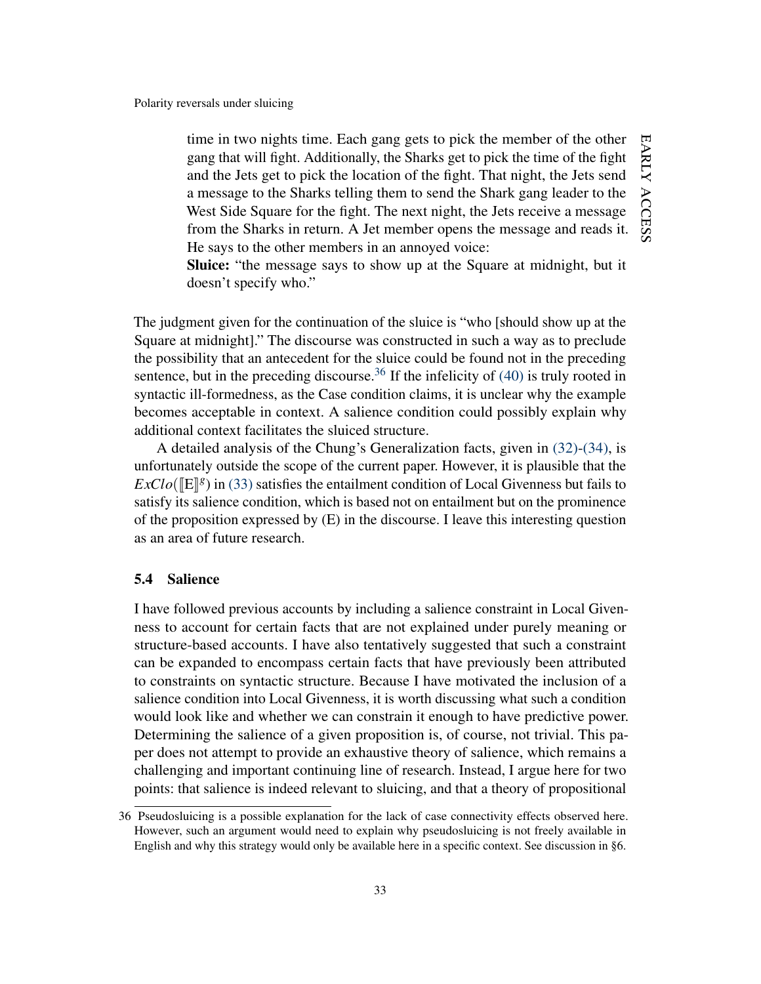time in two nights time. Each gang gets to pick the member of the other gang that will fight. Additionally, the Sharks get to pick the time of the fight and the Jets get to pick the location of the fight. That night, the Jets send a message to the Sharks telling them to send the Shark gang leader to the West Side Square for the fight. The next night, the Jets receive a message from the Sharks in return. A Jet member opens the message and reads it. He says to the other members in an annoyed voice:

Sluice: "the message says to show up at the Square at midnight, but it doesn't specify who."

The judgment given for the continuation of the sluice is "who [should show up at the Square at midnight]." The discourse was constructed in such a way as to preclude the possibility that an antecedent for the sluice could be found not in the preceding sentence, but in the preceding discourse.<sup>[36](#page-33-0)</sup> If the infelicity of  $(40)$  is truly rooted in syntactic ill-formedness, as the Case condition claims, it is unclear why the example becomes acceptable in context. A salience condition could possibly explain why additional context facilitates the sluiced structure.

A detailed analysis of the Chung's Generalization facts, given in [\(32\)](#page-27-0)[-\(34\),](#page-27-1) is unfortunately outside the scope of the current paper. However, it is plausible that the  $ExClo([\mathbb{E}]\{s\})$  in [\(33\)](#page-27-2) satisfies the entailment condition of Local Givenness but fails to existing the prominence satisfy its salience condition, which is based not on entailment but on the prominence of the proposition expressed by  $(E)$  in the discourse. I leave this interesting question as an area of future research.

#### 5.4 Salience

I have followed previous accounts by including a salience constraint in Local Givenness to account for certain facts that are not explained under purely meaning or structure-based accounts. I have also tentatively suggested that such a constraint can be expanded to encompass certain facts that have previously been attributed to constraints on syntactic structure. Because I have motivated the inclusion of a salience condition into Local Givenness, it is worth discussing what such a condition would look like and whether we can constrain it enough to have predictive power. Determining the salience of a given proposition is, of course, not trivial. This paper does not attempt to provide an exhaustive theory of salience, which remains a challenging and important continuing line of research. Instead, I argue here for two points: that salience is indeed relevant to sluicing, and that a theory of propositional

<span id="page-33-0"></span><sup>36</sup> Pseudosluicing is a possible explanation for the lack of case connectivity effects observed here. However, such an argument would need to explain why pseudosluicing is not freely available in English and why this strategy would only be available here in a specific context. See discussion in §6.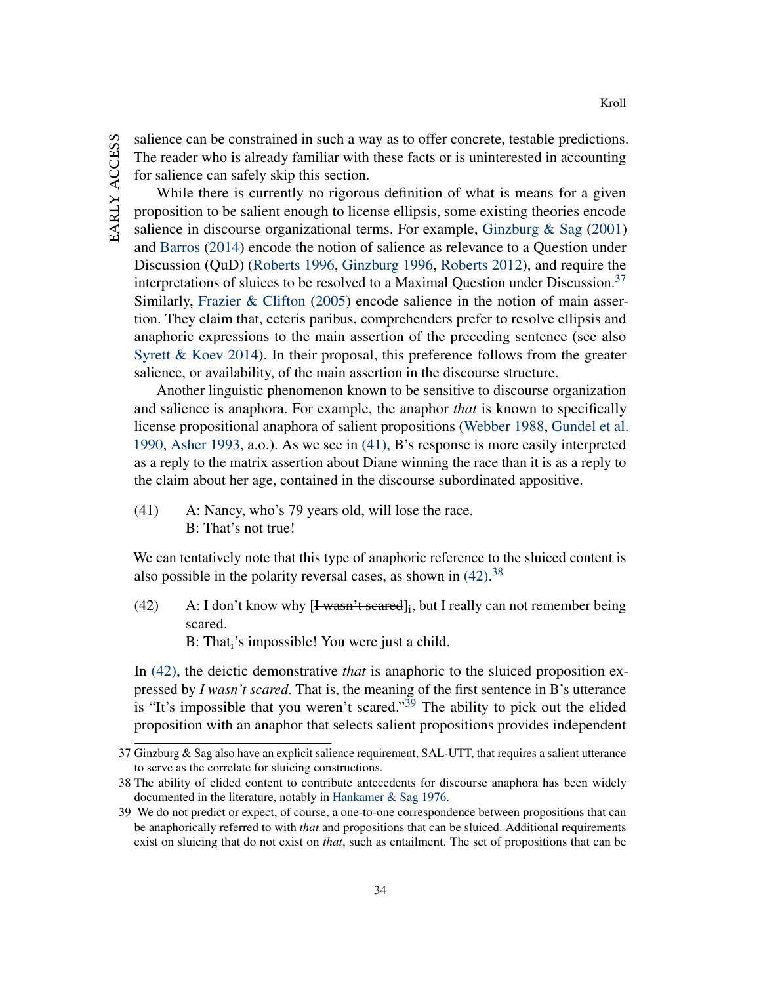salience can be constrained in such a way as to offer concrete, testable predictions. The reader who is already familiar with these facts or is uninterested in accounting for salience can safely skip this section.

While there is currently no rigorous definition of what is means for a given proposition to be salient enough to license ellipsis, some existing theories encode salience in discourse organizational terms. For example, Ginzburg  $\&$  Sag [\(2001\)](#page-44-1) and [Barros](#page-42-3) [\(2014\)](#page-42-3) encode the notion of salience as relevance to a Question under Discussion (QuD) [\(Roberts](#page-47-13) [1996,](#page-47-13) [Ginzburg](#page-43-12) [1996,](#page-43-12) [Roberts](#page-48-14) [2012\)](#page-48-14), and require the interpretations of sluices to be resolved to a Maximal Question under Discussion.<sup>[37](#page-34-0)</sup> Similarly, [Frazier & Clifton](#page-43-13) [\(2005\)](#page-43-13) encode salience in the notion of main assertion. They claim that, ceteris paribus, comprehenders prefer to resolve ellipsis and anaphoric expressions to the main assertion of the preceding sentence (see also [Syrett & Koev](#page-49-6) [2014\)](#page-49-6). In their proposal, this preference follows from the greater salience, or availability, of the main assertion in the discourse structure.

Another linguistic phenomenon known to be sensitive to discourse organization and salience is anaphora. For example, the anaphor *that* is known to specifically license propositional anaphora of salient propositions [\(Webber](#page-49-12) [1988,](#page-49-12) [Gundel et al.](#page-44-9) [1990,](#page-44-9) [Asher](#page-41-7) [1993,](#page-41-7) a.o.). As we see in [\(41\),](#page-34-1) B's response is more easily interpreted as a reply to the matrix assertion about Diane winning the race than it is as a reply to the claim about her age, contained in the discourse subordinated appositive.

<span id="page-34-1"></span>(41) A: Nancy, who's 79 years old, will lose the race. B: That's not true!

We can tentatively note that this type of anaphoric reference to the sluiced content is also possible in the polarity reversal cases, as shown in  $(42)$ .<sup>[38](#page-34-3)</sup>

<span id="page-34-2"></span>(42) A: I don't know why  $[1$  wasn't scared]<sub>i</sub>, but I really can not remember being scared.

 $B: That<sub>i</sub>'s impossible! You were just a child.$ 

In [\(42\),](#page-34-2) the deictic demonstrative *that* is anaphoric to the sluiced proposition expressed by *I wasn't scared*. That is, the meaning of the first sentence in B's utterance is "It's impossible that you weren't scared."<sup>[39](#page-34-4)</sup> The ability to pick out the elided proposition with an anaphor that selects salient propositions provides independent

<span id="page-34-0"></span><sup>37</sup> Ginzburg & Sag also have an explicit salience requirement, SAL-UTT, that requires a salient utterance to serve as the correlate for sluicing constructions.

<span id="page-34-3"></span><sup>38</sup> The ability of elided content to contribute antecedents for discourse anaphora has been widely documented in the literature, notably in [Hankamer & Sag](#page-44-11) [1976.](#page-44-11)

<span id="page-34-4"></span><sup>39</sup> We do not predict or expect, of course, a one-to-one correspondence between propositions that can be anaphorically referred to with *that* and propositions that can be sluiced. Additional requirements exist on sluicing that do not exist on *that*, such as entailment. The set of propositions that can be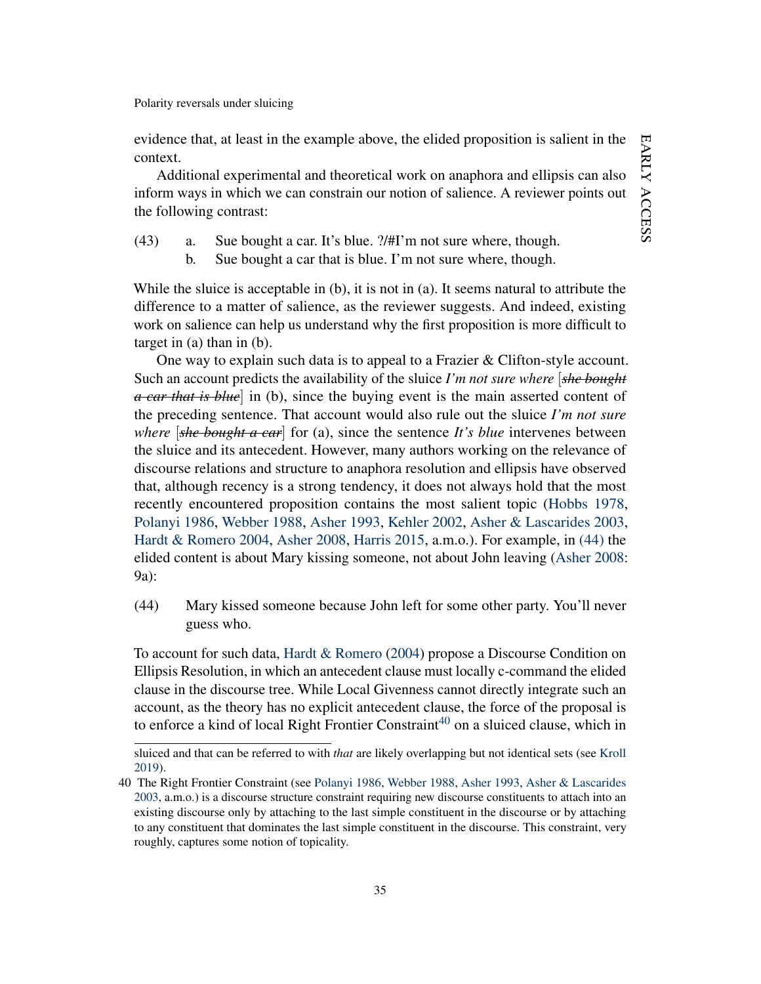evidence that, at least in the example above, the elided proposition is salient in the context.

Additional experimental and theoretical work on anaphora and ellipsis can also inform ways in which we can constrain our notion of salience. A reviewer points out the following contrast:

- <span id="page-35-2"></span>(43) a. Sue bought a car. It's blue. ?/#I'm not sure where, though.
	- b. Sue bought a car that is blue. I'm not sure where, though.

While the sluice is acceptable in (b), it is not in (a). It seems natural to attribute the difference to a matter of salience, as the reviewer suggests. And indeed, existing work on salience can help us understand why the first proposition is more difficult to target in (a) than in (b).

One way to explain such data is to appeal to a Frazier & Clifton-style account. Such an account predicts the availability of the sluice *I'm not sure where* [*she bought a car that is blue*] in (b), since the buying event is the main asserted content of the preceding sentence. That account would also rule out the sluice *I'm not sure where* [*she bought a car*] for (a), since the sentence *It's blue* intervenes between the sluice and its antecedent. However, many authors working on the relevance of discourse relations and structure to anaphora resolution and ellipsis have observed that, although recency is a strong tendency, it does not always hold that the most recently encountered proposition contains the most salient topic [\(Hobbs](#page-45-17) [1978,](#page-45-17) [Polanyi](#page-47-14) [1986,](#page-47-14) [Webber](#page-49-12) [1988,](#page-49-12) [Asher](#page-41-7) [1993,](#page-41-7) [Kehler](#page-46-11) [2002,](#page-46-11) [Asher & Lascarides](#page-41-8) [2003,](#page-41-8) [Hardt & Romero](#page-44-12) [2004,](#page-44-12) [Asher](#page-41-9) [2008,](#page-41-9) [Harris](#page-44-13) [2015,](#page-44-13) a.m.o.). For example, in [\(44\)](#page-35-0) the elided content is about Mary kissing someone, not about John leaving [\(Asher](#page-41-9) [2008:](#page-41-9) 9a):

<span id="page-35-0"></span>(44) Mary kissed someone because John left for some other party. You'll never guess who.

To account for such data, [Hardt & Romero](#page-44-12) [\(2004\)](#page-44-12) propose a Discourse Condition on Ellipsis Resolution, in which an antecedent clause must locally c-command the elided clause in the discourse tree. While Local Givenness cannot directly integrate such an account, as the theory has no explicit antecedent clause, the force of the proposal is to enforce a kind of local Right Frontier Constraint<sup>[40](#page-35-1)</sup> on a sluiced clause, which in

sluiced and that can be referred to with *that* are likely overlapping but not identical sets (see [Kroll](#page-46-1) [2019\)](#page-46-1).

<span id="page-35-1"></span><sup>40</sup> The Right Frontier Constraint (see [Polanyi](#page-47-14) [1986,](#page-47-14) [Webber](#page-49-12) [1988,](#page-49-12) [Asher](#page-41-7) [1993,](#page-41-7) [Asher & Lascarides](#page-41-8) [2003,](#page-41-8) a.m.o.) is a discourse structure constraint requiring new discourse constituents to attach into an existing discourse only by attaching to the last simple constituent in the discourse or by attaching to any constituent that dominates the last simple constituent in the discourse. This constraint, very roughly, captures some notion of topicality.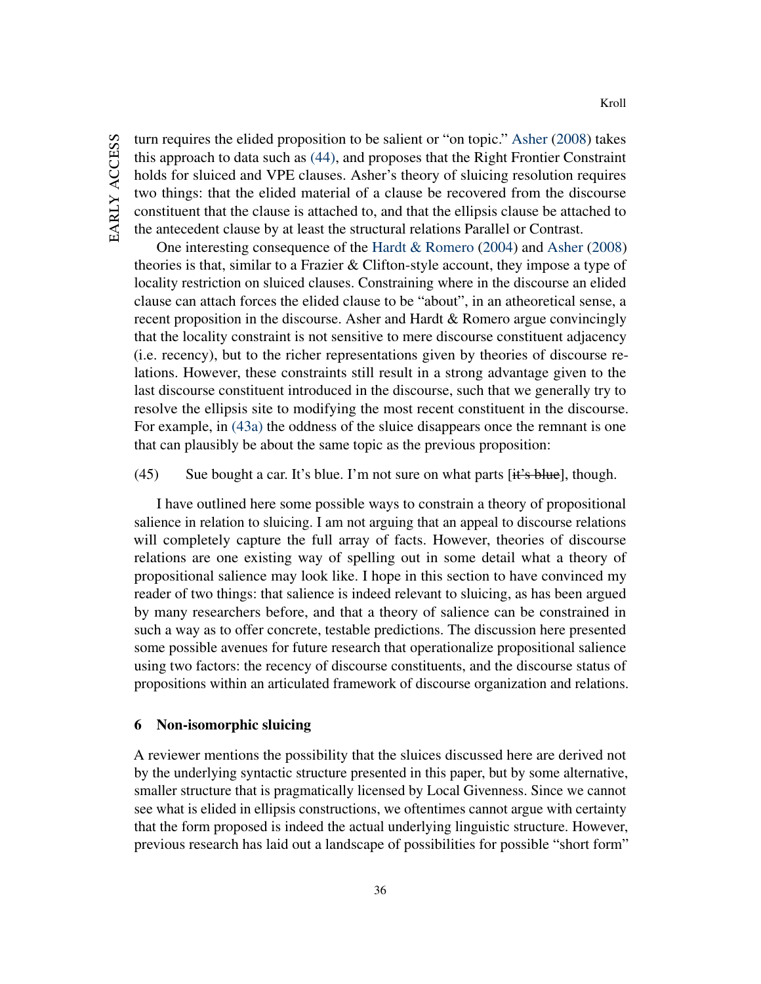turn requires the elided proposition to be salient or "on topic." [Asher](#page-41-9) [\(2008\)](#page-41-9) takes this approach to data such as [\(44\),](#page-35-0) and proposes that the Right Frontier Constraint holds for sluiced and VPE clauses. Asher's theory of sluicing resolution requires two things: that the elided material of a clause be recovered from the discourse constituent that the clause is attached to, and that the ellipsis clause be attached to the antecedent clause by at least the structural relations Parallel or Contrast.

One interesting consequence of the [Hardt & Romero](#page-44-12) [\(2004\)](#page-44-12) and [Asher](#page-41-9) [\(2008\)](#page-41-9) theories is that, similar to a Frazier  $&$  Clifton-style account, they impose a type of locality restriction on sluiced clauses. Constraining where in the discourse an elided clause can attach forces the elided clause to be "about", in an atheoretical sense, a recent proposition in the discourse. Asher and Hardt & Romero argue convincingly that the locality constraint is not sensitive to mere discourse constituent adjacency (i.e. recency), but to the richer representations given by theories of discourse relations. However, these constraints still result in a strong advantage given to the last discourse constituent introduced in the discourse, such that we generally try to resolve the ellipsis site to modifying the most recent constituent in the discourse. For example, in [\(43a\)](#page-35-2) the oddness of the sluice disappears once the remnant is one that can plausibly be about the same topic as the previous proposition:

(45) Sue bought a car. It's blue. I'm not sure on what parts  $[it's blue]$ , though.

I have outlined here some possible ways to constrain a theory of propositional salience in relation to sluicing. I am not arguing that an appeal to discourse relations will completely capture the full array of facts. However, theories of discourse relations are one existing way of spelling out in some detail what a theory of propositional salience may look like. I hope in this section to have convinced my reader of two things: that salience is indeed relevant to sluicing, as has been argued by many researchers before, and that a theory of salience can be constrained in such a way as to offer concrete, testable predictions. The discussion here presented some possible avenues for future research that operationalize propositional salience using two factors: the recency of discourse constituents, and the discourse status of propositions within an articulated framework of discourse organization and relations.

#### 6 Non-isomorphic sluicing

A reviewer mentions the possibility that the sluices discussed here are derived not by the underlying syntactic structure presented in this paper, but by some alternative, smaller structure that is pragmatically licensed by Local Givenness. Since we cannot see what is elided in ellipsis constructions, we oftentimes cannot argue with certainty that the form proposed is indeed the actual underlying linguistic structure. However, previous research has laid out a landscape of possibilities for possible "short form"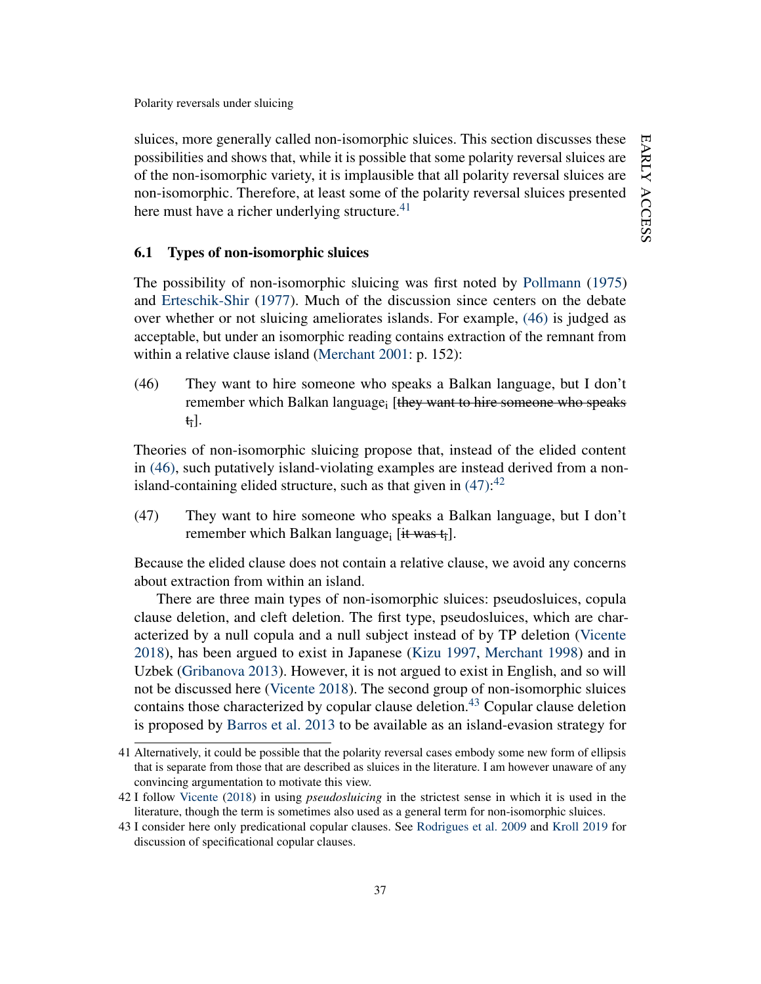sluices, more generally called non-isomorphic sluices. This section discusses these possibilities and shows that, while it is possible that some polarity reversal sluices are of the non-isomorphic variety, it is implausible that all polarity reversal sluices are non-isomorphic. Therefore, at least some of the polarity reversal sluices presented here must have a richer underlying structure. $41$ 

#### 6.1 Types of non-isomorphic sluices

The possibility of non-isomorphic sluicing was first noted by [Pollmann](#page-47-15) [\(1975\)](#page-47-15) and [Erteschik-Shir](#page-43-14) [\(1977\)](#page-43-14). Much of the discussion since centers on the debate over whether or not sluicing ameliorates islands. For example, [\(46\)](#page-37-1) is judged as acceptable, but under an isomorphic reading contains extraction of the remnant from within a relative clause island [\(Merchant](#page-46-0) [2001:](#page-46-0) p. 152):

<span id="page-37-1"></span>(46) They want to hire someone who speaks a Balkan language, but I don't remember which Balkan language<sub>i</sub> [they want to hire someone who speaks ti].

Theories of non-isomorphic sluicing propose that, instead of the elided content in [\(46\),](#page-37-1) such putatively island-violating examples are instead derived from a nonisland-containing elided structure, such as that given in  $(47)$ :<sup>[42](#page-37-3)</sup>

<span id="page-37-2"></span>(47) They want to hire someone who speaks a Balkan language, but I don't remember which Balkan language;  $[$ it was  $t_i$ ].

Because the elided clause does not contain a relative clause, we avoid any concerns about extraction from within an island.

There are three main types of non-isomorphic sluices: pseudosluices, copula clause deletion, and cleft deletion. The first type, pseudosluices, which are characterized by a null copula and a null subject instead of by TP deletion [\(Vicente](#page-49-13) [2018\)](#page-49-13), has been argued to exist in Japanese [\(Kizu](#page-46-12) [1997,](#page-46-12) [Merchant](#page-46-13) [1998\)](#page-46-13) and in Uzbek [\(Gribanova](#page-44-14) [2013\)](#page-44-14). However, it is not argued to exist in English, and so will not be discussed here [\(Vicente](#page-49-13) [2018\)](#page-49-13). The second group of non-isomorphic sluices contains those characterized by copular clause deletion.<sup>[43](#page-37-4)</sup> Copular clause deletion is proposed by [Barros et al.](#page-42-15) [2013](#page-42-15) to be available as an island-evasion strategy for

<span id="page-37-0"></span><sup>41</sup> Alternatively, it could be possible that the polarity reversal cases embody some new form of ellipsis that is separate from those that are described as sluices in the literature. I am however unaware of any convincing argumentation to motivate this view.

<span id="page-37-3"></span><sup>42</sup> I follow [Vicente](#page-49-13) [\(2018\)](#page-49-13) in using *pseudosluicing* in the strictest sense in which it is used in the literature, though the term is sometimes also used as a general term for non-isomorphic sluices.

<span id="page-37-4"></span><sup>43</sup> I consider here only predicational copular clauses. See [Rodrigues et al.](#page-48-15) [2009](#page-48-15) and [Kroll](#page-46-1) [2019](#page-46-1) for discussion of specificational copular clauses.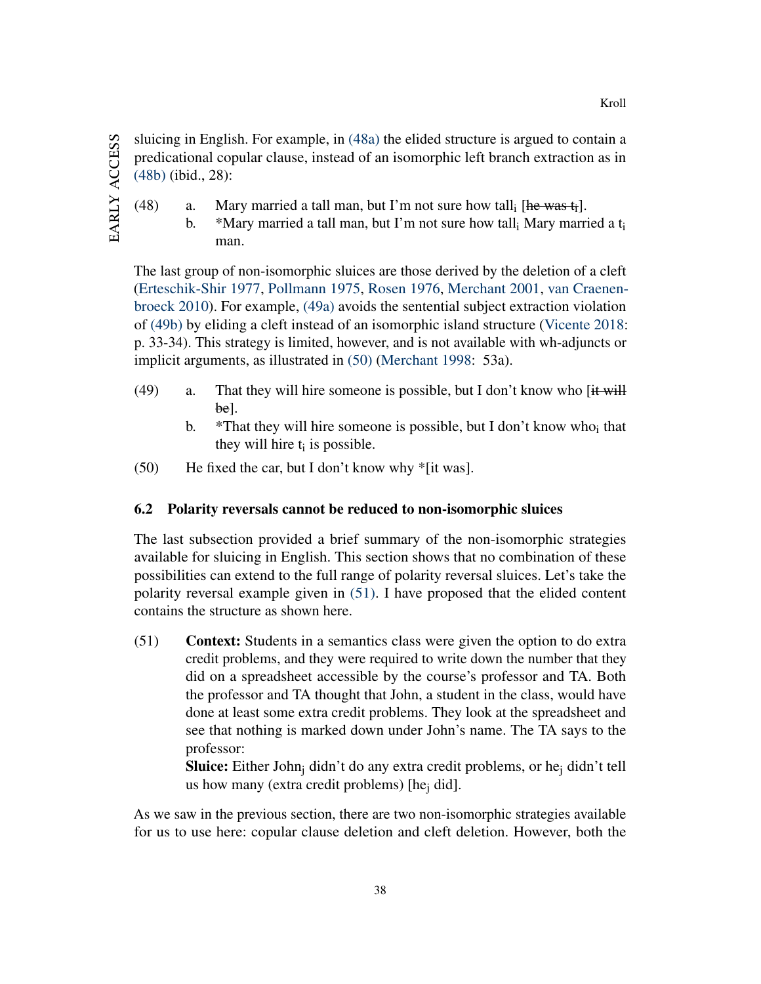sluicing in English. For example, in [\(48a\)](#page-38-1) the elided structure is argued to contain a predicational copular clause, instead of an isomorphic left branch extraction as in [\(48b\)](#page-38-2) (ibid., 28):

- <span id="page-38-2"></span><span id="page-38-1"></span>(48) a. Mary married a tall man, but I'm not sure how tall  $[he$  was  $t_i]$ .
	- b. \*Mary married a tall man, but I'm not sure how tall, Mary married a  $t_i$ man.

The last group of non-isomorphic sluices are those derived by the deletion of a cleft [\(Erteschik-Shir](#page-43-14) [1977,](#page-43-14) [Pollmann](#page-47-15) [1975,](#page-47-15) [Rosen](#page-48-16) [1976,](#page-48-16) [Merchant](#page-46-0) [2001,](#page-46-0) [van Craenen](#page-42-16)[broeck](#page-42-16) [2010\)](#page-42-16). For example, [\(49a\)](#page-38-3) avoids the sentential subject extraction violation of [\(49b\)](#page-38-4) by eliding a cleft instead of an isomorphic island structure [\(Vicente](#page-49-13) [2018:](#page-49-13) p. 33-34). This strategy is limited, however, and is not available with wh-adjuncts or implicit arguments, as illustrated in [\(50\)](#page-38-5) [\(Merchant](#page-46-13) [1998:](#page-46-13) 53a).

- <span id="page-38-4"></span><span id="page-38-3"></span>(49) a. That they will hire someone is possible, but I don't know who [it will be].
	- b.  $*$ That they will hire someone is possible, but I don't know who<sub>i</sub> that they will hire  $t_i$  is possible.
- <span id="page-38-5"></span>(50) He fixed the car, but I don't know why \*[it was].

## 6.2 Polarity reversals cannot be reduced to non-isomorphic sluices

The last subsection provided a brief summary of the non-isomorphic strategies available for sluicing in English. This section shows that no combination of these possibilities can extend to the full range of polarity reversal sluices. Let's take the polarity reversal example given in [\(51\).](#page-38-0) I have proposed that the elided content contains the structure as shown here.

<span id="page-38-0"></span>(51) Context: Students in a semantics class were given the option to do extra credit problems, and they were required to write down the number that they did on a spreadsheet accessible by the course's professor and TA. Both the professor and TA thought that John, a student in the class, would have done at least some extra credit problems. They look at the spreadsheet and see that nothing is marked down under John's name. The TA says to the professor:

> **Sluice:** Either John<sub>i</sub> didn't do any extra credit problems, or he<sub>i</sub> didn't tell us how many (extra credit problems) [he<sub>j</sub> did].

As we saw in the previous section, there are two non-isomorphic strategies available for us to use here: copular clause deletion and cleft deletion. However, both the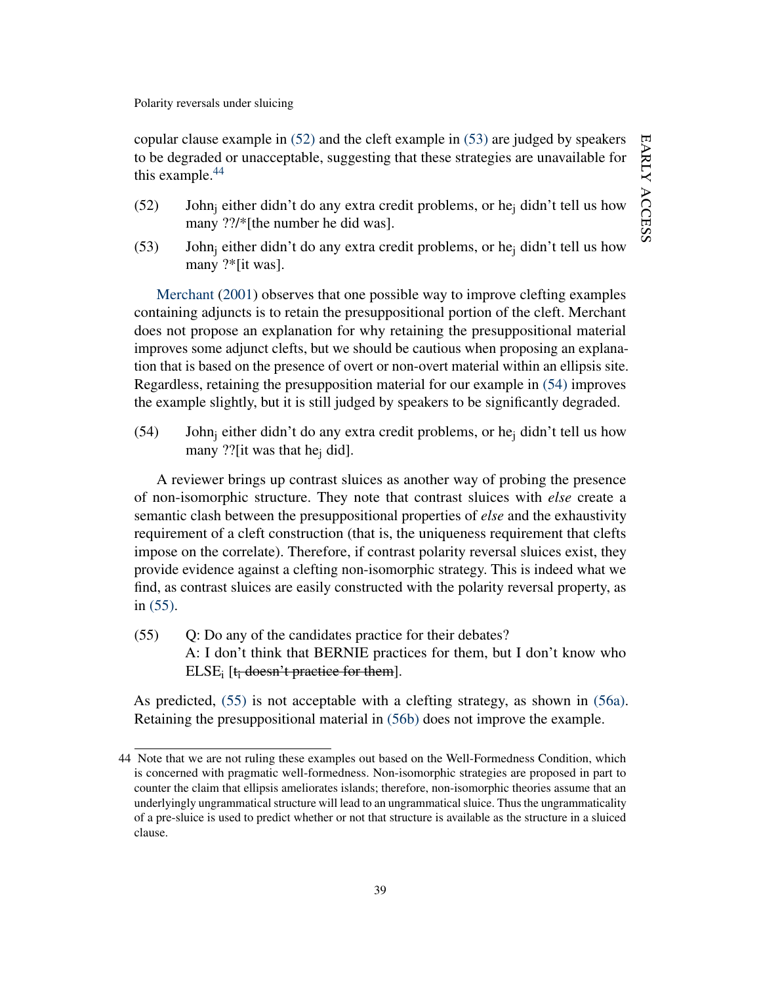copular clause example in [\(52\)](#page-39-1) and the cleft example in [\(53\)](#page-39-2) are judged by speakers to be degraded or unacceptable, suggesting that these strategies are unavailable for this example. $44$ 

- <span id="page-39-1"></span>(52) John<sub>i</sub> either didn't do any extra credit problems, or he<sub>i</sub> didn't tell us how many ??/\*[the number he did was].
- <span id="page-39-2"></span>(53) John<sub>i</sub> either didn't do any extra credit problems, or he<sub>i</sub> didn't tell us how many ?\*[it was].

[Merchant](#page-46-0) [\(2001\)](#page-46-0) observes that one possible way to improve clefting examples containing adjuncts is to retain the presuppositional portion of the cleft. Merchant does not propose an explanation for why retaining the presuppositional material improves some adjunct clefts, but we should be cautious when proposing an explanation that is based on the presence of overt or non-overt material within an ellipsis site. Regardless, retaining the presupposition material for our example in [\(54\)](#page-39-4) improves the example slightly, but it is still judged by speakers to be significantly degraded.

<span id="page-39-4"></span> $(54)$  John<sub>i</sub> either didn't do any extra credit problems, or he<sub>i</sub> didn't tell us how many ??[it was that he<sub>j</sub> did].

A reviewer brings up contrast sluices as another way of probing the presence of non-isomorphic structure. They note that contrast sluices with *else* create a semantic clash between the presuppositional properties of *else* and the exhaustivity requirement of a cleft construction (that is, the uniqueness requirement that clefts impose on the correlate). Therefore, if contrast polarity reversal sluices exist, they provide evidence against a clefting non-isomorphic strategy. This is indeed what we find, as contrast sluices are easily constructed with the polarity reversal property, as in [\(55\).](#page-39-0)

<span id="page-39-0"></span>(55) Q: Do any of the candidates practice for their debates? A: I don't think that BERNIE practices for them, but I don't know who ELSE<sub>i</sub> [ $t_i$  doesn't practice for them].

As predicted, [\(55\)](#page-39-0) is not acceptable with a clefting strategy, as shown in [\(56a\).](#page-39-5) Retaining the presuppositional material in [\(56b\)](#page-40-0) does not improve the example.

<span id="page-39-5"></span><span id="page-39-3"></span><sup>44</sup> Note that we are not ruling these examples out based on the Well-Formedness Condition, which is concerned with pragmatic well-formedness. Non-isomorphic strategies are proposed in part to counter the claim that ellipsis ameliorates islands; therefore, non-isomorphic theories assume that an underlyingly ungrammatical structure will lead to an ungrammatical sluice. Thus the ungrammaticality of a pre-sluice is used to predict whether or not that structure is available as the structure in a sluiced clause.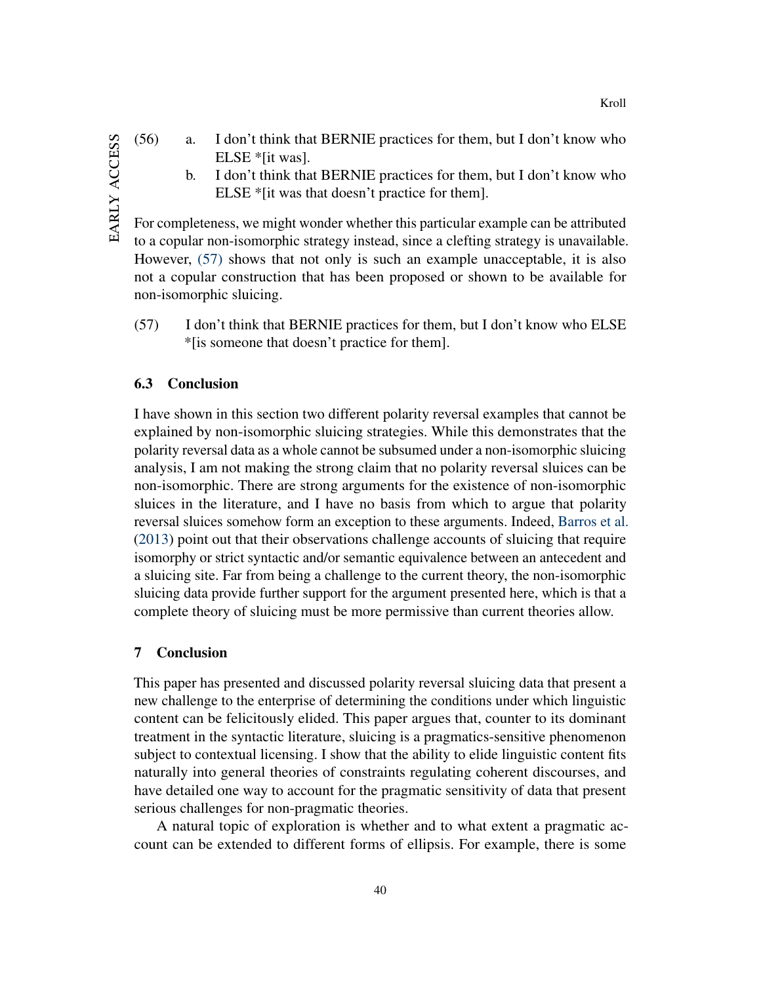- <span id="page-40-0"></span>(56) a. I don't think that BERNIE practices for them, but I don't know who ELSE \*[it was].
	- b. I don't think that BERNIE practices for them, but I don't know who ELSE \*[it was that doesn't practice for them].

For completeness, we might wonder whether this particular example can be attributed to a copular non-isomorphic strategy instead, since a clefting strategy is unavailable. However, [\(57\)](#page-40-1) shows that not only is such an example unacceptable, it is also not a copular construction that has been proposed or shown to be available for non-isomorphic sluicing.

<span id="page-40-1"></span>(57) I don't think that BERNIE practices for them, but I don't know who ELSE \*[is someone that doesn't practice for them].

#### 6.3 Conclusion

I have shown in this section two different polarity reversal examples that cannot be explained by non-isomorphic sluicing strategies. While this demonstrates that the polarity reversal data as a whole cannot be subsumed under a non-isomorphic sluicing analysis, I am not making the strong claim that no polarity reversal sluices can be non-isomorphic. There are strong arguments for the existence of non-isomorphic sluices in the literature, and I have no basis from which to argue that polarity reversal sluices somehow form an exception to these arguments. Indeed, [Barros et al.](#page-42-15) [\(2013\)](#page-42-15) point out that their observations challenge accounts of sluicing that require isomorphy or strict syntactic and/or semantic equivalence between an antecedent and a sluicing site. Far from being a challenge to the current theory, the non-isomorphic sluicing data provide further support for the argument presented here, which is that a complete theory of sluicing must be more permissive than current theories allow.

#### 7 Conclusion

This paper has presented and discussed polarity reversal sluicing data that present a new challenge to the enterprise of determining the conditions under which linguistic content can be felicitously elided. This paper argues that, counter to its dominant treatment in the syntactic literature, sluicing is a pragmatics-sensitive phenomenon subject to contextual licensing. I show that the ability to elide linguistic content fits naturally into general theories of constraints regulating coherent discourses, and have detailed one way to account for the pragmatic sensitivity of data that present serious challenges for non-pragmatic theories.

A natural topic of exploration is whether and to what extent a pragmatic account can be extended to different forms of ellipsis. For example, there is some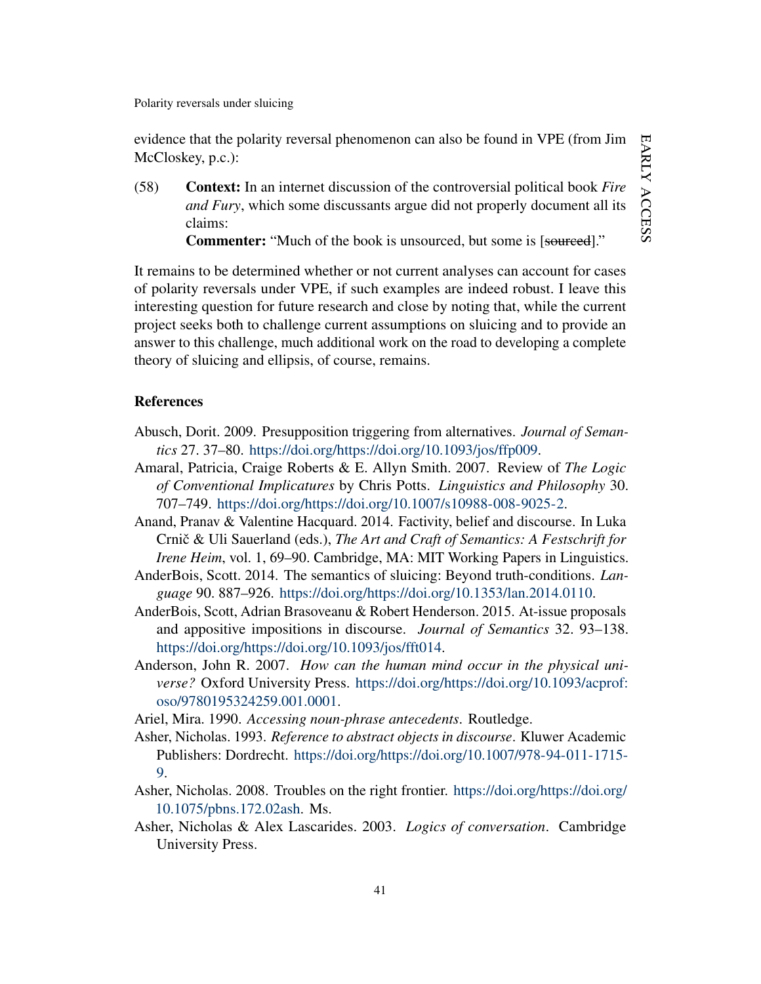evidence that the polarity reversal phenomenon can also be found in VPE (from Jim McCloskey, p.c.):

(58) Context: In an internet discussion of the controversial political book *Fire and Fury*, which some discussants argue did not properly document all its claims:

Commenter: "Much of the book is unsourced, but some is [sourced]."

It remains to be determined whether or not current analyses can account for cases of polarity reversals under VPE, if such examples are indeed robust. I leave this interesting question for future research and close by noting that, while the current project seeks both to challenge current assumptions on sluicing and to provide an answer to this challenge, much additional work on the road to developing a complete theory of sluicing and ellipsis, of course, remains.

#### **References**

- <span id="page-41-3"></span>Abusch, Dorit. 2009. Presupposition triggering from alternatives. *Journal of Semantics* 27. 37–80. [https://doi.org/https://doi.org/10.1093/jos/ffp009.](https://doi.org/https://doi.org/10.1093/jos/ffp009)
- <span id="page-41-1"></span>Amaral, Patricia, Craige Roberts & E. Allyn Smith. 2007. Review of *The Logic of Conventional Implicatures* by Chris Potts. *Linguistics and Philosophy* 30. 707–749. [https://doi.org/https://doi.org/10.1007/s10988-008-9025-2.](https://doi.org/https://doi.org/10.1007/s10988-008-9025-2)
- <span id="page-41-4"></span>Anand, Pranav & Valentine Hacquard. 2014. Factivity, belief and discourse. In Luka Crnič & Uli Sauerland (eds.), The Art and Craft of Semantics: A Festschrift for *Irene Heim*, vol. 1, 69–90. Cambridge, MA: MIT Working Papers in Linguistics.
- <span id="page-41-0"></span>AnderBois, Scott. 2014. The semantics of sluicing: Beyond truth-conditions. *Language* 90. 887–926. [https://doi.org/https://doi.org/10.1353/lan.2014.0110.](https://doi.org/https://doi.org/10.1353/lan.2014.0110)
- <span id="page-41-2"></span>AnderBois, Scott, Adrian Brasoveanu & Robert Henderson. 2015. At-issue proposals and appositive impositions in discourse. *Journal of Semantics* 32. 93–138. [https://doi.org/https://doi.org/10.1093/jos/fft014.](https://doi.org/https://doi.org/10.1093/jos/fft014)
- <span id="page-41-5"></span>Anderson, John R. 2007. *How can the human mind occur in the physical universe?* Oxford University Press. [https://doi.org/https://doi.org/10.1093/acprof:](https://doi.org/https://doi.org/10.1093/acprof:oso/9780195324259.001.0001) [oso/9780195324259.001.0001.](https://doi.org/https://doi.org/10.1093/acprof:oso/9780195324259.001.0001)
- <span id="page-41-6"></span>Ariel, Mira. 1990. *Accessing noun-phrase antecedents*. Routledge.
- <span id="page-41-7"></span>Asher, Nicholas. 1993. *Reference to abstract objects in discourse*. Kluwer Academic Publishers: Dordrecht. [https://doi.org/https://doi.org/10.1007/978-94-011-1715-](https://doi.org/https://doi.org/10.1007/978-94-011-1715-9) [9.](https://doi.org/https://doi.org/10.1007/978-94-011-1715-9)
- <span id="page-41-9"></span>Asher, Nicholas. 2008. Troubles on the right frontier. [https://doi.org/https://doi.org/](https://doi.org/https://doi.org/10.1075/pbns.172.02ash) [10.1075/pbns.172.02ash.](https://doi.org/https://doi.org/10.1075/pbns.172.02ash) Ms.
- <span id="page-41-8"></span>Asher, Nicholas & Alex Lascarides. 2003. *Logics of conversation*. Cambridge University Press.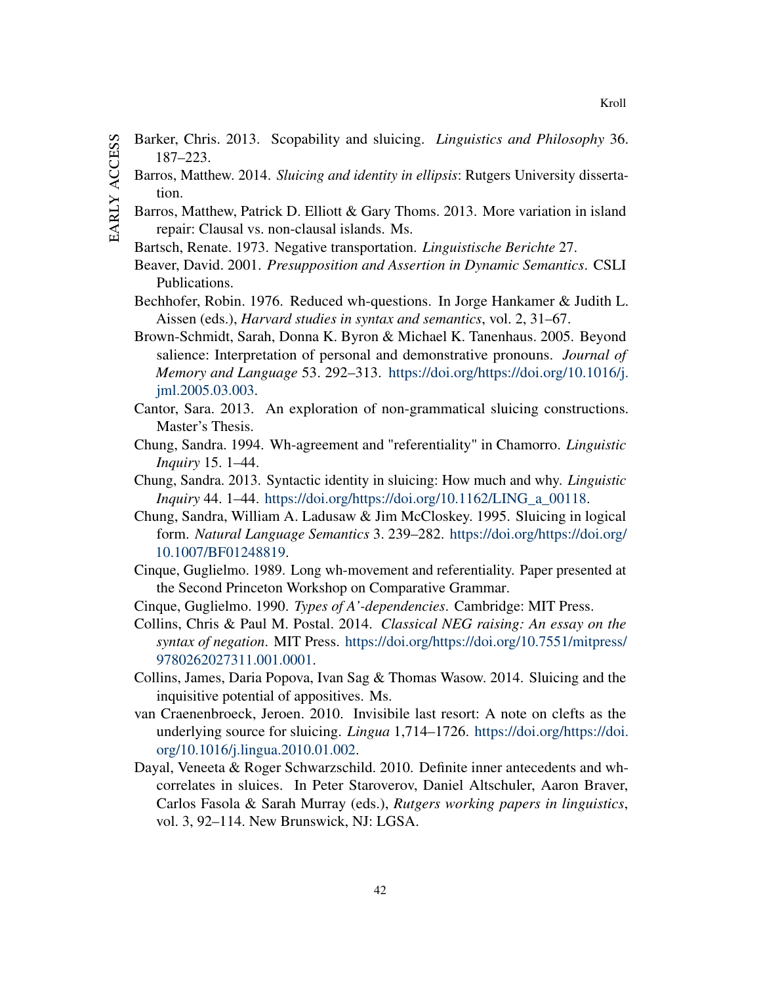- <span id="page-42-16"></span><span id="page-42-15"></span><span id="page-42-14"></span><span id="page-42-13"></span><span id="page-42-12"></span><span id="page-42-11"></span><span id="page-42-10"></span><span id="page-42-9"></span><span id="page-42-8"></span><span id="page-42-7"></span><span id="page-42-6"></span><span id="page-42-5"></span><span id="page-42-4"></span><span id="page-42-3"></span><span id="page-42-2"></span><span id="page-42-1"></span><span id="page-42-0"></span>EARLY ACCESS early access
- Barker, Chris. 2013. Scopability and sluicing. *Linguistics and Philosophy* 36. 187–223.
	- Barros, Matthew. 2014. *Sluicing and identity in ellipsis*: Rutgers University dissertation.
	- Barros, Matthew, Patrick D. Elliott & Gary Thoms. 2013. More variation in island repair: Clausal vs. non-clausal islands. Ms.
	- Bartsch, Renate. 1973. Negative transportation. *Linguistische Berichte* 27.
	- Beaver, David. 2001. *Presupposition and Assertion in Dynamic Semantics*. CSLI Publications.
	- Bechhofer, Robin. 1976. Reduced wh-questions. In Jorge Hankamer & Judith L. Aissen (eds.), *Harvard studies in syntax and semantics*, vol. 2, 31–67.
	- Brown-Schmidt, Sarah, Donna K. Byron & Michael K. Tanenhaus. 2005. Beyond salience: Interpretation of personal and demonstrative pronouns. *Journal of Memory and Language* 53. 292–313. [https://doi.org/https://doi.org/10.1016/j.](https://doi.org/https://doi.org/10.1016/j.jml.2005.03.003) [jml.2005.03.003.](https://doi.org/https://doi.org/10.1016/j.jml.2005.03.003)
	- Cantor, Sara. 2013. An exploration of non-grammatical sluicing constructions. Master's Thesis.
	- Chung, Sandra. 1994. Wh-agreement and "referentiality" in Chamorro. *Linguistic Inquiry* 15. 1–44.
	- Chung, Sandra. 2013. Syntactic identity in sluicing: How much and why. *Linguistic Inquiry* 44. 1–44. [https://doi.org/https://doi.org/10.1162/LING\\_a\\_00118.](https://doi.org/https://doi.org/10.1162/LING_a_00118)
	- Chung, Sandra, William A. Ladusaw & Jim McCloskey. 1995. Sluicing in logical form. *Natural Language Semantics* 3. 239–282. [https://doi.org/https://doi.org/](https://doi.org/https://doi.org/10.1007/BF01248819) [10.1007/BF01248819.](https://doi.org/https://doi.org/10.1007/BF01248819)
	- Cinque, Guglielmo. 1989. Long wh-movement and referentiality. Paper presented at the Second Princeton Workshop on Comparative Grammar.
	- Cinque, Guglielmo. 1990. *Types of A'-dependencies*. Cambridge: MIT Press.
	- Collins, Chris & Paul M. Postal. 2014. *Classical NEG raising: An essay on the syntax of negation*. MIT Press. [https://doi.org/https://doi.org/10.7551/mitpress/](https://doi.org/https://doi.org/10.7551/mitpress/9780262027311.001.0001) [9780262027311.001.0001.](https://doi.org/https://doi.org/10.7551/mitpress/9780262027311.001.0001)
	- Collins, James, Daria Popova, Ivan Sag & Thomas Wasow. 2014. Sluicing and the inquisitive potential of appositives. Ms.
	- van Craenenbroeck, Jeroen. 2010. Invisibile last resort: A note on clefts as the underlying source for sluicing. *Lingua* 1,714–1726. [https://doi.org/https://doi.](https://doi.org/https://doi.org/10.1016/j.lingua.2010.01.002) [org/10.1016/j.lingua.2010.01.002.](https://doi.org/https://doi.org/10.1016/j.lingua.2010.01.002)
	- Dayal, Veneeta & Roger Schwarzschild. 2010. Definite inner antecedents and whcorrelates in sluices. In Peter Staroverov, Daniel Altschuler, Aaron Braver, Carlos Fasola & Sarah Murray (eds.), *Rutgers working papers in linguistics*, vol. 3, 92–114. New Brunswick, NJ: LGSA.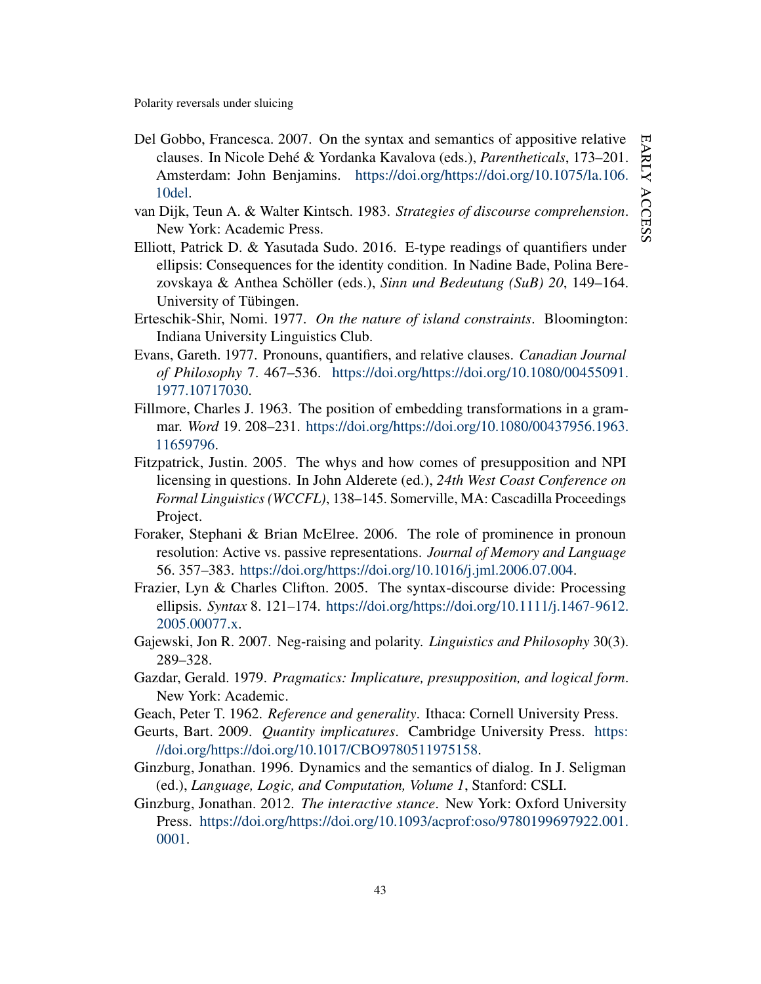- <span id="page-43-6"></span>Del Gobbo, Francesca. 2007. On the syntax and semantics of appositive relative clauses. In Nicole Dehé & Yordanka Kavalova (eds.), *Parentheticals*, 173–201. Amsterdam: John Benjamins. [https://doi.org/https://doi.org/10.1075/la.106.](https://doi.org/https://doi.org/10.1075/la.106.10del) [10del.](https://doi.org/https://doi.org/10.1075/la.106.10del)
- <span id="page-43-10"></span>van Dijk, Teun A. & Walter Kintsch. 1983. *Strategies of discourse comprehension*. New York: Academic Press.
- <span id="page-43-0"></span>Elliott, Patrick D. & Yasutada Sudo. 2016. E-type readings of quantifiers under ellipsis: Consequences for the identity condition. In Nadine Bade, Polina Berezovskaya & Anthea Schöller (eds.), *Sinn und Bedeutung (SuB) 20*, 149–164. University of Tübingen.
- <span id="page-43-14"></span>Erteschik-Shir, Nomi. 1977. *On the nature of island constraints*. Bloomington: Indiana University Linguistics Club.
- <span id="page-43-5"></span>Evans, Gareth. 1977. Pronouns, quantifiers, and relative clauses. *Canadian Journal of Philosophy* 7. 467–536. [https://doi.org/https://doi.org/10.1080/00455091.](https://doi.org/https://doi.org/10.1080/00455091.1977.10717030) [1977.10717030.](https://doi.org/https://doi.org/10.1080/00455091.1977.10717030)
- <span id="page-43-8"></span>Fillmore, Charles J. 1963. The position of embedding transformations in a grammar. *Word* 19. 208–231. [https://doi.org/https://doi.org/10.1080/00437956.1963.](https://doi.org/https://doi.org/10.1080/00437956.1963.11659796) [11659796.](https://doi.org/https://doi.org/10.1080/00437956.1963.11659796)
- <span id="page-43-1"></span>Fitzpatrick, Justin. 2005. The whys and how comes of presupposition and NPI licensing in questions. In John Alderete (ed.), *24th West Coast Conference on Formal Linguistics (WCCFL)*, 138–145. Somerville, MA: Cascadilla Proceedings Project.
- <span id="page-43-11"></span>Foraker, Stephani & Brian McElree. 2006. The role of prominence in pronoun resolution: Active vs. passive representations. *Journal of Memory and Language* 56. 357–383. [https://doi.org/https://doi.org/10.1016/j.jml.2006.07.004.](https://doi.org/https://doi.org/10.1016/j.jml.2006.07.004)
- <span id="page-43-13"></span>Frazier, Lyn & Charles Clifton. 2005. The syntax-discourse divide: Processing ellipsis. *Syntax* 8. 121–174. [https://doi.org/https://doi.org/10.1111/j.1467-9612.](https://doi.org/https://doi.org/10.1111/j.1467-9612.2005.00077.x) [2005.00077.x.](https://doi.org/https://doi.org/10.1111/j.1467-9612.2005.00077.x)
- <span id="page-43-7"></span>Gajewski, Jon R. 2007. Neg-raising and polarity. *Linguistics and Philosophy* 30(3). 289–328.
- <span id="page-43-3"></span>Gazdar, Gerald. 1979. *Pragmatics: Implicature, presupposition, and logical form*. New York: Academic.
- <span id="page-43-4"></span>Geach, Peter T. 1962. *Reference and generality*. Ithaca: Cornell University Press.
- <span id="page-43-9"></span>Geurts, Bart. 2009. *Quantity implicatures*. Cambridge University Press. [https:](https://doi.org/https://doi.org/10.1017/CBO9780511975158) [//doi.org/https://doi.org/10.1017/CBO9780511975158.](https://doi.org/https://doi.org/10.1017/CBO9780511975158)
- <span id="page-43-12"></span>Ginzburg, Jonathan. 1996. Dynamics and the semantics of dialog. In J. Seligman (ed.), *Language, Logic, and Computation, Volume 1*, Stanford: CSLI.
- <span id="page-43-2"></span>Ginzburg, Jonathan. 2012. *The interactive stance*. New York: Oxford University Press. [https://doi.org/https://doi.org/10.1093/acprof:oso/9780199697922.001.](https://doi.org/https://doi.org/10.1093/acprof:oso/9780199697922.001.0001) [0001.](https://doi.org/https://doi.org/10.1093/acprof:oso/9780199697922.001.0001)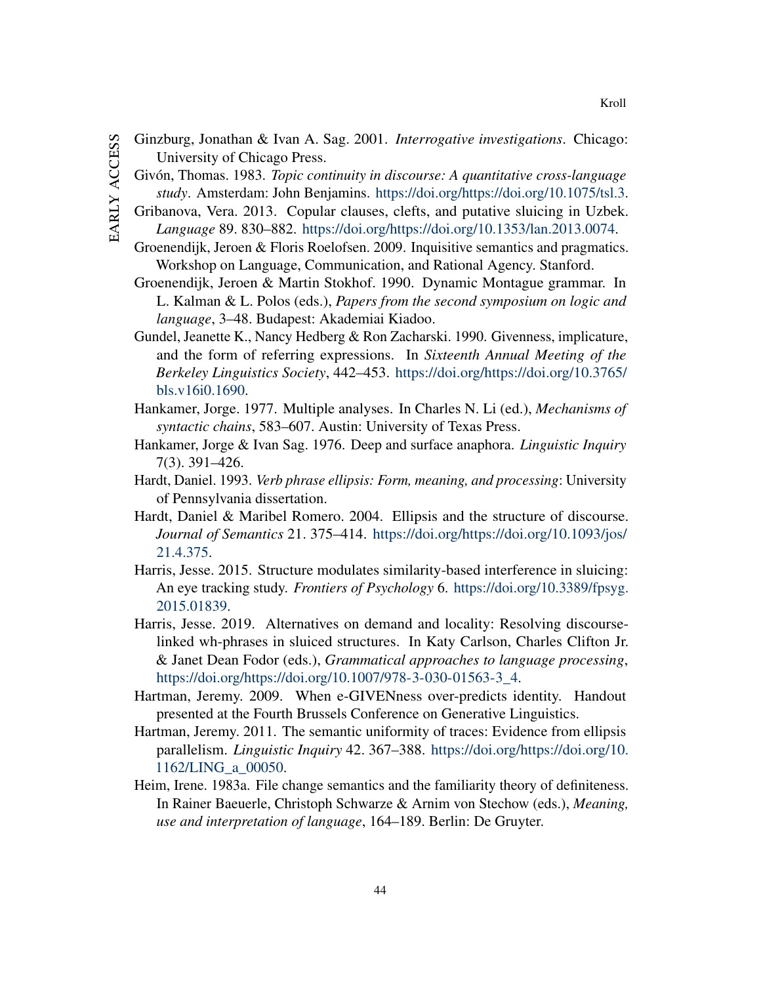- <span id="page-44-14"></span><span id="page-44-13"></span><span id="page-44-12"></span><span id="page-44-11"></span><span id="page-44-10"></span><span id="page-44-9"></span><span id="page-44-8"></span><span id="page-44-7"></span><span id="page-44-6"></span><span id="page-44-5"></span><span id="page-44-4"></span><span id="page-44-3"></span><span id="page-44-2"></span><span id="page-44-1"></span><span id="page-44-0"></span>EARLY ACCESS early access
- Ginzburg, Jonathan & Ivan A. Sag. 2001. *Interrogative investigations*. Chicago: University of Chicago Press.
	- Givón, Thomas. 1983. *Topic continuity in discourse: A quantitative cross-language study*. Amsterdam: John Benjamins. [https://doi.org/https://doi.org/10.1075/tsl.3.](https://doi.org/https://doi.org/10.1075/tsl.3)
	- Gribanova, Vera. 2013. Copular clauses, clefts, and putative sluicing in Uzbek. *Language* 89. 830–882. [https://doi.org/https://doi.org/10.1353/lan.2013.0074.](https://doi.org/https://doi.org/10.1353/lan.2013.0074)
	- Groenendijk, Jeroen & Floris Roelofsen. 2009. Inquisitive semantics and pragmatics. Workshop on Language, Communication, and Rational Agency. Stanford.
	- Groenendijk, Jeroen & Martin Stokhof. 1990. Dynamic Montague grammar. In L. Kalman & L. Polos (eds.), *Papers from the second symposium on logic and language*, 3–48. Budapest: Akademiai Kiadoo.
	- Gundel, Jeanette K., Nancy Hedberg & Ron Zacharski. 1990. Givenness, implicature, and the form of referring expressions. In *Sixteenth Annual Meeting of the Berkeley Linguistics Society*, 442–453. [https://doi.org/https://doi.org/10.3765/](https://doi.org/https://doi.org/10.3765/bls.v16i0.1690) [bls.v16i0.1690.](https://doi.org/https://doi.org/10.3765/bls.v16i0.1690)
	- Hankamer, Jorge. 1977. Multiple analyses. In Charles N. Li (ed.), *Mechanisms of syntactic chains*, 583–607. Austin: University of Texas Press.
	- Hankamer, Jorge & Ivan Sag. 1976. Deep and surface anaphora. *Linguistic Inquiry* 7(3). 391–426.
	- Hardt, Daniel. 1993. *Verb phrase ellipsis: Form, meaning, and processing*: University of Pennsylvania dissertation.
	- Hardt, Daniel & Maribel Romero. 2004. Ellipsis and the structure of discourse. *Journal of Semantics* 21. 375–414. [https://doi.org/https://doi.org/10.1093/jos/](https://doi.org/https://doi.org/10.1093/jos/21.4.375) [21.4.375.](https://doi.org/https://doi.org/10.1093/jos/21.4.375)
	- Harris, Jesse. 2015. Structure modulates similarity-based interference in sluicing: An eye tracking study. *Frontiers of Psychology* 6. [https://doi.org/10.3389/fpsyg.](https://doi.org/10.3389/fpsyg.2015.01839) [2015.01839.](https://doi.org/10.3389/fpsyg.2015.01839)
	- Harris, Jesse. 2019. Alternatives on demand and locality: Resolving discourselinked wh-phrases in sluiced structures. In Katy Carlson, Charles Clifton Jr. & Janet Dean Fodor (eds.), *Grammatical approaches to language processing*, [https://doi.org/https://doi.org/10.1007/978-3-030-01563-3\\_4.](https://doi.org/https://doi.org/10.1007/978-3-030-01563-3_4)
	- Hartman, Jeremy. 2009. When e-GIVENness over-predicts identity. Handout presented at the Fourth Brussels Conference on Generative Linguistics.
	- Hartman, Jeremy. 2011. The semantic uniformity of traces: Evidence from ellipsis parallelism. *Linguistic Inquiry* 42. 367–388. [https://doi.org/https://doi.org/10.](https://doi.org/https://doi.org/10.1162/LING_a_00050) [1162/LING\\_a\\_00050.](https://doi.org/https://doi.org/10.1162/LING_a_00050)
	- Heim, Irene. 1983a. File change semantics and the familiarity theory of definiteness. In Rainer Baeuerle, Christoph Schwarze & Arnim von Stechow (eds.), *Meaning, use and interpretation of language*, 164–189. Berlin: De Gruyter.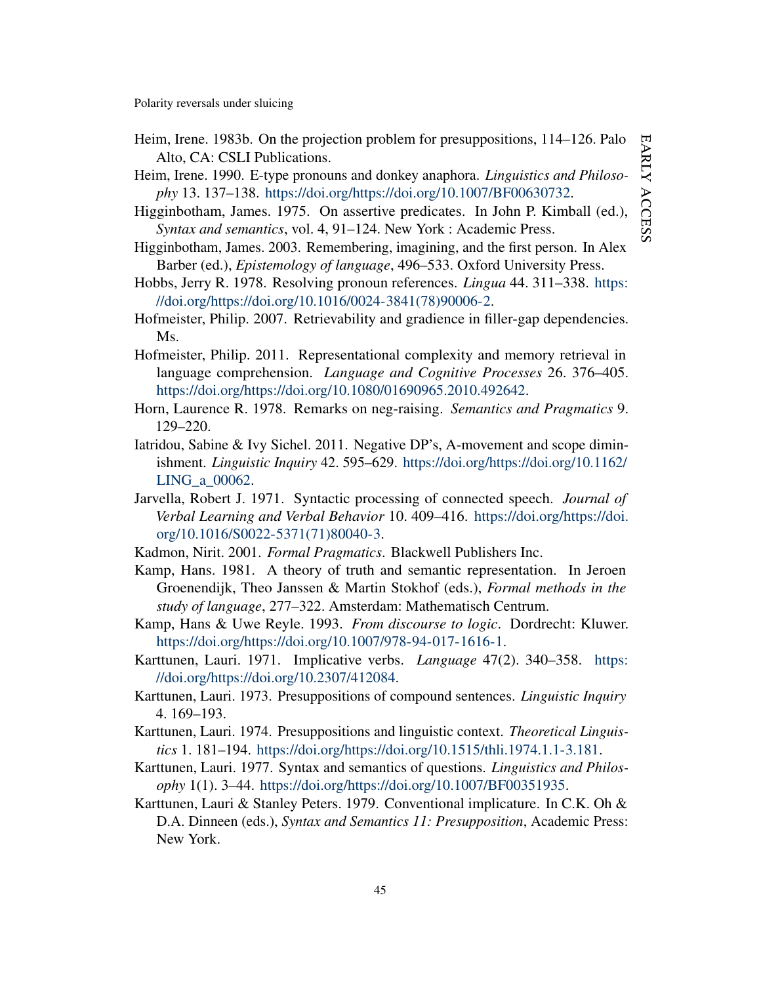- <span id="page-45-1"></span>Heim, Irene. 1983b. On the projection problem for presuppositions, 114–126. Palo Alto, CA: CSLI Publications.
- <span id="page-45-4"></span>Heim, Irene. 1990. E-type pronouns and donkey anaphora. *Linguistics and Philosophy* 13. 137–138. [https://doi.org/https://doi.org/10.1007/BF00630732.](https://doi.org/https://doi.org/10.1007/BF00630732)
- <span id="page-45-9"></span>Higginbotham, James. 1975. On assertive predicates. In John P. Kimball (ed.), *Syntax and semantics*, vol. 4, 91–124. New York : Academic Press.
- <span id="page-45-11"></span>Higginbotham, James. 2003. Remembering, imagining, and the first person. In Alex Barber (ed.), *Epistemology of language*, 496–533. Oxford University Press.
- <span id="page-45-17"></span>Hobbs, Jerry R. 1978. Resolving pronoun references. *Lingua* 44. 311–338. [https:](https://doi.org/https://doi.org/10.1016/0024-3841(78)90006-2) [//doi.org/https://doi.org/10.1016/0024-3841\(78\)90006-2.](https://doi.org/https://doi.org/10.1016/0024-3841(78)90006-2)
- <span id="page-45-15"></span>Hofmeister, Philip. 2007. Retrievability and gradience in filler-gap dependencies. M<sub>s</sub>.
- <span id="page-45-16"></span>Hofmeister, Philip. 2011. Representational complexity and memory retrieval in language comprehension. *Language and Cognitive Processes* 26. 376–405. [https://doi.org/https://doi.org/10.1080/01690965.2010.492642.](https://doi.org/https://doi.org/10.1080/01690965.2010.492642)
- <span id="page-45-8"></span>Horn, Laurence R. 1978. Remarks on neg-raising. *Semantics and Pragmatics* 9. 129–220.
- <span id="page-45-12"></span>Iatridou, Sabine & Ivy Sichel. 2011. Negative DP's, A-movement and scope diminishment. *Linguistic Inquiry* 42. 595–629. [https://doi.org/https://doi.org/10.1162/](https://doi.org/https://doi.org/10.1162/LING_a_00062) [LING\\_a\\_00062.](https://doi.org/https://doi.org/10.1162/LING_a_00062)
- <span id="page-45-13"></span>Jarvella, Robert J. 1971. Syntactic processing of connected speech. *Journal of Verbal Learning and Verbal Behavior* 10. 409–416. [https://doi.org/https://doi.](https://doi.org/https://doi.org/10.1016/S0022-5371(71)80040-3) [org/10.1016/S0022-5371\(71\)80040-3.](https://doi.org/https://doi.org/10.1016/S0022-5371(71)80040-3)
- <span id="page-45-0"></span>Kadmon, Nirit. 2001. *Formal Pragmatics*. Blackwell Publishers Inc.
- <span id="page-45-7"></span>Kamp, Hans. 1981. A theory of truth and semantic representation. In Jeroen Groenendijk, Theo Janssen & Martin Stokhof (eds.), *Formal methods in the study of language*, 277–322. Amsterdam: Mathematisch Centrum.
- <span id="page-45-5"></span>Kamp, Hans & Uwe Reyle. 1993. *From discourse to logic*. Dordrecht: Kluwer. [https://doi.org/https://doi.org/10.1007/978-94-017-1616-1.](https://doi.org/https://doi.org/10.1007/978-94-017-1616-1)
- <span id="page-45-10"></span>Karttunen, Lauri. 1971. Implicative verbs. *Language* 47(2). 340–358. [https:](https://doi.org/https://doi.org/10.2307/412084) [//doi.org/https://doi.org/10.2307/412084.](https://doi.org/https://doi.org/10.2307/412084)
- <span id="page-45-6"></span>Karttunen, Lauri. 1973. Presuppositions of compound sentences. *Linguistic Inquiry* 4. 169–193.
- <span id="page-45-2"></span>Karttunen, Lauri. 1974. Presuppositions and linguistic context. *Theoretical Linguistics* 1. 181–194. [https://doi.org/https://doi.org/10.1515/thli.1974.1.1-3.181.](https://doi.org/https://doi.org/10.1515/thli.1974.1.1-3.181)
- <span id="page-45-14"></span>Karttunen, Lauri. 1977. Syntax and semantics of questions. *Linguistics and Philosophy* 1(1). 3–44. [https://doi.org/https://doi.org/10.1007/BF00351935.](https://doi.org/https://doi.org/10.1007/BF00351935)
- <span id="page-45-3"></span>Karttunen, Lauri & Stanley Peters. 1979. Conventional implicature. In C.K. Oh & D.A. Dinneen (eds.), *Syntax and Semantics 11: Presupposition*, Academic Press: New York.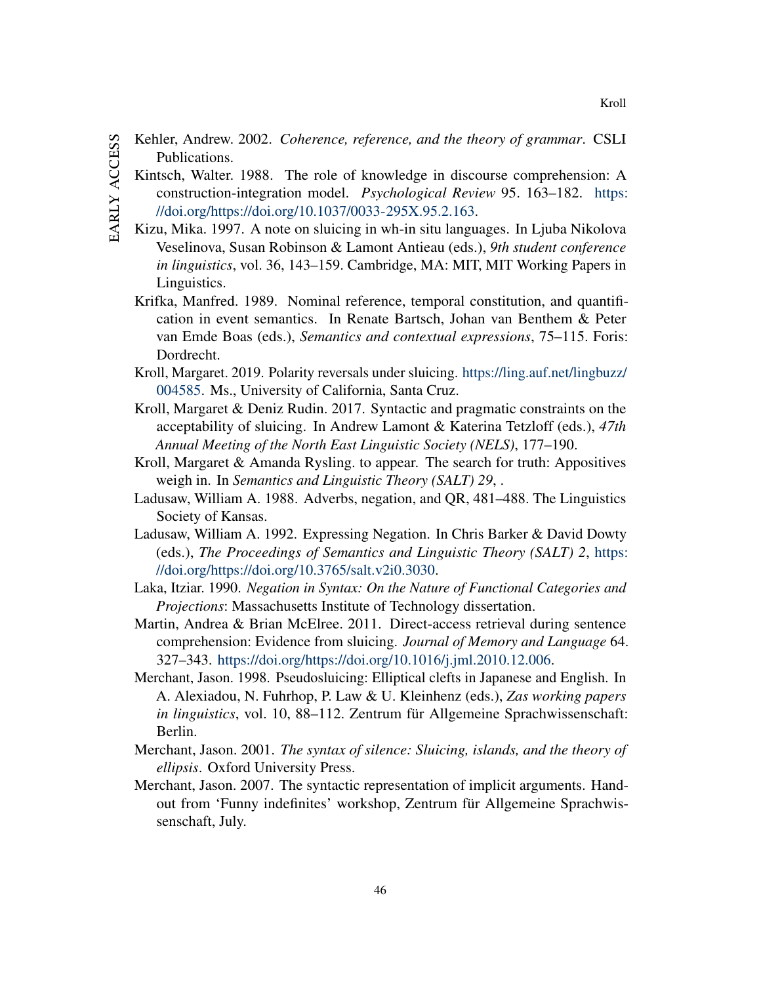- <span id="page-46-11"></span><span id="page-46-10"></span>EARLY ACCESS early access
- Kehler, Andrew. 2002. *Coherence, reference, and the theory of grammar*. CSLI Publications.
- Kintsch, Walter. 1988. The role of knowledge in discourse comprehension: A construction-integration model. *Psychological Review* 95. 163–182. [https:](https://doi.org/https://doi.org/10.1037/0033-295X.95.2.163) [//doi.org/https://doi.org/10.1037/0033-295X.95.2.163.](https://doi.org/https://doi.org/10.1037/0033-295X.95.2.163)
- <span id="page-46-12"></span>Kizu, Mika. 1997. A note on sluicing in wh-in situ languages. In Ljuba Nikolova Veselinova, Susan Robinson & Lamont Antieau (eds.), *9th student conference in linguistics*, vol. 36, 143–159. Cambridge, MA: MIT, MIT Working Papers in Linguistics.
- <span id="page-46-3"></span>Krifka, Manfred. 1989. Nominal reference, temporal constitution, and quantification in event semantics. In Renate Bartsch, Johan van Benthem & Peter van Emde Boas (eds.), *Semantics and contextual expressions*, 75–115. Foris: Dordrecht.
- <span id="page-46-1"></span>Kroll, Margaret. 2019. Polarity reversals under sluicing. [https://ling.auf.net/lingbuzz/](https://ling.auf.net/lingbuzz/004585) [004585.](https://ling.auf.net/lingbuzz/004585) Ms., University of California, Santa Cruz.
- <span id="page-46-6"></span>Kroll, Margaret & Deniz Rudin. 2017. Syntactic and pragmatic constraints on the acceptability of sluicing. In Andrew Lamont & Katerina Tetzloff (eds.), *47th Annual Meeting of the North East Linguistic Society (NELS)*, 177–190.
- <span id="page-46-2"></span>Kroll, Margaret & Amanda Rysling. to appear. The search for truth: Appositives weigh in. In *Semantics and Linguistic Theory (SALT) 29*, .
- <span id="page-46-4"></span>Ladusaw, William A. 1988. Adverbs, negation, and QR, 481–488. The Linguistics Society of Kansas.
- <span id="page-46-8"></span>Ladusaw, William A. 1992. Expressing Negation. In Chris Barker & David Dowty (eds.), *The Proceedings of Semantics and Linguistic Theory (SALT) 2*, [https:](https://doi.org/https://doi.org/10.3765/salt.v2i0.3030) [//doi.org/https://doi.org/10.3765/salt.v2i0.3030.](https://doi.org/https://doi.org/10.3765/salt.v2i0.3030)
- <span id="page-46-7"></span>Laka, Itziar. 1990. *Negation in Syntax: On the Nature of Functional Categories and Projections*: Massachusetts Institute of Technology dissertation.
- <span id="page-46-9"></span>Martin, Andrea & Brian McElree. 2011. Direct-access retrieval during sentence comprehension: Evidence from sluicing. *Journal of Memory and Language* 64. 327–343. [https://doi.org/https://doi.org/10.1016/j.jml.2010.12.006.](https://doi.org/https://doi.org/10.1016/j.jml.2010.12.006)
- <span id="page-46-13"></span>Merchant, Jason. 1998. Pseudosluicing: Elliptical clefts in Japanese and English. In A. Alexiadou, N. Fuhrhop, P. Law & U. Kleinhenz (eds.), *Zas working papers in linguistics*, vol. 10, 88–112. Zentrum für Allgemeine Sprachwissenschaft: Berlin.
- <span id="page-46-0"></span>Merchant, Jason. 2001. *The syntax of silence: Sluicing, islands, and the theory of ellipsis*. Oxford University Press.
- <span id="page-46-5"></span>Merchant, Jason. 2007. The syntactic representation of implicit arguments. Handout from 'Funny indefinites' workshop, Zentrum für Allgemeine Sprachwissenschaft, July.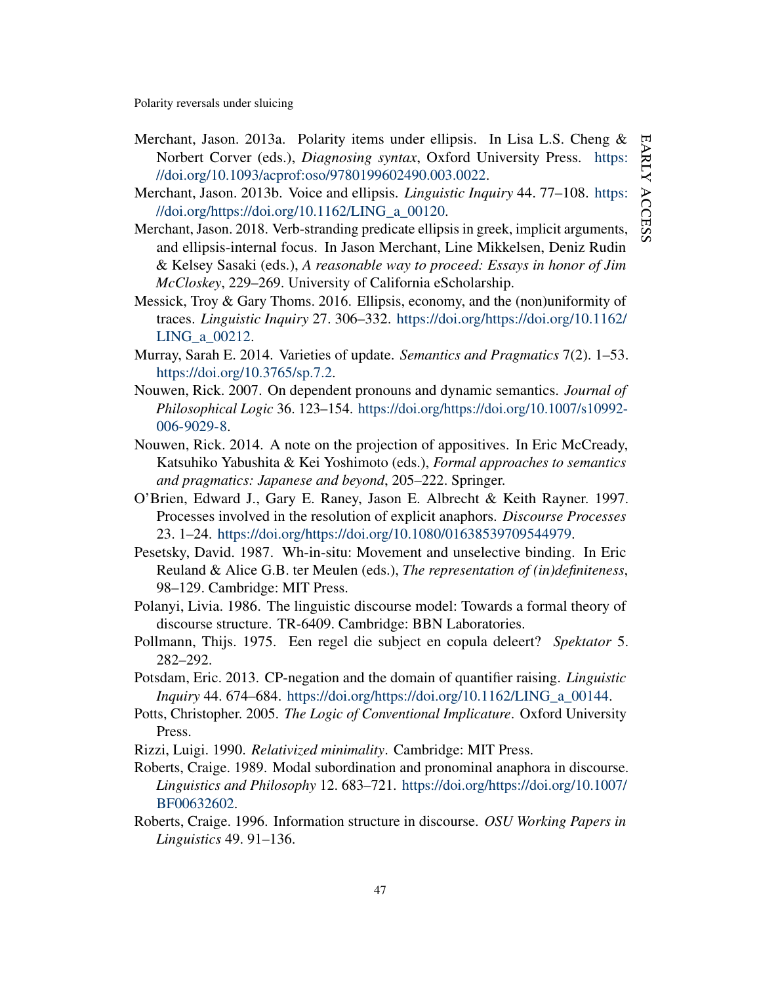- <span id="page-47-1"></span>Merchant, Jason. 2013a. Polarity items under ellipsis. In Lisa L.S. Cheng & Norbert Corver (eds.), *Diagnosing syntax*, Oxford University Press. [https:](https://doi.org/10.1093/acprof:oso/9780199602490.003.0022) [//doi.org/10.1093/acprof:oso/9780199602490.003.0022.](https://doi.org/10.1093/acprof:oso/9780199602490.003.0022)
- <span id="page-47-0"></span>Merchant, Jason. 2013b. Voice and ellipsis. *Linguistic Inquiry* 44. 77–108. [https:](https://doi.org/https://doi.org/10.1162/LING_a_00120) [//doi.org/https://doi.org/10.1162/LING\\_a\\_00120.](https://doi.org/https://doi.org/10.1162/LING_a_00120)
- <span id="page-47-12"></span>Merchant, Jason. 2018. Verb-stranding predicate ellipsis in greek, implicit arguments, and ellipsis-internal focus. In Jason Merchant, Line Mikkelsen, Deniz Rudin & Kelsey Sasaki (eds.), *A reasonable way to proceed: Essays in honor of Jim McCloskey*, 229–269. University of California eScholarship.
- <span id="page-47-7"></span>Messick, Troy & Gary Thoms. 2016. Ellipsis, economy, and the (non)uniformity of traces. *Linguistic Inquiry* 27. 306–332. [https://doi.org/https://doi.org/10.1162/](https://doi.org/https://doi.org/10.1162/LING_a_00212) [LING\\_a\\_00212.](https://doi.org/https://doi.org/10.1162/LING_a_00212)
- <span id="page-47-4"></span>Murray, Sarah E. 2014. Varieties of update. *Semantics and Pragmatics* 7(2). 1–53. [https://doi.org/10.3765/sp.7.2.](https://doi.org/10.3765/sp.7.2)
- <span id="page-47-3"></span>Nouwen, Rick. 2007. On dependent pronouns and dynamic semantics. *Journal of Philosophical Logic* 36. 123–154. [https://doi.org/https://doi.org/10.1007/s10992-](https://doi.org/https://doi.org/10.1007/s10992-006-9029-8) [006-9029-8.](https://doi.org/https://doi.org/10.1007/s10992-006-9029-8)
- <span id="page-47-6"></span>Nouwen, Rick. 2014. A note on the projection of appositives. In Eric McCready, Katsuhiko Yabushita & Kei Yoshimoto (eds.), *Formal approaches to semantics and pragmatics: Japanese and beyond*, 205–222. Springer.
- <span id="page-47-10"></span>O'Brien, Edward J., Gary E. Raney, Jason E. Albrecht & Keith Rayner. 1997. Processes involved in the resolution of explicit anaphors. *Discourse Processes* 23. 1–24. [https://doi.org/https://doi.org/10.1080/01638539709544979.](https://doi.org/https://doi.org/10.1080/01638539709544979)
- <span id="page-47-8"></span>Pesetsky, David. 1987. Wh-in-situ: Movement and unselective binding. In Eric Reuland & Alice G.B. ter Meulen (eds.), *The representation of (in)definiteness*, 98–129. Cambridge: MIT Press.
- <span id="page-47-14"></span>Polanyi, Livia. 1986. The linguistic discourse model: Towards a formal theory of discourse structure. TR-6409. Cambridge: BBN Laboratories.
- <span id="page-47-15"></span>Pollmann, Thijs. 1975. Een regel die subject en copula deleert? *Spektator* 5. 282–292.
- <span id="page-47-9"></span>Potsdam, Eric. 2013. CP-negation and the domain of quantifier raising. *Linguistic Inquiry* 44. 674–684. [https://doi.org/https://doi.org/10.1162/LING\\_a\\_00144.](https://doi.org/https://doi.org/10.1162/LING_a_00144)
- <span id="page-47-5"></span>Potts, Christopher. 2005. *The Logic of Conventional Implicature*. Oxford University Press.
- <span id="page-47-11"></span>Rizzi, Luigi. 1990. *Relativized minimality*. Cambridge: MIT Press.
- <span id="page-47-2"></span>Roberts, Craige. 1989. Modal subordination and pronominal anaphora in discourse. *Linguistics and Philosophy* 12. 683–721. [https://doi.org/https://doi.org/10.1007/](https://doi.org/https://doi.org/10.1007/BF00632602) [BF00632602.](https://doi.org/https://doi.org/10.1007/BF00632602)
- <span id="page-47-13"></span>Roberts, Craige. 1996. Information structure in discourse. *OSU Working Papers in Linguistics* 49. 91–136.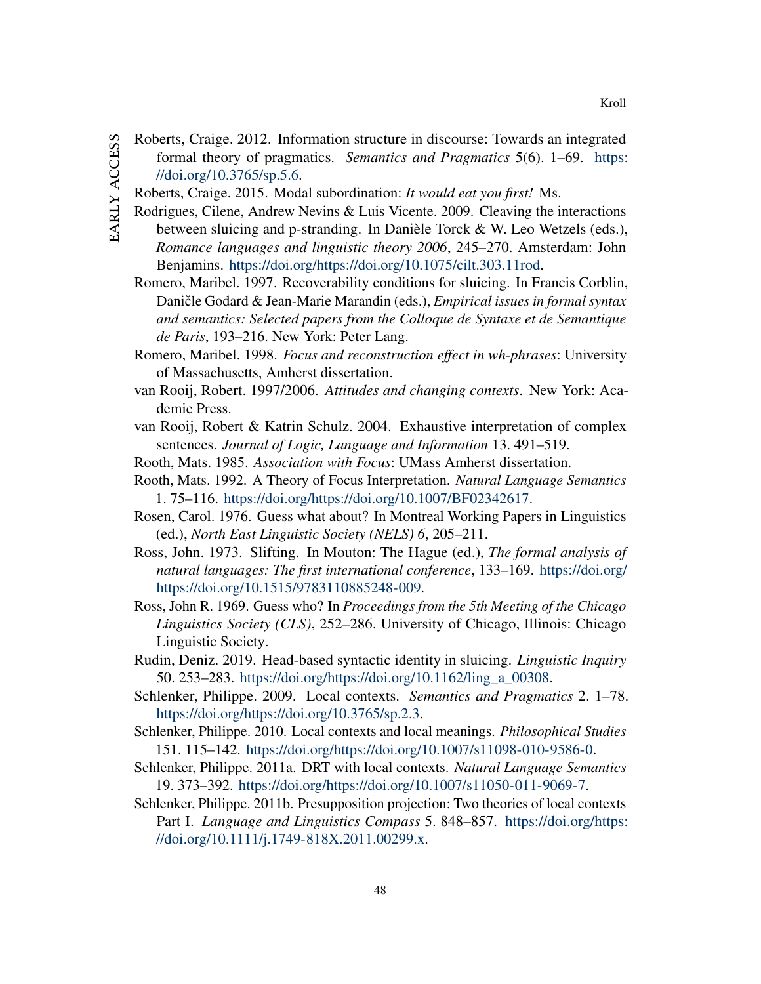- <span id="page-48-14"></span>EARLY ACCESS early access
- Roberts, Craige. 2012. Information structure in discourse: Towards an integrated formal theory of pragmatics. *Semantics and Pragmatics* 5(6). 1–69. [https:](https://doi.org/10.3765/sp.5.6) [//doi.org/10.3765/sp.5.6.](https://doi.org/10.3765/sp.5.6)
- <span id="page-48-11"></span>Roberts, Craige. 2015. Modal subordination: *It would eat you first!* Ms.
- <span id="page-48-15"></span>Rodrigues, Cilene, Andrew Nevins & Luis Vicente. 2009. Cleaving the interactions between sluicing and p-stranding. In Danièle Torck & W. Leo Wetzels (eds.), *Romance languages and linguistic theory 2006*, 245–270. Amsterdam: John Benjamins. [https://doi.org/https://doi.org/10.1075/cilt.303.11rod.](https://doi.org/https://doi.org/10.1075/cilt.303.11rod)
- <span id="page-48-3"></span>Romero, Maribel. 1997. Recoverability conditions for sluicing. In Francis Corblin, Daničle Godard & Jean-Marie Marandin (eds.), *Empirical issues in formal syntax and semantics: Selected papers from the Colloque de Syntaxe et de Semantique de Paris*, 193–216. New York: Peter Lang.
- <span id="page-48-4"></span>Romero, Maribel. 1998. *Focus and reconstruction effect in wh-phrases*: University of Massachusetts, Amherst dissertation.
- <span id="page-48-5"></span>van Rooij, Robert. 1997/2006. *Attitudes and changing contexts*. New York: Academic Press.
- <span id="page-48-12"></span>van Rooij, Robert & Katrin Schulz. 2004. Exhaustive interpretation of complex sentences. *Journal of Logic, Language and Information* 13. 491–519.
- <span id="page-48-1"></span>Rooth, Mats. 1985. *Association with Focus*: UMass Amherst dissertation.
- <span id="page-48-2"></span>Rooth, Mats. 1992. A Theory of Focus Interpretation. *Natural Language Semantics* 1. 75–116. [https://doi.org/https://doi.org/10.1007/BF02342617.](https://doi.org/https://doi.org/10.1007/BF02342617)
- <span id="page-48-16"></span>Rosen, Carol. 1976. Guess what about? In Montreal Working Papers in Linguistics (ed.), *North East Linguistic Society (NELS) 6*, 205–211.
- <span id="page-48-10"></span>Ross, John. 1973. Slifting. In Mouton: The Hague (ed.), *The formal analysis of natural languages: The first international conference*, 133–169. [https://doi.org/](https://doi.org/https://doi.org/10.1515/9783110885248-009) [https://doi.org/10.1515/9783110885248-009.](https://doi.org/https://doi.org/10.1515/9783110885248-009)
- <span id="page-48-0"></span>Ross, John R. 1969. Guess who? In *Proceedings from the 5th Meeting of the Chicago Linguistics Society (CLS)*, 252–286. University of Chicago, Illinois: Chicago Linguistic Society.
- <span id="page-48-13"></span>Rudin, Deniz. 2019. Head-based syntactic identity in sluicing. *Linguistic Inquiry* 50. 253–283. [https://doi.org/https://doi.org/10.1162/ling\\_a\\_00308.](https://doi.org/https://doi.org/10.1162/ling_a_00308)
- <span id="page-48-6"></span>Schlenker, Philippe. 2009. Local contexts. *Semantics and Pragmatics* 2. 1–78. [https://doi.org/https://doi.org/10.3765/sp.2.3.](https://doi.org/https://doi.org/10.3765/sp.2.3)
- <span id="page-48-7"></span>Schlenker, Philippe. 2010. Local contexts and local meanings. *Philosophical Studies* 151. 115–142. [https://doi.org/https://doi.org/10.1007/s11098-010-9586-0.](https://doi.org/https://doi.org/10.1007/s11098-010-9586-0)
- <span id="page-48-8"></span>Schlenker, Philippe. 2011a. DRT with local contexts. *Natural Language Semantics* 19. 373–392. [https://doi.org/https://doi.org/10.1007/s11050-011-9069-7.](https://doi.org/https://doi.org/10.1007/s11050-011-9069-7)
- <span id="page-48-9"></span>Schlenker, Philippe. 2011b. Presupposition projection: Two theories of local contexts Part I. *Language and Linguistics Compass* 5. 848–857. [https://doi.org/https:](https://doi.org/https://doi.org/10.1111/j.1749-818X.2011.00299.x) [//doi.org/10.1111/j.1749-818X.2011.00299.x.](https://doi.org/https://doi.org/10.1111/j.1749-818X.2011.00299.x)